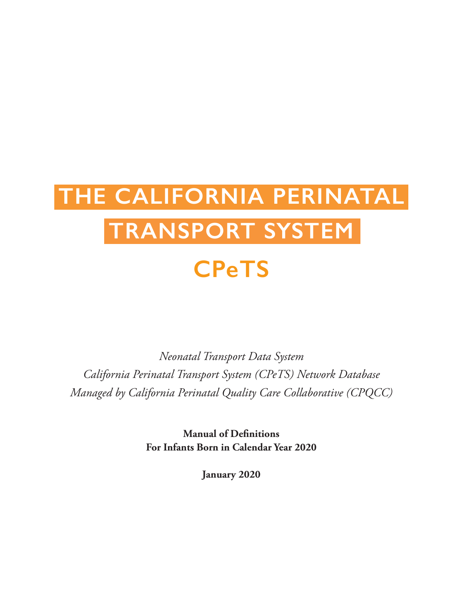# **THE CALIFORNIA PERINATAL TRANSPORT SYSTEM CPeTS**

*Neonatal Transport Data System California Perinatal Transport System (CPeTS) Network Database Managed by California Perinatal Quality Care Collaborative (CPQCC)*

> **Manual of Definitions For Infants Born in Calendar Year 2020**

> > **January 2020**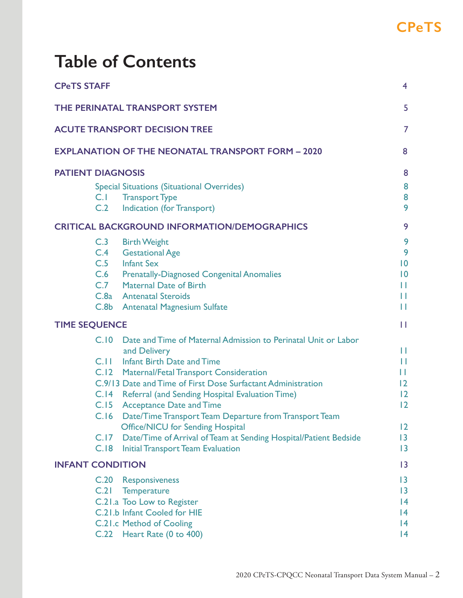## **Table of Contents**

| <b>CPeTS STAFF</b>                                                                                                                                                                                                                                                                                                                                                                                                                                                                                                                                                          | $\overline{4}$                                                           |
|-----------------------------------------------------------------------------------------------------------------------------------------------------------------------------------------------------------------------------------------------------------------------------------------------------------------------------------------------------------------------------------------------------------------------------------------------------------------------------------------------------------------------------------------------------------------------------|--------------------------------------------------------------------------|
| THE PERINATAL TRANSPORT SYSTEM                                                                                                                                                                                                                                                                                                                                                                                                                                                                                                                                              | 5                                                                        |
| <b>ACUTE TRANSPORT DECISION TREE</b>                                                                                                                                                                                                                                                                                                                                                                                                                                                                                                                                        | 7                                                                        |
| <b>EXPLANATION OF THE NEONATAL TRANSPORT FORM - 2020</b>                                                                                                                                                                                                                                                                                                                                                                                                                                                                                                                    | 8                                                                        |
| <b>PATIENT DIAGNOSIS</b><br><b>Special Situations (Situational Overrides)</b><br>C.1<br><b>Transport Type</b><br>C.2<br><b>Indication (for Transport)</b>                                                                                                                                                                                                                                                                                                                                                                                                                   | 8<br>8<br>8<br>9                                                         |
| <b>CRITICAL BACKGROUND INFORMATION/DEMOGRAPHICS</b>                                                                                                                                                                                                                                                                                                                                                                                                                                                                                                                         | 9                                                                        |
| C.3<br><b>Birth Weight</b><br>C.4<br><b>Gestational Age</b><br>C.5 Infant Sex<br>C.6 Prenatally-Diagnosed Congenital Anomalies<br>C.7 Maternal Date of Birth<br>C.8a Antenatal Steroids<br>C.8b Antenatal Magnesium Sulfate                                                                                                                                                                                                                                                                                                                                                 | 9<br>9<br>$\overline{10}$<br>$\overline{10}$<br>П<br>П<br>П              |
| <b>TIME SEQUENCE</b>                                                                                                                                                                                                                                                                                                                                                                                                                                                                                                                                                        | П                                                                        |
| C.10<br>Date and Time of Maternal Admission to Perinatal Unit or Labor<br>and Delivery<br>C.11 Infant Birth Date and Time<br>C.12 Maternal/Fetal Transport Consideration<br>C.9/13 Date and Time of First Dose Surfactant Administration<br>C.14 Referral (and Sending Hospital Evaluation Time)<br>C.15 Acceptance Date and Time<br>C.16 Date/Time Transport Team Departure from Transport Team<br><b>Office/NICU for Sending Hospital</b><br>C.17<br>Date/Time of Arrival of Team at Sending Hospital/Patient Bedside<br>C.18<br><b>Initial Transport Team Evaluation</b> | П<br>П<br>Ш<br>$\overline{2}$<br>12<br>12<br>12<br>$\overline{13}$<br> 3 |
| <b>INFANT CONDITION</b>                                                                                                                                                                                                                                                                                                                                                                                                                                                                                                                                                     | 13                                                                       |
| C.20<br>Responsiveness<br>C.21<br><b>Temperature</b><br>C.21.a Too Low to Register<br>C.21.b Infant Cooled for HIE<br>C.21.c Method of Cooling<br>C.22 Heart Rate (0 to 400)                                                                                                                                                                                                                                                                                                                                                                                                | $\overline{13}$<br>$\overline{13}$<br> 4<br>14<br>$\overline{14}$<br> 4  |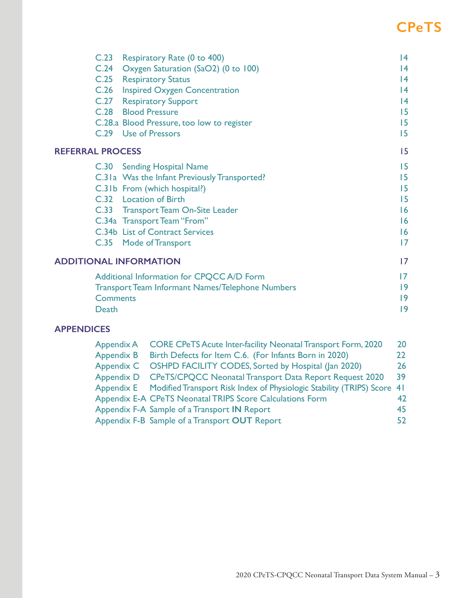| C.23 Respiratory Rate (0 to 400)                        | 4                                                                                                                                                                                                                                                                          |
|---------------------------------------------------------|----------------------------------------------------------------------------------------------------------------------------------------------------------------------------------------------------------------------------------------------------------------------------|
| C.24 Oxygen Saturation (SaO2) (0 to 100)                | 4                                                                                                                                                                                                                                                                          |
|                                                         | 4                                                                                                                                                                                                                                                                          |
|                                                         | 4                                                                                                                                                                                                                                                                          |
|                                                         | 4                                                                                                                                                                                                                                                                          |
|                                                         | 15                                                                                                                                                                                                                                                                         |
|                                                         | 15                                                                                                                                                                                                                                                                         |
| C.29 Use of Pressors                                    | 15                                                                                                                                                                                                                                                                         |
| <b>REFERRAL PROCESS</b>                                 | 15                                                                                                                                                                                                                                                                         |
| C.30 Sending Hospital Name                              | 15                                                                                                                                                                                                                                                                         |
| C.31a Was the Infant Previously Transported?            | 15                                                                                                                                                                                                                                                                         |
|                                                         | 15                                                                                                                                                                                                                                                                         |
| C.32 Location of Birth                                  | 15                                                                                                                                                                                                                                                                         |
|                                                         | 16                                                                                                                                                                                                                                                                         |
|                                                         | 16                                                                                                                                                                                                                                                                         |
| C.34b List of Contract Services                         | 16                                                                                                                                                                                                                                                                         |
| C.35 Mode of Transport                                  | 7                                                                                                                                                                                                                                                                          |
| <b>ADDITIONAL INFORMATION</b>                           | 17                                                                                                                                                                                                                                                                         |
| Additional Information for CPQCC A/D Form               | $\overline{17}$                                                                                                                                                                                                                                                            |
| <b>Transport Team Informant Names/Telephone Numbers</b> | 9                                                                                                                                                                                                                                                                          |
| <b>Comments</b>                                         | 19                                                                                                                                                                                                                                                                         |
| Death                                                   | 9                                                                                                                                                                                                                                                                          |
|                                                         | C.25 Respiratory Status<br>C.26 Inspired Oxygen Concentration<br><b>C.27</b> Respiratory Support<br>C.28 Blood Pressure<br>C.28.a Blood Pressure, too low to register<br>C.31b From (which hospital?)<br>C.33 Transport Team On-Site Leader<br>C.34a Transport Team "From" |

## **APPENDICES**

| Appendix A        | <b>CORE CPeTS Acute Inter-facility Neonatal Transport Form, 2020</b>               | 20  |
|-------------------|------------------------------------------------------------------------------------|-----|
| <b>Appendix B</b> | Birth Defects for Item C.6. (For Infants Born in 2020)                             | 22. |
| Appendix C        | OSHPD FACILITY CODES, Sorted by Hospital (Jan 2020)                                | 26  |
| <b>Appendix D</b> | <b>CPeTS/CPQCC Neonatal Transport Data Report Request 2020</b>                     | 39  |
|                   | Appendix E Modified Transport Risk Index of Physiologic Stability (TRIPS) Score 41 |     |
|                   | Appendix E-A CPeTS Neonatal TRIPS Score Calculations Form                          | 42  |
|                   | Appendix F-A Sample of a Transport IN Report                                       | 45  |
|                   | Appendix F-B Sample of a Transport OUT Report                                      | 52  |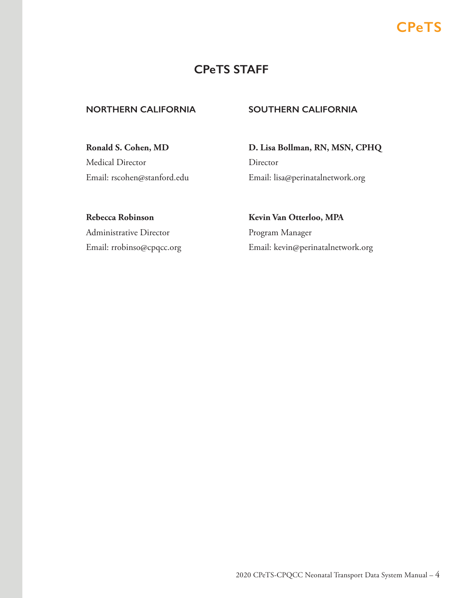## **CPeTS STAFF**

## **NORTHERN CALIFORNIA SOUTHERN CALIFORNIA**

**Ronald S. Cohen, MD** Medical Director Email: rscohen@stanford.edu **D. Lisa Bollman, RN, MSN, CPHQ** Director Email: lisa@perinatalnetwork.org

**Rebecca Robinson** Administrative Director Email: rrobinso@cpqcc.org **Kevin Van Otterloo, MPA** Program Manager Email: kevin@perinatalnetwork.org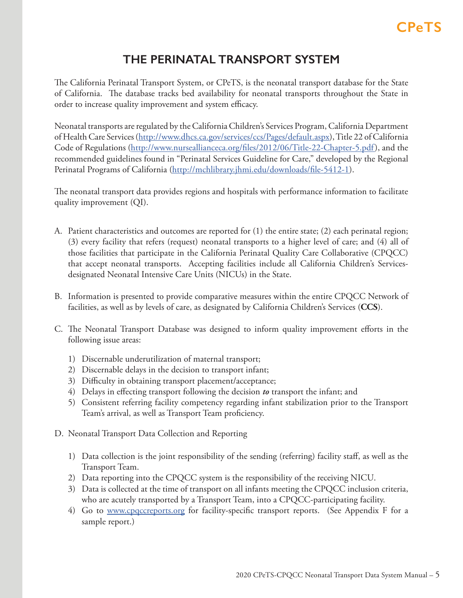## **THE PERINATAL TRANSPORT SYSTEM**

<span id="page-4-0"></span>The California Perinatal Transport System, or CPeTS, is the neonatal transport database for the State of California. The database tracks bed availability for neonatal transports throughout the State in order to increase quality improvement and system efficacy.

Neonatal transports are regulated by the California Children's Services Program, California Department of Health Care Services (http://www.dhcs.ca.gov/services/ccs/Pages/default.aspx), Title 22 of California Code of Regulations (http://www.nurseallianceca.org/files/2012/06/Title-22-Chapter-5.pdf), and the recommended guidelines found in "Perinatal Services Guideline for Care," developed by the Regional Perinatal Programs of California (http://mchlibrary.jhmi.edu/downloads/file-5412-1).

The neonatal transport data provides regions and hospitals with performance information to facilitate quality improvement (QI).

- A. Patient characteristics and outcomes are reported for (1) the entire state; (2) each perinatal region; (3) every facility that refers (request) neonatal transports to a higher level of care; and (4) all of those facilities that participate in the California Perinatal Quality Care Collaborative (CPQCC) that accept neonatal transports. Accepting facilities include all California Children's Servicesdesignated Neonatal Intensive Care Units (NICUs) in the State.
- B. Information is presented to provide comparative measures within the entire CPQCC Network of facilities, as well as by levels of care, as designated by California Children's Services (**CCS**).
- C. The Neonatal Transport Database was designed to inform quality improvement efforts in the following issue areas:
	- 1) Discernable underutilization of maternal transport;
	- 2) Discernable delays in the decision to transport infant;
	- 3) Difficulty in obtaining transport placement/acceptance;
	- 4) Delays in effecting transport following the decision *to* transport the infant; and
	- 5) Consistent referring facility competency regarding infant stabilization prior to the Transport Team's arrival, as well as Transport Team proficiency.
- D. Neonatal Transport Data Collection and Reporting
	- 1) Data collection is the joint responsibility of the sending (referring) facility staff, as well as the Transport Team.
	- 2) Data reporting into the CPQCC system is the responsibility of the receiving NICU.
	- 3) Data is collected at the time of transport on all infants meeting the CPQCC inclusion criteria, who are acutely transported by a Transport Team, into a CPQCC-participating facility.
	- 4) Go to www.cpqccreports.org for facility-specific transport reports. (See Appendix F for a sample report.)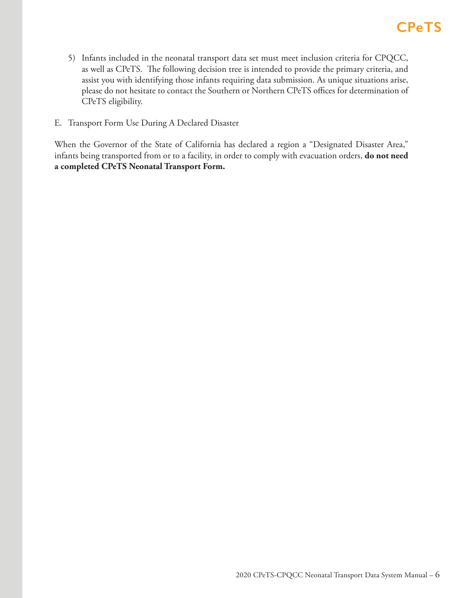- 5) Infants included in the neonatal transport data set must meet inclusion criteria for CPQCC, as well as CPeTS. The following decision tree is intended to provide the primary criteria, and assist you with identifying those infants requiring data submission. As unique situations arise, please do not hesitate to contact the Southern or Northern CPeTS offices for determination of CPeTS eligibility.
- E. Transport Form Use During A Declared Disaster

When the Governor of the State of California has declared a region a "Designated Disaster Area," infants being transported from or to a facility, in order to comply with evacuation orders, **do not need a completed CPeTS Neonatal Transport Form.**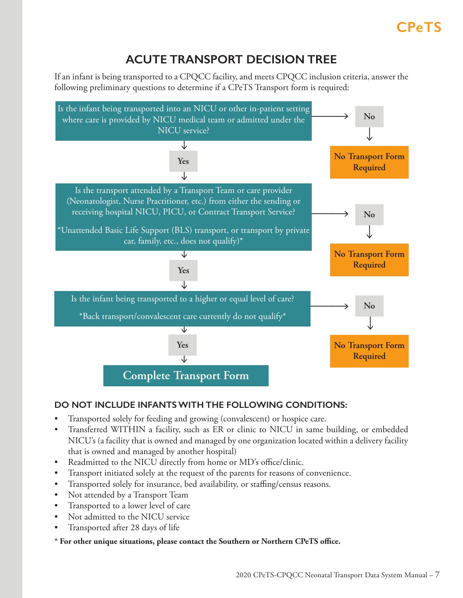## **ACUTE TRANSPORT DECISION TREE**

<span id="page-6-0"></span>If an infant is being transported to a CPQCC facility, and meets CPQCC inclusion criteria, answer the following preliminary questions to determine if a CPeTS Transport form is required:



## **DO NOT INCLUDE INFANTS WITH THE FOLLOWING CONDITIONS:**

- Transported solely for feeding and growing (convalescent) or hospice care.
- Transferred WITHIN a facility, such as ER or clinic to NICU in same building, or embedded NICU's (a facility that is owned and managed by one organization located within a delivery facility that is owned and managed by another hospital)
- Readmitted to the NICU directly from home or MD's office/clinic.
- Transport initiated solely at the request of the parents for reasons of convenience.
- Transported solely for insurance, bed availability, or staffing/census reasons.
- Not attended by a Transport Team
- Transported to a lower level of care
- Not admitted to the NICU service
- Transported after 28 days of life
- **\* For other unique situations, please contact the Southern or Northern CPeTS office.**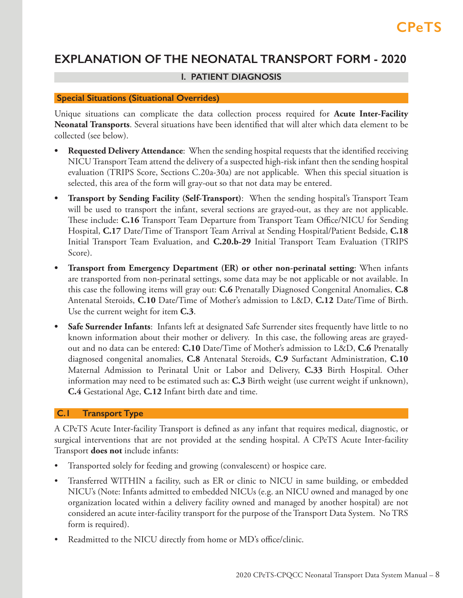## <span id="page-7-0"></span>**EXPLANATION OF THE NEONATAL TRANSPORT FORM - 2020**

## **I. PATIENT DIAGNOSIS**

### **Special Situations (Situational Overrides)**

Unique situations can complicate the data collection process required for **Acute Inter-Facility Neonatal Transports**. Several situations have been identified that will alter which data element to be collected (see below).

- **• Requested Delivery Attendance**: When the sending hospital requests that the identified receiving NICU Transport Team attend the delivery of a suspected high-risk infant then the sending hospital evaluation (TRIPS Score, Sections C.20a-30a) are not applicable. When this special situation is selected, this area of the form will gray-out so that not data may be entered.
- **• Transport by Sending Facility (Self-Transport)**: When the sending hospital's Transport Team will be used to transport the infant, several sections are grayed-out, as they are not applicable. These include: **C.16** Transport Team Departure from Transport Team Office/NICU for Sending Hospital, **C.17** Date/Time of Transport Team Arrival at Sending Hospital/Patient Bedside, **C.18**  Initial Transport Team Evaluation, and **C.20.b-29** Initial Transport Team Evaluation (TRIPS Score).
- **• Transport from Emergency Department (ER) or other non-perinatal setting**: When infants are transported from non-perinatal settings, some data may be not applicable or not available. In this case the following items will gray out: **C.6** Prenatally Diagnosed Congenital Anomalies, **C.8**  Antenatal Steroids, **C.10** Date/Time of Mother's admission to L&D, **C.12** Date/Time of Birth. Use the current weight for item **C.3**.
- **• Safe Surrender Infants**: Infants left at designated Safe Surrender sites frequently have little to no known information about their mother or delivery. In this case, the following areas are grayedout and no data can be entered: **C.10** Date/Time of Mother's admission to L&D, **C.6** Prenatally diagnosed congenital anomalies, **C.8** Antenatal Steroids, **C.9** Surfactant Administration, **C.10**  Maternal Admission to Perinatal Unit or Labor and Delivery, **C.33** Birth Hospital. Other information may need to be estimated such as: **C.3** Birth weight (use current weight if unknown), **C.4** Gestational Age, **C.12** Infant birth date and time.

## **C.1 Transport Type**

A CPeTS Acute Inter-facility Transport is defined as any infant that requires medical, diagnostic, or surgical interventions that are not provided at the sending hospital. A CPeTS Acute Inter-facility Transport **does not** include infants:

- Transported solely for feeding and growing (convalescent) or hospice care.
- Transferred WITHIN a facility, such as ER or clinic to NICU in same building, or embedded NICU's (Note: Infants admitted to embedded NICUs (e.g. an NICU owned and managed by one organization located within a delivery facility owned and managed by another hospital) are not considered an acute inter-facility transport for the purpose of the Transport Data System. No TRS form is required).
- Readmitted to the NICU directly from home or MD's office/clinic.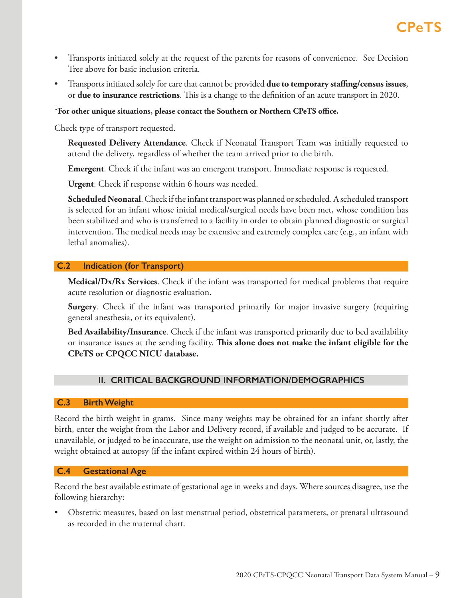- <span id="page-8-0"></span>• Transports initiated solely at the request of the parents for reasons of convenience. See Decision Tree above for basic inclusion criteria.
- Transports initiated solely for care that cannot be provided **due to temporary staffing/census issues**, or **due to insurance restrictions**. This is a change to the definition of an acute transport in 2020.

## **\*For other unique situations, please contact the Southern or Northern CPeTS office.**

Check type of transport requested.

**Requested Delivery Attendance**. Check if Neonatal Transport Team was initially requested to attend the delivery, regardless of whether the team arrived prior to the birth.

**Emergent**. Check if the infant was an emergent transport. Immediate response is requested.

**Urgent**. Check if response within 6 hours was needed.

**Scheduled Neonatal**. Check if the infant transport was planned or scheduled. A scheduled transport is selected for an infant whose initial medical/surgical needs have been met, whose condition has been stabilized and who is transferred to a facility in order to obtain planned diagnostic or surgical intervention. The medical needs may be extensive and extremely complex care (e.g., an infant with lethal anomalies).

## **C.2 Indication (for Transport)**

**Medical/Dx/Rx Services**. Check if the infant was transported for medical problems that require acute resolution or diagnostic evaluation.

**Surgery**. Check if the infant was transported primarily for major invasive surgery (requiring general anesthesia, or its equivalent).

**Bed Availability/Insurance**. Check if the infant was transported primarily due to bed availability or insurance issues at the sending facility. **This alone does not make the infant eligible for the CPeTS or CPQCC NICU database.**

## **II. CRITICAL BACKGROUND INFORMATION/DEMOGRAPHICS**

## **C.3 Birth Weight**

Record the birth weight in grams. Since many weights may be obtained for an infant shortly after birth, enter the weight from the Labor and Delivery record, if available and judged to be accurate. If unavailable, or judged to be inaccurate, use the weight on admission to the neonatal unit, or, lastly, the weight obtained at autopsy (if the infant expired within 24 hours of birth).

## **C.4 Gestational Age**

Record the best available estimate of gestational age in weeks and days. Where sources disagree, use the following hierarchy:

• Obstetric measures, based on last menstrual period, obstetrical parameters, or prenatal ultrasound as recorded in the maternal chart.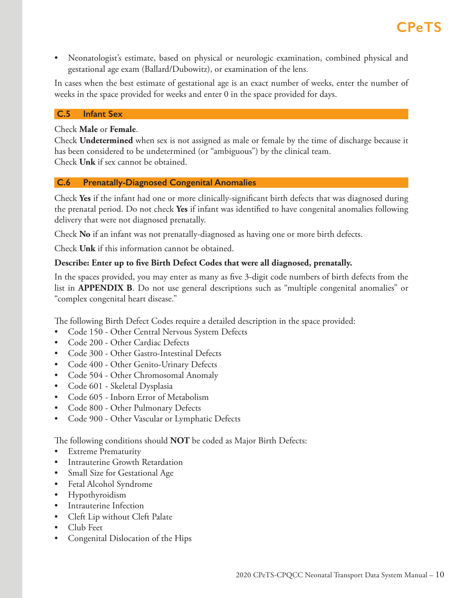<span id="page-9-0"></span>• Neonatologist's estimate, based on physical or neurologic examination, combined physical and gestational age exam (Ballard/Dubowitz), or examination of the lens.

In cases when the best estimate of gestational age is an exact number of weeks, enter the number of weeks in the space provided for weeks and enter 0 in the space provided for days.

## **C.5 Infant Sex**

Check **Male** or **Female**.

Check **Undetermined** when sex is not assigned as male or female by the time of discharge because it has been considered to be undetermined (or "ambiguous") by the clinical team. Check **Unk** if sex cannot be obtained.

## **C.6 Prenatally-Diagnosed Congenital Anomalies**

Check **Yes** if the infant had one or more clinically-significant birth defects that was diagnosed during the prenatal period. Do not check **Yes** if infant was identified to have congenital anomalies following delivery that were not diagnosed prenatally.

Check **No** if an infant was not prenatally-diagnosed as having one or more birth defects.

Check **Unk** if this information cannot be obtained.

## **Describe: Enter up to five Birth Defect Codes that were all diagnosed, prenatally.**

In the spaces provided, you may enter as many as five 3-digit code numbers of birth defects from the list in **APPENDIX B**. Do not use general descriptions such as "multiple congenital anomalies" or "complex congenital heart disease."

The following Birth Defect Codes require a detailed description in the space provided:

- Code 150 Other Central Nervous System Defects
- Code 200 Other Cardiac Defects
- Code 300 Other Gastro-Intestinal Defects
- Code 400 Other Genito-Urinary Defects
- Code 504 Other Chromosomal Anomaly
- Code 601 Skeletal Dysplasia
- Code 605 Inborn Error of Metabolism
- Code 800 Other Pulmonary Defects
- Code 900 Other Vascular or Lymphatic Defects

The following conditions should **NOT** be coded as Major Birth Defects:

- Extreme Prematurity
- Intrauterine Growth Retardation
- Small Size for Gestational Age
- Fetal Alcohol Syndrome
- Hypothyroidism
- Intrauterine Infection
- Cleft Lip without Cleft Palate
- Club Feet
- Congenital Dislocation of the Hips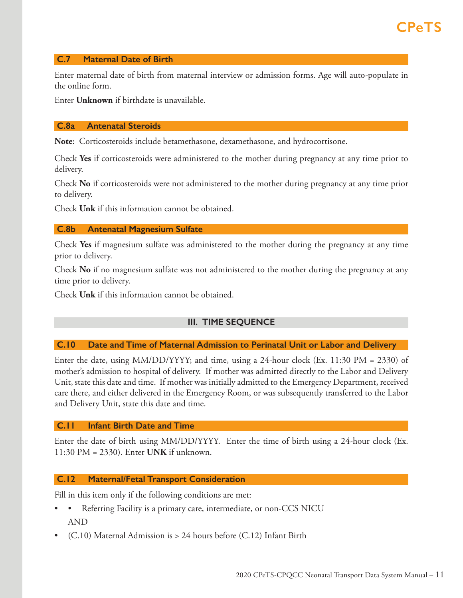### <span id="page-10-0"></span> **C.7 Maternal Date of Birth**

Enter maternal date of birth from maternal interview or admission forms. Age will auto-populate in the online form.

Enter **Unknown** if birthdate is unavailable.

### **C.8a Antenatal Steroids**

**Note**: Corticosteroids include betamethasone, dexamethasone, and hydrocortisone.

Check **Yes** if corticosteroids were administered to the mother during pregnancy at any time prior to delivery.

Check **No** if corticosteroids were not administered to the mother during pregnancy at any time prior to delivery.

Check **Unk** if this information cannot be obtained.

### **C.8b Antenatal Magnesium Sulfate**

Check **Yes** if magnesium sulfate was administered to the mother during the pregnancy at any time prior to delivery.

Check **No** if no magnesium sulfate was not administered to the mother during the pregnancy at any time prior to delivery.

Check **Unk** if this information cannot be obtained.

## **III. TIME SEQUENCE**

## **C.10 Date and Time of Maternal Admission to Perinatal Unit or Labor and Delivery**

Enter the date, using  $MM/DD/YYY$ ; and time, using a 24-hour clock (Ex. 11:30 PM = 2330) of mother's admission to hospital of delivery. If mother was admitted directly to the Labor and Delivery Unit, state this date and time. If mother was initially admitted to the Emergency Department, received care there, and either delivered in the Emergency Room, or was subsequently transferred to the Labor and Delivery Unit, state this date and time.

### **C.11 Infant Birth Date and Time**

Enter the date of birth using MM/DD/YYYY. Enter the time of birth using a 24-hour clock (Ex. 11:30 PM = 2330). Enter **UNK** if unknown.

### **C.12 Maternal/Fetal Transport Consideration**

Fill in this item only if the following conditions are met:

- Referring Facility is a primary care, intermediate, or non-CCS NICU AND
- $(C.10)$  Maternal Admission is > 24 hours before  $(C.12)$  Infant Birth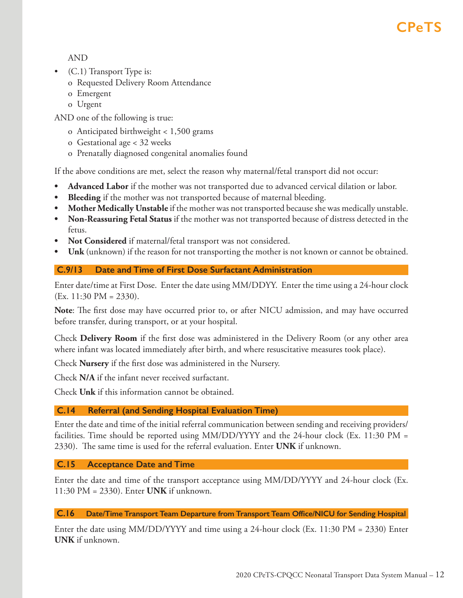## <span id="page-11-0"></span>AND

- (C.1) Transport Type is:
	- o Requested Delivery Room Attendance
	- o Emergent
	- o Urgent

AND one of the following is true:

- o Anticipated birthweight < 1,500 grams
- o Gestational age < 32 weeks
- o Prenatally diagnosed congenital anomalies found

If the above conditions are met, select the reason why maternal/fetal transport did not occur:

- **• Advanced Labor** if the mother was not transported due to advanced cervical dilation or labor.
- **• Bleeding** if the mother was not transported because of maternal bleeding.
- **• Mother Medically Unstable** if the mother was not transported because she was medically unstable.
- **• Non-Reassuring Fetal Status** if the mother was not transported because of distress detected in the fetus.
- **• Not Considered** if maternal/fetal transport was not considered.
- **• Unk** (unknown) if the reason for not transporting the mother is not known or cannot be obtained.

## **C.9/13 Date and Time of First Dose Surfactant Administration**

Enter date/time at First Dose. Enter the date using MM/DDYY. Enter the time using a 24-hour clock  $(Ex. 11:30 \text{ PM} = 2330).$ 

**Note**: The first dose may have occurred prior to, or after NICU admission, and may have occurred before transfer, during transport, or at your hospital.

Check **Delivery Room** if the first dose was administered in the Delivery Room (or any other area where infant was located immediately after birth, and where resuscitative measures took place).

Check **Nursery** if the first dose was administered in the Nursery.

Check **N/A** if the infant never received surfactant.

Check **Unk** if this information cannot be obtained.

## **C.14 Referral (and Sending Hospital Evaluation Time)**

Enter the date and time of the initial referral communication between sending and receiving providers/ facilities. Time should be reported using MM/DD/YYYY and the 24-hour clock (Ex. 11:30 PM = 2330). The same time is used for the referral evaluation. Enter **UNK** if unknown.

## **C.15 Acceptance Date and Time**

Enter the date and time of the transport acceptance using MM/DD/YYYY and 24-hour clock (Ex. 11:30 PM = 2330). Enter **UNK** if unknown.

 **C.16 Date/Time Transport Team Departure from Transport Team Office/NICU for Sending Hospital**

Enter the date using MM/DD/YYYY and time using a 24-hour clock (Ex. 11:30 PM = 2330) Enter **UNK** if unknown.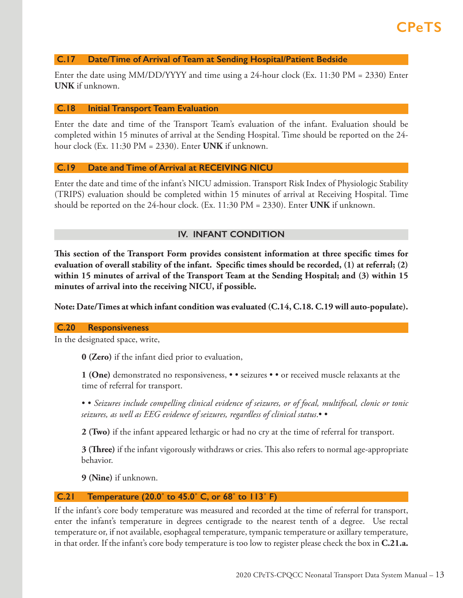### <span id="page-12-0"></span> **C.17 Date/Time of Arrival of Team at Sending Hospital/Patient Bedside**

Enter the date using MM/DD/YYYY and time using a 24-hour clock (Ex. 11:30 PM = 2330) Enter **UNK** if unknown.

#### **C.18 Initial Transport Team Evaluation**

Enter the date and time of the Transport Team's evaluation of the infant. Evaluation should be completed within 15 minutes of arrival at the Sending Hospital. Time should be reported on the 24 hour clock (Ex. 11:30 PM = 2330). Enter **UNK** if unknown.

### **C.19 Date and Time of Arrival at RECEIVING NICU**

Enter the date and time of the infant's NICU admission. Transport Risk Index of Physiologic Stability (TRIPS) evaluation should be completed within 15 minutes of arrival at Receiving Hospital. Time should be reported on the 24-hour clock. (Ex. 11:30 PM = 2330). Enter **UNK** if unknown.

### **IV. INFANT CONDITION**

**This section of the Transport Form provides consistent information at three specific times for evaluation of overall stability of the infant. Specific times should be recorded, (1) at referral; (2) within 15 minutes of arrival of the Transport Team at the Sending Hospital; and (3) within 15 minutes of arrival into the receiving NICU, if possible.**

**Note: Date/Times at which infant condition was evaluated (C.14, C.18. C.19 will auto-populate).** 

### **C.20 Responsiveness**

In the designated space, write,

**0 (Zero)** if the infant died prior to evaluation,

**1 (One)** demonstrated no responsiveness, • • seizures • • or received muscle relaxants at the time of referral for transport.

• • *Seizures include compelling clinical evidence of seizures, or of focal, multifocal, clonic or tonic llllllllllllseizures, as well as EEG evidence of seizures, regardless of clinical status*.• •

**2 (Two)** if the infant appeared lethargic or had no cry at the time of referral for transport.

**3 (Three)** if the infant vigorously withdraws or cries. This also refers to normal age-appropriate behavior.

**9 (Nine)** if unknown.

### **C.21 Temperature (20.0˚ to 45.0˚ C, or 68˚ to 113˚ F)**

If the infant's core body temperature was measured and recorded at the time of referral for transport, enter the infant's temperature in degrees centigrade to the nearest tenth of a degree. Use rectal temperature or, if not available, esophageal temperature, tympanic temperature or axillary temperature, in that order. If the infant's core body temperature is too low to register please check the box in **C.21.a.**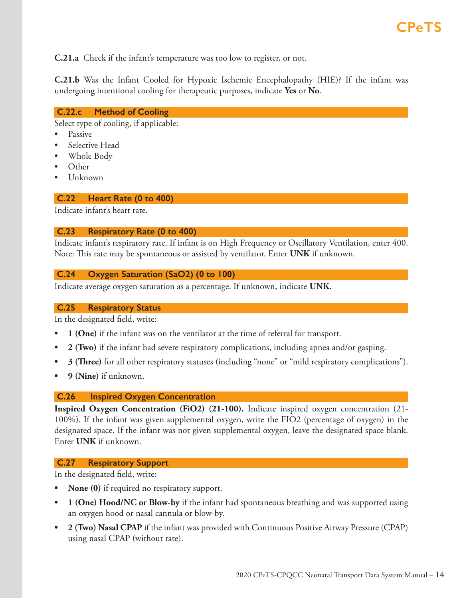<span id="page-13-0"></span>**C.21.a** Check if the infant's temperature was too low to register, or not.

**C.21.b** Was the Infant Cooled for Hypoxic Ischemic Encephalopathy (HIE)? If the infant was undergoing intentional cooling for therapeutic purposes, indicate **Yes** or **No**.

## **C.22.c Method of Cooling**

Select type of cooling, if applicable:

- Passive
- Selective Head
- Whole Body
- Other
- Unknown

## **C.22 Heart Rate (0 to 400)**

Indicate infant's heart rate.

## **C.23 Respiratory Rate (0 to 400)**

Indicate infant's respiratory rate. If infant is on High Frequency or Oscillatory Ventilation, enter 400. Note: This rate may be spontaneous or assisted by ventilator. Enter **UNK** if unknown.

## **C.24 Oxygen Saturation (SaO2) (0 to 100)**

Indicate average oxygen saturation as a percentage. If unknown, indicate **UNK**.

### **C.25 Respiratory Status**

In the designated field, write:

- **• 1 (One)** if the infant was on the ventilator at the time of referral for transport.
- **• 2 (Two)** if the infant had severe respiratory complications, including apnea and/or gasping.
- **• 3 (Three)** for all other respiratory statuses (including "none" or "mild respiratory complications").
- **• 9 (Nine)** if unknown.

## **C.26 Inspired Oxygen Concentration**

**Inspired Oxygen Concentration (FiO2) (21-100).** Indicate inspired oxygen concentration (21- 100%). If the infant was given supplemental oxygen, write the FIO2 (percentage of oxygen) in the designated space. If the infant was not given supplemental oxygen, leave the designated space blank. Enter **UNK** if unknown.

## **C.27 Respiratory Support**

In the designated field, write:

- **• None (0)** if required no respiratory support.
- **• 1 (One) Hood/NC or Blow-by** if the infant had spontaneous breathing and was supported using an oxygen hood or nasal cannula or blow-by.
- **• 2 (Two) Nasal CPAP** if the infant was provided with Continuous Positive Airway Pressure (CPAP) using nasal CPAP (without rate).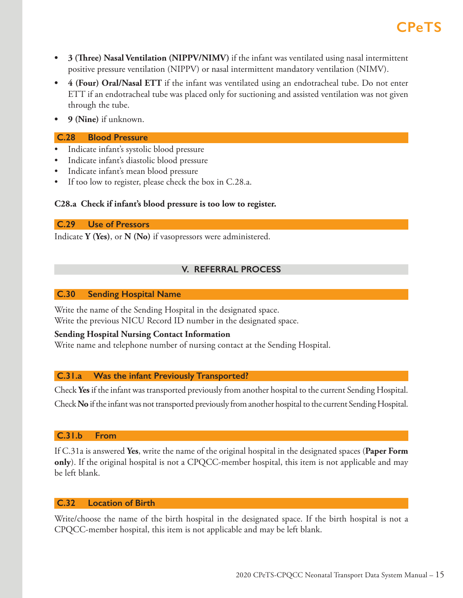- <span id="page-14-0"></span>**• 3 (Three) Nasal Ventilation (NIPPV/NIMV)** if the infant was ventilated using nasal intermittent positive pressure ventilation (NIPPV) or nasal intermittent mandatory ventilation (NIMV).
- **• 4 (Four) Oral/Nasal ETT** if the infant was ventilated using an endotracheal tube. Do not enter ETT if an endotracheal tube was placed only for suctioning and assisted ventilation was not given through the tube.
- **• 9 (Nine)** if unknown.

## **C.28 Blood Pressure**

- Indicate infant's systolic blood pressure
- Indicate infant's diastolic blood pressure
- Indicate infant's mean blood pressure
- If too low to register, please check the box in C.28.a.

## **C28.a Check if infant's blood pressure is too low to register.**

 **C.29 Use of Pressors**

Indicate **Y (Yes)**, or **N (No)** if vasopressors were administered.

## **V. REFERRAL PROCESS**

### **C.30 Sending Hospital Name**

Write the name of the Sending Hospital in the designated space. Write the previous NICU Record ID number in the designated space.

## **Sending Hospital Nursing Contact Information**

Write name and telephone number of nursing contact at the Sending Hospital.

## **C.31.a Was the infant Previously Transported?**

Check **Yes** if the infant was transported previously from another hospital to the current Sending Hospital.

Check **No** if the infant was not transported previously from another hospital to the current Sending Hospital.

## **C.31.b From**

If C.31a is answered **Yes**, write the name of the original hospital in the designated spaces (**Paper Form only**). If the original hospital is not a CPQCC-member hospital, this item is not applicable and may be left blank.

## **C.32 Location of Birth**

Write/choose the name of the birth hospital in the designated space. If the birth hospital is not a CPQCC-member hospital, this item is not applicable and may be left blank.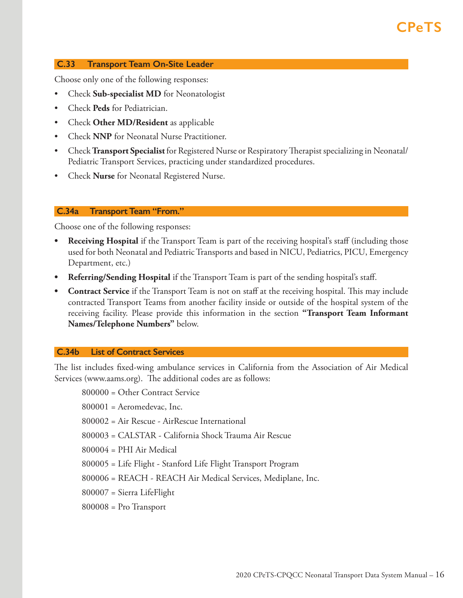### <span id="page-15-0"></span> **C.33 Transport Team On-Site Leader**

Choose only one of the following responses:

- Check **Sub-specialist MD** for Neonatologist
- Check **Peds** for Pediatrician.
- Check **Other MD/Resident** as applicable
- Check **NNP** for Neonatal Nurse Practitioner.
- Check **Transport Specialist** for Registered Nurse or Respiratory Therapist specializing in Neonatal/ Pediatric Transport Services, practicing under standardized procedures.
- Check **Nurse** for Neonatal Registered Nurse.

#### **C.34a Transport Team "From."**

Choose one of the following responses:

- **Receiving Hospital** if the Transport Team is part of the receiving hospital's staff (including those used for both Neonatal and Pediatric Transports and based in NICU, Pediatrics, PICU, Emergency Department, etc.)
- **• Referring/Sending Hospital** if the Transport Team is part of the sending hospital's staff.
- **• Contract Service** if the Transport Team is not on staff at the receiving hospital. This may include contracted Transport Teams from another facility inside or outside of the hospital system of the receiving facility. Please provide this information in the section **"Transport Team Informant Names/Telephone Numbers"** below.

#### **C.34b List of Contract Services**

The list includes fixed-wing ambulance services in California from the Association of Air Medical Services (www.aams.org). The additional codes are as follows:

800000 = Other Contract Service

800001 = Aeromedevac, Inc.

800002 = Air Rescue - AirRescue International

800003 = CALSTAR - California Shock Trauma Air Rescue

800004 = PHI Air Medical

800005 = Life Flight - Stanford Life Flight Transport Program

800006 = REACH - REACH Air Medical Services, Mediplane, Inc.

800007 = Sierra LifeFlight

800008 = Pro Transport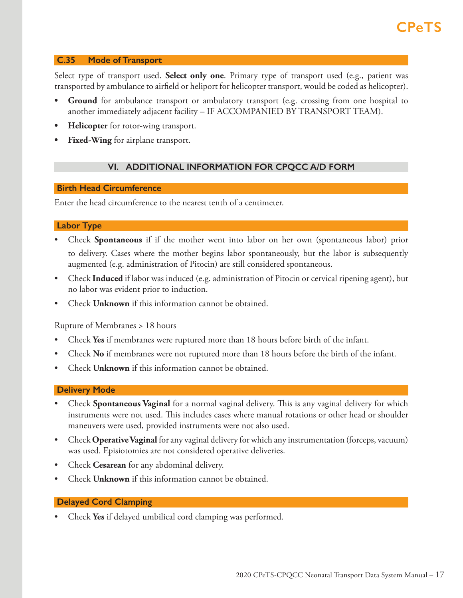### <span id="page-16-0"></span> **C.35 Mode of Transport**

Select type of transport used. **Select only one**. Primary type of transport used (e.g., patient was transported by ambulance to airfield or heliport for helicopter transport, would be coded as helicopter).

- **Ground** for ambulance transport or ambulatory transport (e.g. crossing from one hospital to another immediately adjacent facility – IF ACCOMPANIED BY TRANSPORT TEAM).
- **• Helicopter** for rotor-wing transport.
- **• Fixed-Wing** for airplane transport.

## **VI. ADDITIONAL INFORMATION FOR CPQCC A/D FORM**

### **Birth Head Circumference**

Enter the head circumference to the nearest tenth of a centimeter.

### **Labor Type**

- Check **Spontaneous** if if the mother went into labor on her own (spontaneous labor) prior to delivery. Cases where the mother begins labor spontaneously, but the labor is subsequently augmented (e.g. administration of Pitocin) are still considered spontaneous.
- Check **Induced** if labor was induced (e.g. administration of Pitocin or cervical ripening agent), but no labor was evident prior to induction.
- Check **Unknown** if this information cannot be obtained.

Rupture of Membranes > 18 hours

- Check **Yes** if membranes were ruptured more than 18 hours before birth of the infant.
- Check **No** if membranes were not ruptured more than 18 hours before the birth of the infant.
- Check **Unknown** if this information cannot be obtained.

### **Delivery Mode**

- Check **Spontaneous Vaginal** for a normal vaginal delivery. This is any vaginal delivery for which instruments were not used. This includes cases where manual rotations or other head or shoulder maneuvers were used, provided instruments were not also used.
- Check **Operative Vaginal** for any vaginal delivery for which any instrumentation (forceps, vacuum) was used. Episiotomies are not considered operative deliveries.
- Check **Cesarean** for any abdominal delivery.
- Check **Unknown** if this information cannot be obtained.

### **Delayed Cord Clamping**

• Check **Yes** if delayed umbilical cord clamping was performed.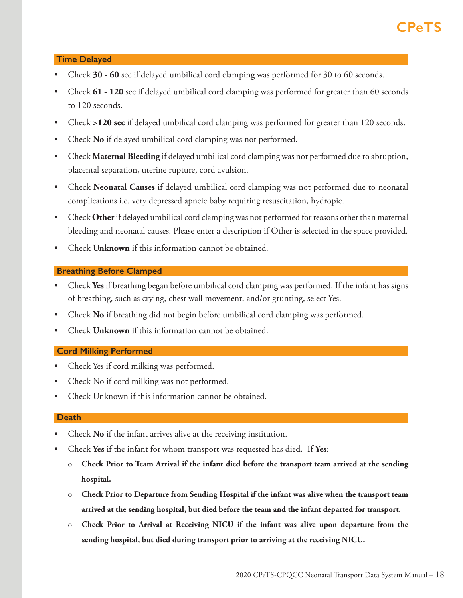## **Time Delayed**

- Check **30 60** sec if delayed umbilical cord clamping was performed for 30 to 60 seconds.
- Check **61 120** sec if delayed umbilical cord clamping was performed for greater than 60 seconds to 120 seconds.
- Check **>120 sec** if delayed umbilical cord clamping was performed for greater than 120 seconds.
- Check **No** if delayed umbilical cord clamping was not performed.
- Check **Maternal Bleeding** if delayed umbilical cord clamping was not performed due to abruption, placental separation, uterine rupture, cord avulsion.
- Check **Neonatal Causes** if delayed umbilical cord clamping was not performed due to neonatal complications i.e. very depressed apneic baby requiring resuscitation, hydropic.
- Check **Other** if delayed umbilical cord clamping was not performed for reasons other than maternal bleeding and neonatal causes. Please enter a description if Other is selected in the space provided.
- Check **Unknown** if this information cannot be obtained.

## **Breathing Before Clamped**

- Check **Yes** if breathing began before umbilical cord clamping was performed. If the infant has signs of breathing, such as crying, chest wall movement, and/or grunting, select Yes.
- Check **No** if breathing did not begin before umbilical cord clamping was performed.
- Check **Unknown** if this information cannot be obtained.

## **Cord Milking Performed**

- Check Yes if cord milking was performed.
- Check No if cord milking was not performed.
- Check Unknown if this information cannot be obtained.

### **Death**

- Check **No** if the infant arrives alive at the receiving institution.
- Check **Yes** if the infant for whom transport was requested has died. If **Yes**:
	- o **Check Prior to Team Arrival if the infant died before the transport team arrived at the sending**  hospital.
	- o **Check Prior to Departure from Sending Hospital if the infant was alive when the transport team**  arrived at the sending hospital, but died before the team and the infant departed for transport.
	- o **Check Prior to Arrival at Receiving NICU if the infant was alive upon departure from the**  sending hospital, but died during transport prior to arriving at the receiving NICU.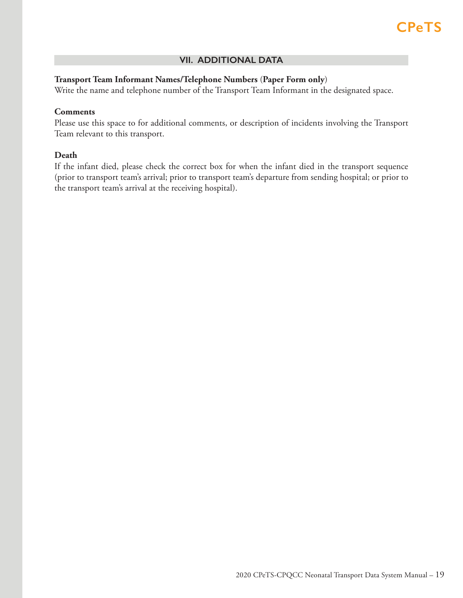### **VII. ADDITIONAL DATA**

### <span id="page-18-0"></span>**Transport Team Informant Names/Telephone Numbers** (**Paper Form only**)

Write the name and telephone number of the Transport Team Informant in the designated space.

### **Comments**

Please use this space to for additional comments, or description of incidents involving the Transport Team relevant to this transport.

## **Death**

If the infant died, please check the correct box for when the infant died in the transport sequence (prior to transport team's arrival; prior to transport team's departure from sending hospital; or prior to the transport team's arrival at the receiving hospital).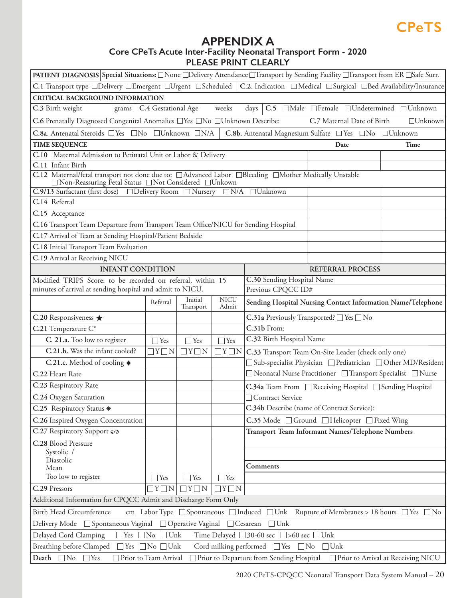## **APPENDIX A**

## **Core CPeTs Acute Inter-Facility Neonatal Transport Form - 2020 PLEASE PRINT CLEARLY**

<span id="page-19-0"></span>

| PATIENT DIAGNOSIS Special Situations: □None □Delivery Attendance □Transport by Sending Facility □Transport from ER □Safe Surr.                                    |                     |                      |                      |                                                             |                            |                                                                   |
|-------------------------------------------------------------------------------------------------------------------------------------------------------------------|---------------------|----------------------|----------------------|-------------------------------------------------------------|----------------------------|-------------------------------------------------------------------|
| C.1 Transport type □Delivery □Emergent □Urgent □Scheduled                                                                                                         |                     |                      |                      |                                                             |                            | C.2. Indication □ Medical □ Surgical □ Bed Availability/Insurance |
| <b>CRITICAL BACKGROUND INFORMATION</b>                                                                                                                            |                     |                      |                      |                                                             |                            |                                                                   |
| C.3 Birth weight<br>grams                                                                                                                                         | C.4 Gestational Age |                      | weeks                | days                                                        |                            | C.5 □Male □Female □Undetermined □Unknown                          |
| C.6 Prenatally Diagnosed Congenital Anomalies <sup>Nes</sup> DNo DUnknown Describe:                                                                               |                     |                      |                      |                                                             | C.7 Maternal Date of Birth | $\Box$ Unknown                                                    |
| C.8a. Antenatal Steroids □ Yes □ No □ Unknown □ N/A                                                                                                               |                     |                      |                      | C.8b. Antenatal Magnesium Sulfate □ Yes □ No □ Unknown      |                            |                                                                   |
| <b>TIME SEQUENCE</b>                                                                                                                                              |                     |                      |                      |                                                             | Date                       | Time                                                              |
| C.10 Maternal Admission to Perinatal Unit or Labor & Delivery                                                                                                     |                     |                      |                      |                                                             |                            |                                                                   |
| C.11 Infant Birth                                                                                                                                                 |                     |                      |                      |                                                             |                            |                                                                   |
| C.12 Maternal/fetal transport not done due to: □ Advanced Labor □ Bleeding □ Mother Medically Unstable<br>□ Non-Reassuring Fetal Status □ Not Considered □ Unkown |                     |                      |                      |                                                             |                            |                                                                   |
| C.9/13 Surfactant (first dose) □Delivery Room □Nursery □N/A □Unknown                                                                                              |                     |                      |                      |                                                             |                            |                                                                   |
| C.14 Referral                                                                                                                                                     |                     |                      |                      |                                                             |                            |                                                                   |
| C.15 Acceptance                                                                                                                                                   |                     |                      |                      |                                                             |                            |                                                                   |
| C.16 Transport Team Departure from Transport Team Office/NICU for Sending Hospital                                                                                |                     |                      |                      |                                                             |                            |                                                                   |
| C.17 Arrival of Team at Sending Hospital/Patient Bedside                                                                                                          |                     |                      |                      |                                                             |                            |                                                                   |
| C.18 Initial Transport Team Evaluation                                                                                                                            |                     |                      |                      |                                                             |                            |                                                                   |
| C.19 Arrival at Receiving NICU                                                                                                                                    |                     |                      |                      |                                                             |                            |                                                                   |
| <b>INFANT CONDITION</b>                                                                                                                                           |                     |                      |                      |                                                             | <b>REFERRAL PROCESS</b>    |                                                                   |
| Modified TRIPS Score: to be recorded on referral, within 15                                                                                                       |                     |                      |                      | C.30 Sending Hospital Name                                  |                            |                                                                   |
| minutes of arrival at sending hospital and admit to NICU.                                                                                                         |                     |                      |                      | Previous CPQCC ID#                                          |                            |                                                                   |
|                                                                                                                                                                   | Referral            | Initial<br>Transport | <b>NICU</b><br>Admit | Sending Hospital Nursing Contact Information Name/Telephone |                            |                                                                   |
| C.20 Responsiveness $\bigstar$                                                                                                                                    |                     |                      |                      | C.31a Previously Transported? □ Yes □ No                    |                            |                                                                   |
| C.21 Temperature C°                                                                                                                                               |                     |                      |                      | C.31b From:                                                 |                            |                                                                   |
| C. 21.a. Too low to register                                                                                                                                      | $\Box$ Yes          | $\Box$ Yes           | $\Box$ Yes           | C.32 Birth Hospital Name                                    |                            |                                                                   |
| C.21.b. Was the infant cooled?                                                                                                                                    | $\Box Y \Box N$     | $\Box Y \Box N$      | $\Box Y \Box N$      | C.33 Transport Team On-Site Leader (check only one)         |                            |                                                                   |
| C.21.c. Method of cooling $\blacklozenge$                                                                                                                         |                     |                      |                      |                                                             |                            | □ Sub-specialist Physician □ Pediatrician □ Other MD/Resident     |
| C.22 Heart Rate                                                                                                                                                   |                     |                      |                      |                                                             |                            | □ Neonatal Nurse Practitioner □ Transport Specialist □ Nurse      |
| C.23 Respiratory Rate                                                                                                                                             |                     |                      |                      |                                                             |                            | C.34a Team From □ Receiving Hospital □ Sending Hospital           |
| C.24 Oxygen Saturation                                                                                                                                            |                     |                      |                      | □ Contract Service                                          |                            |                                                                   |
| C.25 Respiratory Status *                                                                                                                                         |                     |                      |                      | C.34b Describe (name of Contract Service):                  |                            |                                                                   |
| C.26 Inspired Oxygen Concentration                                                                                                                                |                     |                      |                      | C.35 Mode □ Ground □ Helicopter □ Fixed Wing                |                            |                                                                   |
| C.27 Respiratory Support &                                                                                                                                        |                     |                      |                      | Transport Team Informant Names/Telephone Numbers            |                            |                                                                   |
| C.28 Blood Pressure                                                                                                                                               |                     |                      |                      |                                                             |                            |                                                                   |
| Systolic /                                                                                                                                                        |                     |                      |                      |                                                             |                            |                                                                   |
| Diastolic<br>Mean                                                                                                                                                 |                     |                      |                      | Comments                                                    |                            |                                                                   |
| Too low to register                                                                                                                                               | $\Box$ Yes          | $\Box$ Yes           | $\Box$ Yes           |                                                             |                            |                                                                   |
| C.29 Pressors                                                                                                                                                     | $\Box Y \Box N$     | $\Box Y \Box N$      | $\Box Y \Box N$      |                                                             |                            |                                                                   |
| Additional Information for CPQCC Admit and Discharge Form Only                                                                                                    |                     |                      |                      |                                                             |                            |                                                                   |
| Birth Head Circumference<br>cm Labor Type □ Spontaneous □ Induced □ Unk Rupture of Membranes > 18 hours □ Yes □ No                                                |                     |                      |                      |                                                             |                            |                                                                   |
| Delivery Mode □ Spontaneous Vaginal □ Operative Vaginal □ Cesarean<br>$\Box$ Unk                                                                                  |                     |                      |                      |                                                             |                            |                                                                   |
| Time Delayed □ 30-60 sec □>60 sec □Unk<br>Delayed Cord Clamping<br>$\Box$ Yes $\Box$ No $\Box$ Unk                                                                |                     |                      |                      |                                                             |                            |                                                                   |
| Breathing before Clamped □ Yes □ No □ Unk<br>Cord milking performed<br>$\Box$ Yes<br>$\Box$ No<br>$\Box$ Unk                                                      |                     |                      |                      |                                                             |                            |                                                                   |
| Death $\Box$ No $\Box$ Yes<br>Prior to Team Arrival<br>Prior to Departure from Sending Hospital<br>Prior to Arrival at Receiving NICU                             |                     |                      |                      |                                                             |                            |                                                                   |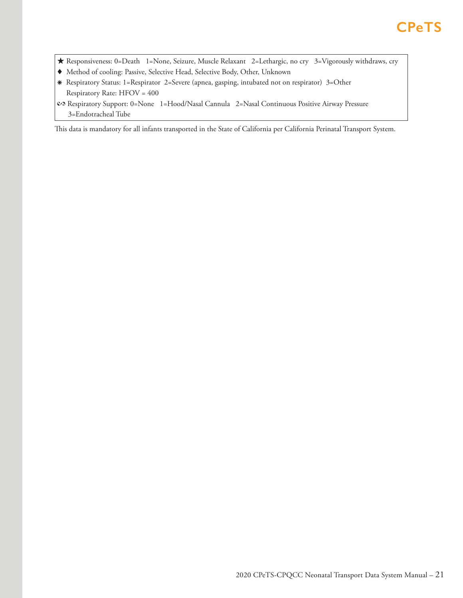- ★ Responsiveness: 0=Death 1=None, Seizure, Muscle Relaxant 2=Lethargic, no cry 3=Vigorously withdraws, cry
- ♦ Method of cooling: Passive, Selective Head, Selective Body, Other, Unknown
- ⁕ Respiratory Status: 1=Respirator 2=Severe (apnea, gasping, intubated not on respirator) 3=Other Respiratory Rate: HFOV = 400
- � Respiratory Support: 0=None 1=Hood/Nasal Cannula 2=Nasal Continuous Positive Airway Pressure 3=Endotracheal Tube

This data is mandatory for all infants transported in the State of California per California Perinatal Transport System.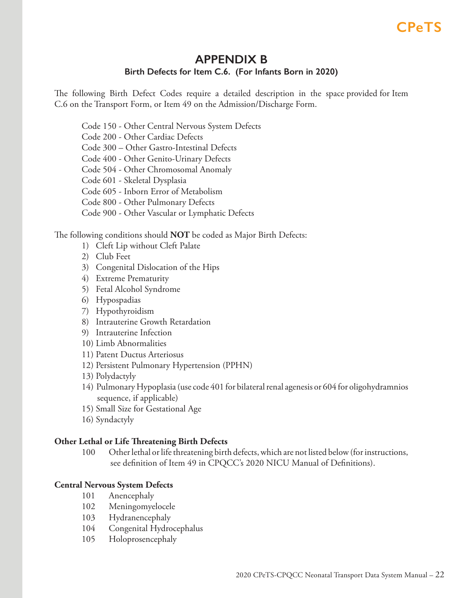## **APPENDIX B Birth Defects for Item C.6. (For Infants Born in 2020)**

<span id="page-21-0"></span>The following Birth Defect Codes require a detailed description in the space provided for Item C.6 on the Transport Form, or Item 49 on the Admission/Discharge Form.

Code 150 - Other Central Nervous System Defects Code 200 - Other Cardiac Defects Code 300 – Other Gastro-Intestinal Defects Code 400 - Other Genito-Urinary Defects Code 504 - Other Chromosomal Anomaly Code 601 - Skeletal Dysplasia Code 605 - Inborn Error of Metabolism Code 800 - Other Pulmonary Defects Code 900 - Other Vascular or Lymphatic Defects

The following conditions should **NOT** be coded as Major Birth Defects:

- 1) Cleft Lip without Cleft Palate
- 2) Club Feet
- 3) Congenital Dislocation of the Hips
- 4) Extreme Prematurity
- 5) Fetal Alcohol Syndrome
- 6) Hypospadias
- 7) Hypothyroidism
- 8) Intrauterine Growth Retardation
- 9) Intrauterine Infection
- 10) Limb Abnormalities
- 11) Patent Ductus Arteriosus
- 12) Persistent Pulmonary Hypertension (PPHN)
- 13) Polydactyly
- 14) Pulmonary Hypoplasia (use code 401 for bilateral renal agenesis or 604 for oligohydramnios sequence, if applicable)
- 15) Small Size for Gestational Age
- 16) Syndactyly

## **Other Lethal or Life Threatening Birth Defects**

100 Other lethal or life threatening birth defects, which are not listed below (for instructions, see definition of Item 49 in CPQCC's 2020 NICU Manual of Definitions).

## **Central Nervous System Defects**

- 101 Anencephaly
- 102 Meningomyelocele
- 103 Hydranencephaly
- 104 Congenital Hydrocephalus
- 105 Holoprosencephaly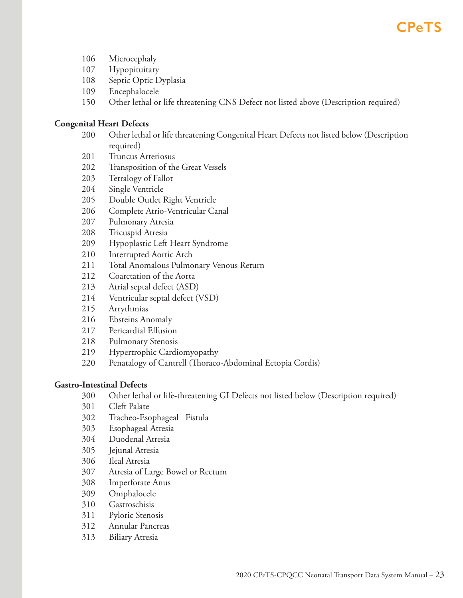- 106 Microcephaly
- 107 Hypopituitary
- 108 Septic Optic Dyplasia
- 109 Encephalocele
- 150 Other lethal or life threatening CNS Defect not listed above (Description required)

## **Congenital Heart Defects**

- 200 Other lethal or life threatening Congenital Heart Defects not listed below (Description required)
- 201 Truncus Arteriosus
- 202 Transposition of the Great Vessels
- 203 Tetralogy of Fallot
- 204 Single Ventricle
- 205 Double Outlet Right Ventricle
- 206 Complete Atrio-Ventricular Canal
- 207 Pulmonary Atresia
- 208 Tricuspid Atresia
- 209 Hypoplastic Left Heart Syndrome
- 210 Interrupted Aortic Arch
- 211 Total Anomalous Pulmonary Venous Return
- 212 Coarctation of the Aorta
- 213 Atrial septal defect (ASD)
- 214 Ventricular septal defect (VSD)
- 215 Arrythmias
- 216 Ebsteins Anomaly
- 217 Pericardial Effusion
- 218 Pulmonary Stenosis
- 219 Hypertrophic Cardiomyopathy
- 220 Penatalogy of Cantrell (Thoraco-Abdominal Ectopia Cordis)

## **Gastro-Intestinal Defects**

- 300 Other lethal or life-threatening GI Defects not listed below (Description required)
- 301 Cleft Palate
- 302 Tracheo-Esophageal Fistula
- 303 Esophageal Atresia
- 304 Duodenal Atresia
- 305 Jejunal Atresia
- 306 Ileal Atresia
- 307 Atresia of Large Bowel or Rectum
- 308 Imperforate Anus
- 309 Omphalocele
- 310 Gastroschisis
- 311 Pyloric Stenosis
- 312 Annular Pancreas
- 313 Biliary Atresia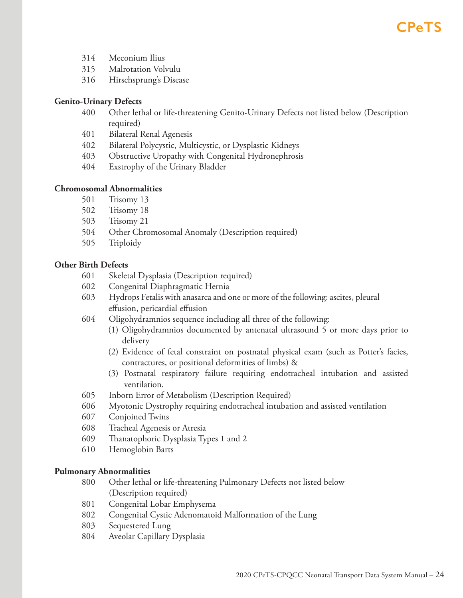- 314 Meconium Ilius
- 315 Malrotation Volvulu
- 316 Hirschsprung's Disease

## **Genito-Urinary Defects**

- 400 Other lethal or life-threatening Genito-Urinary Defects not listed below (Description required)
- 401 Bilateral Renal Agenesis
- 402 Bilateral Polycystic, Multicystic, or Dysplastic Kidneys
- 403 Obstructive Uropathy with Congenital Hydronephrosis
- 404 Exstrophy of the Urinary Bladder

## **Chromosomal Abnormalities**

- 501 Trisomy 13
- 502 Trisomy 18
- 503 Trisomy 21
- 504 Other Chromosomal Anomaly (Description required)
- 505 Triploidy

## **Other Birth Defects**

- 601 Skeletal Dysplasia (Description required)
- 602 Congenital Diaphragmatic Hernia
- 603 Hydrops Fetalis with anasarca and one or more of the following: ascites, pleural effusion, pericardial effusion
- 604 Oligohydramnios sequence including all three of the following:
	- (1) Oligohydramnios documented by antenatal ultrasound 5 or more days prior to delivery
	- (2) Evidence of fetal constraint on postnatal physical exam (such as Potter's facies, contractures, or positional deformities of limbs)  $\&$
	- (3) Postnatal respiratory failure requiring endotracheal intubation and assisted ventilation.
- 605 Inborn Error of Metabolism (Description Required)
- 606 Myotonic Dystrophy requiring endotracheal intubation and assisted ventilation
- 607 Conjoined Twins
- 608 Tracheal Agenesis or Atresia
- 609 Thanatophoric Dysplasia Types 1 and 2
- 610 Hemoglobin Barts

## **Pulmonary Abnormalities**

- 800 Other lethal or life-threatening Pulmonary Defects not listed below (Description required)
- 801 Congenital Lobar Emphysema
- 802 Congenital Cystic Adenomatoid Malformation of the Lung
- 803 Sequestered Lung
- 804 Aveolar Capillary Dysplasia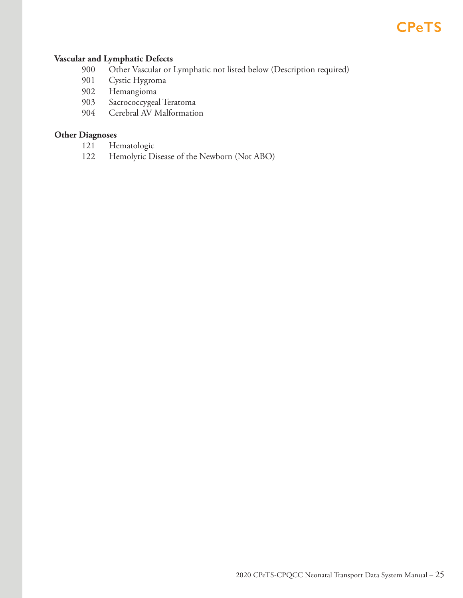## **Vascular and Lymphatic Defects**

- 900 Other Vascular or Lymphatic not listed below (Description required)
- 901 Cystic Hygroma
- 902 Hemangioma
- 903 Sacrococcygeal Teratoma
- 904 Cerebral AV Malformation

## **Other Diagnoses**

- 121 Hematologic
- 122 Hemolytic Disease of the Newborn (Not ABO)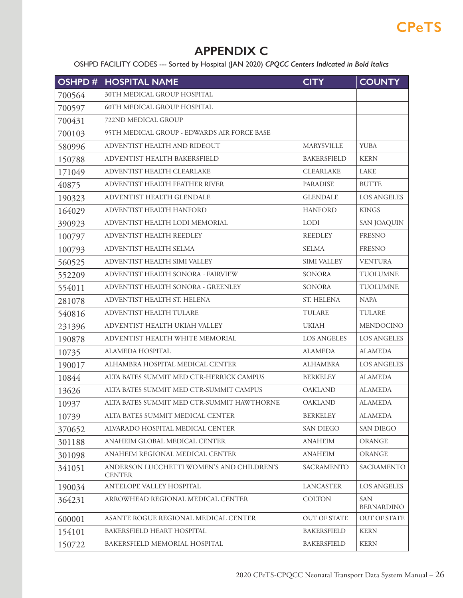## **APPENDIX C**

OSHPD FACILITY CODES --- Sorted by Hospital (JAN 2020) *CPQCC Centers Indicated in Bold Italics*

<span id="page-25-0"></span>

| OSHPD# | <b>HOSPITAL NAME</b>                                       | <b>CITY</b>         | <b>COUNTY</b>                   |
|--------|------------------------------------------------------------|---------------------|---------------------------------|
| 700564 | 30TH MEDICAL GROUP HOSPITAL                                |                     |                                 |
| 700597 | <b>60TH MEDICAL GROUP HOSPITAL</b>                         |                     |                                 |
| 700431 | 722ND MEDICAL GROUP                                        |                     |                                 |
| 700103 | 95TH MEDICAL GROUP - EDWARDS AIR FORCE BASE                |                     |                                 |
| 580996 | ADVENTIST HEALTH AND RIDEOUT                               | MARYSVILLE          | <b>YUBA</b>                     |
| 150788 | ADVENTIST HEALTH BAKERSFIELD                               | <b>BAKERSFIELD</b>  | <b>KERN</b>                     |
| 171049 | ADVENTIST HEALTH CLEARLAKE                                 | <b>CLEARLAKE</b>    | LAKE                            |
| 40875  | ADVENTIST HEALTH FEATHER RIVER                             | <b>PARADISE</b>     | <b>BUTTE</b>                    |
| 190323 | ADVENTIST HEALTH GLENDALE                                  | <b>GLENDALE</b>     | <b>LOS ANGELES</b>              |
| 164029 | ADVENTIST HEALTH HANFORD                                   | <b>HANFORD</b>      | <b>KINGS</b>                    |
| 390923 | ADVENTIST HEALTH LODI MEMORIAL                             | <b>LODI</b>         | <b>SAN JOAQUIN</b>              |
| 100797 | ADVENTIST HEALTH REEDLEY                                   | <b>REEDLEY</b>      | <b>FRESNO</b>                   |
| 100793 | ADVENTIST HEALTH SELMA                                     | <b>SELMA</b>        | <b>FRESNO</b>                   |
| 560525 | ADVENTIST HEALTH SIMI VALLEY                               | <b>SIMI VALLEY</b>  | <b>VENTURA</b>                  |
| 552209 | ADVENTIST HEALTH SONORA - FAIRVIEW                         | <b>SONORA</b>       | <b>TUOLUMNE</b>                 |
| 554011 | ADVENTIST HEALTH SONORA - GREENLEY                         | SONORA              | <b>TUOLUMNE</b>                 |
| 281078 | ADVENTIST HEALTH ST. HELENA                                | ST. HELENA          | <b>NAPA</b>                     |
| 540816 | ADVENTIST HEALTH TULARE                                    | TULARE              | TULARE                          |
| 231396 | ADVENTIST HEALTH UKIAH VALLEY                              | <b>UKIAH</b>        | MENDOCINO                       |
| 190878 | ADVENTIST HEALTH WHITE MEMORIAL                            | <b>LOS ANGELES</b>  | <b>LOS ANGELES</b>              |
| 10735  | ALAMEDA HOSPITAL                                           | <b>ALAMEDA</b>      | <b>ALAMEDA</b>                  |
| 190017 | ALHAMBRA HOSPITAL MEDICAL CENTER                           | <b>ALHAMBRA</b>     | <b>LOS ANGELES</b>              |
| 10844  | ALTA BATES SUMMIT MED CTR-HERRICK CAMPUS                   | <b>BERKELEY</b>     | <b>ALAMEDA</b>                  |
| 13626  | ALTA BATES SUMMIT MED CTR-SUMMIT CAMPUS                    | <b>OAKLAND</b>      | <b>ALAMEDA</b>                  |
| 10937  | ALTA BATES SUMMIT MED CTR-SUMMIT HAWTHORNE                 | <b>OAKLAND</b>      | <b>ALAMEDA</b>                  |
| 10739  | ALTA BATES SUMMIT MEDICAL CENTER                           | <b>BERKELEY</b>     | ALAMEDA                         |
| 370652 | ALVARADO HOSPITAL MEDICAL CENTER                           | <b>SAN DIEGO</b>    | <b>SAN DIEGO</b>                |
| 301188 | ANAHEIM GLOBAL MEDICAL CENTER                              | <b>ANAHEIM</b>      | <b>ORANGE</b>                   |
| 301098 | ANAHEIM REGIONAL MEDICAL CENTER                            | <b>ANAHEIM</b>      | <b>ORANGE</b>                   |
| 341051 | ANDERSON LUCCHETTI WOMEN'S AND CHILDREN'S<br><b>CENTER</b> | SACRAMENTO          | SACRAMENTO                      |
| 190034 | ANTELOPE VALLEY HOSPITAL                                   | <b>LANCASTER</b>    | <b>LOS ANGELES</b>              |
| 364231 | ARROWHEAD REGIONAL MEDICAL CENTER                          | <b>COLTON</b>       | <b>SAN</b><br><b>BERNARDINO</b> |
| 600001 | ASANTE ROGUE REGIONAL MEDICAL CENTER                       | <b>OUT OF STATE</b> | <b>OUT OF STATE</b>             |
| 154101 | BAKERSFIELD HEART HOSPITAL                                 | <b>BAKERSFIELD</b>  | <b>KERN</b>                     |
| 150722 | BAKERSFIELD MEMORIAL HOSPITAL                              | <b>BAKERSFIELD</b>  | <b>KERN</b>                     |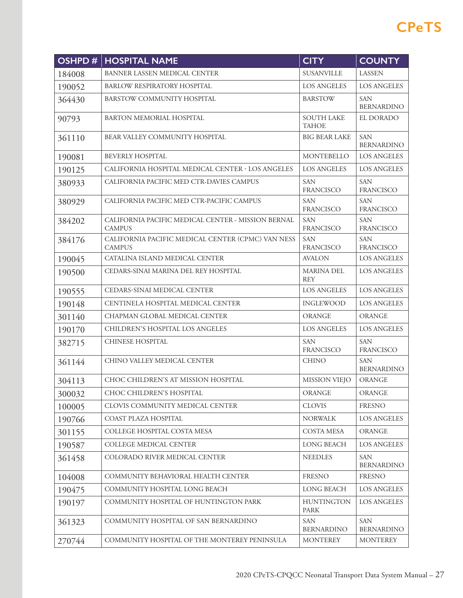| <b>OSHPD#</b> | <b>HOSPITAL NAME</b>                                                | <b>CITY</b>                       | <b>COUNTY</b>                   |
|---------------|---------------------------------------------------------------------|-----------------------------------|---------------------------------|
| 184008        | BANNER LASSEN MEDICAL CENTER                                        | <b>SUSANVILLE</b>                 | <b>LASSEN</b>                   |
| 190052        | BARLOW RESPIRATORY HOSPITAL                                         | <b>LOS ANGELES</b>                | <b>LOS ANGELES</b>              |
| 364430        | BARSTOW COMMUNITY HOSPITAL                                          | <b>BARSTOW</b>                    | <b>SAN</b><br><b>BERNARDINO</b> |
| 90793         | BARTON MEMORIAL HOSPITAL                                            | <b>SOUTH LAKE</b><br><b>TAHOE</b> | EL DORADO                       |
| 361110        | BEAR VALLEY COMMUNITY HOSPITAL                                      | <b>BIG BEAR LAKE</b>              | <b>SAN</b><br><b>BERNARDINO</b> |
| 190081        | <b>BEVERLY HOSPITAL</b>                                             | <b>MONTEBELLO</b>                 | <b>LOS ANGELES</b>              |
| 190125        | CALIFORNIA HOSPITAL MEDICAL CENTER - LOS ANGELES                    | <b>LOS ANGELES</b>                | <b>LOS ANGELES</b>              |
| 380933        | CALIFORNIA PACIFIC MED CTR-DAVIES CAMPUS                            | <b>SAN</b><br><b>FRANCISCO</b>    | <b>SAN</b><br><b>FRANCISCO</b>  |
| 380929        | CALIFORNIA PACIFIC MED CTR-PACIFIC CAMPUS                           | <b>SAN</b><br><b>FRANCISCO</b>    | <b>SAN</b><br><b>FRANCISCO</b>  |
| 384202        | CALIFORNIA PACIFIC MEDICAL CENTER - MISSION BERNAL<br><b>CAMPUS</b> | <b>SAN</b><br><b>FRANCISCO</b>    | <b>SAN</b><br><b>FRANCISCO</b>  |
| 384176        | CALIFORNIA PACIFIC MEDICAL CENTER (CPMC) VAN NESS<br><b>CAMPUS</b>  | <b>SAN</b><br><b>FRANCISCO</b>    | <b>SAN</b><br><b>FRANCISCO</b>  |
| 190045        | CATALINA ISLAND MEDICAL CENTER                                      | <b>AVALON</b>                     | <b>LOS ANGELES</b>              |
| 190500        | CEDARS-SINAI MARINA DEL REY HOSPITAL                                | <b>MARINA DEL</b><br><b>REY</b>   | <b>LOS ANGELES</b>              |
| 190555        | CEDARS-SINAI MEDICAL CENTER                                         | <b>LOS ANGELES</b>                | <b>LOS ANGELES</b>              |
| 190148        | CENTINELA HOSPITAL MEDICAL CENTER                                   | <b>INGLEWOOD</b>                  | <b>LOS ANGELES</b>              |
| 301140        | CHAPMAN GLOBAL MEDICAL CENTER                                       | <b>ORANGE</b>                     | <b>ORANGE</b>                   |
| 190170        | CHILDREN'S HOSPITAL LOS ANGELES                                     | <b>LOS ANGELES</b>                | <b>LOS ANGELES</b>              |
| 382715        | <b>CHINESE HOSPITAL</b>                                             | <b>SAN</b><br><b>FRANCISCO</b>    | <b>SAN</b><br><b>FRANCISCO</b>  |
| 361144        | CHINO VALLEY MEDICAL CENTER                                         | <b>CHINO</b>                      | <b>SAN</b><br><b>BERNARDINO</b> |
| 304113        | CHOC CHILDREN'S AT MISSION HOSPITAL                                 | <b>MISSION VIEJO</b>              | <b>ORANGE</b>                   |
| 300032        | CHOC CHILDREN'S HOSPITAL                                            | ORANGE                            | ORANGE                          |
| 100005        | CLOVIS COMMUNITY MEDICAL CENTER                                     | <b>CLOVIS</b>                     | <b>FRESNO</b>                   |
| 190766        | COAST PLAZA HOSPITAL                                                | <b>NORWALK</b>                    | <b>LOS ANGELES</b>              |
| 301155        | COLLEGE HOSPITAL COSTA MESA                                         | <b>COSTA MESA</b>                 | <b>ORANGE</b>                   |
| 190587        | <b>COLLEGE MEDICAL CENTER</b>                                       | <b>LONG BEACH</b>                 | <b>LOS ANGELES</b>              |
| 361458        | COLORADO RIVER MEDICAL CENTER                                       | <b>NEEDLES</b>                    | <b>SAN</b><br><b>BERNARDINO</b> |
| 104008        | COMMUNITY BEHAVIORAL HEALTH CENTER                                  | <b>FRESNO</b>                     | <b>FRESNO</b>                   |
| 190475        | COMMUNITY HOSPITAL LONG BEACH                                       | <b>LONG BEACH</b>                 | LOS ANGELES                     |
| 190197        | COMMUNITY HOSPITAL OF HUNTINGTON PARK                               | <b>HUNTINGTON</b><br><b>PARK</b>  | <b>LOS ANGELES</b>              |
| 361323        | COMMUNITY HOSPITAL OF SAN BERNARDINO                                | <b>SAN</b><br><b>BERNARDINO</b>   | <b>SAN</b><br><b>BERNARDINO</b> |
| 270744        | COMMUNITY HOSPITAL OF THE MONTEREY PENINSULA                        | <b>MONTEREY</b>                   | <b>MONTEREY</b>                 |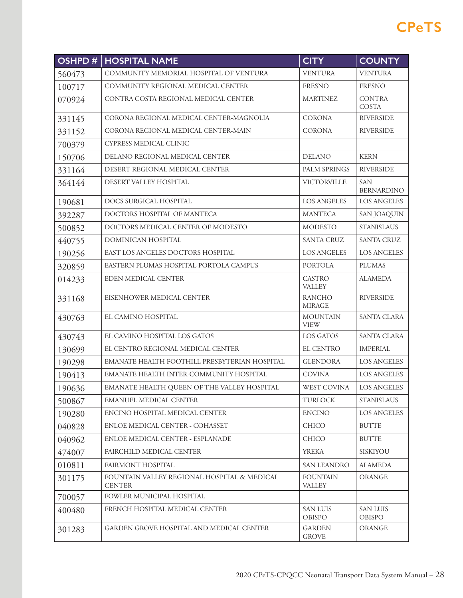| OSHPD# | <b>HOSPITAL NAME</b>                                         | <b>CITY</b>                      | <b>COUNTY</b>                    |
|--------|--------------------------------------------------------------|----------------------------------|----------------------------------|
| 560473 | COMMUNITY MEMORIAL HOSPITAL OF VENTURA                       | <b>VENTURA</b>                   | <b>VENTURA</b>                   |
| 100717 | COMMUNITY REGIONAL MEDICAL CENTER                            | <b>FRESNO</b>                    | <b>FRESNO</b>                    |
| 070924 | CONTRA COSTA REGIONAL MEDICAL CENTER                         | <b>MARTINEZ</b>                  | <b>CONTRA</b><br>COSTA           |
| 331145 | CORONA REGIONAL MEDICAL CENTER-MAGNOLIA                      | <b>CORONA</b>                    | <b>RIVERSIDE</b>                 |
| 331152 | CORONA REGIONAL MEDICAL CENTER-MAIN                          | <b>CORONA</b>                    | <b>RIVERSIDE</b>                 |
| 700379 | CYPRESS MEDICAL CLINIC                                       |                                  |                                  |
| 150706 | DELANO REGIONAL MEDICAL CENTER                               | <b>DELANO</b>                    | <b>KERN</b>                      |
| 331164 | DESERT REGIONAL MEDICAL CENTER                               | <b>PALM SPRINGS</b>              | <b>RIVERSIDE</b>                 |
| 364144 | DESERT VALLEY HOSPITAL                                       | <b>VICTORVILLE</b>               | <b>SAN</b><br><b>BERNARDINO</b>  |
| 190681 | DOCS SURGICAL HOSPITAL                                       | <b>LOS ANGELES</b>               | <b>LOS ANGELES</b>               |
| 392287 | DOCTORS HOSPITAL OF MANTECA                                  | <b>MANTECA</b>                   | <b>SAN JOAQUIN</b>               |
| 500852 | DOCTORS MEDICAL CENTER OF MODESTO                            | <b>MODESTO</b>                   | <b>STANISLAUS</b>                |
| 440755 | DOMINICAN HOSPITAL                                           | <b>SANTA CRUZ</b>                | <b>SANTA CRUZ</b>                |
| 190256 | EAST LOS ANGELES DOCTORS HOSPITAL                            | <b>LOS ANGELES</b>               | <b>LOS ANGELES</b>               |
| 320859 | EASTERN PLUMAS HOSPITAL-PORTOLA CAMPUS                       | <b>PORTOLA</b>                   | <b>PLUMAS</b>                    |
| 014233 | EDEN MEDICAL CENTER                                          | <b>CASTRO</b><br><b>VALLEY</b>   | <b>ALAMEDA</b>                   |
| 331168 | EISENHOWER MEDICAL CENTER                                    | <b>RANCHO</b><br><b>MIRAGE</b>   | <b>RIVERSIDE</b>                 |
| 430763 | EL CAMINO HOSPITAL                                           | <b>MOUNTAIN</b><br><b>VIEW</b>   | SANTA CLARA                      |
| 430743 | EL CAMINO HOSPITAL LOS GATOS                                 | LOS GATOS                        | <b>SANTA CLARA</b>               |
| 130699 | EL CENTRO REGIONAL MEDICAL CENTER                            | <b>EL CENTRO</b>                 | <b>IMPERIAL</b>                  |
| 190298 | EMANATE HEALTH FOOTHILL PRESBYTERIAN HOSPITAL                | <b>GLENDORA</b>                  | <b>LOS ANGELES</b>               |
| 190413 | EMANATE HEALTH INTER-COMMUNITY HOSPITAL                      | <b>COVINA</b>                    | <b>LOS ANGELES</b>               |
| 190636 | EMANATE HEALTH QUEEN OF THE VALLEY HOSPITAL                  | <b>WEST COVINA</b>               | <b>LOS ANGELES</b>               |
| 500867 | EMANUEL MEDICAL CENTER                                       | <b>TURLOCK</b>                   | <b>STANISLAUS</b>                |
| 190280 | ENCINO HOSPITAL MEDICAL CENTER                               | <b>ENCINO</b>                    | <b>LOS ANGELES</b>               |
| 040828 | ENLOE MEDICAL CENTER - COHASSET                              | <b>CHICO</b>                     | <b>BUTTE</b>                     |
| 040962 | ENLOE MEDICAL CENTER - ESPLANADE                             | <b>CHICO</b>                     | <b>BUTTE</b>                     |
| 474007 | FAIRCHILD MEDICAL CENTER                                     | <b>YREKA</b>                     | SISKIYOU                         |
| 010811 | FAIRMONT HOSPITAL                                            | <b>SAN LEANDRO</b>               | <b>ALAMEDA</b>                   |
| 301175 | FOUNTAIN VALLEY REGIONAL HOSPITAL & MEDICAL<br><b>CENTER</b> | <b>FOUNTAIN</b><br><b>VALLEY</b> | <b>ORANGE</b>                    |
| 700057 | FOWLER MUNICIPAL HOSPITAL                                    |                                  |                                  |
| 400480 | FRENCH HOSPITAL MEDICAL CENTER                               | <b>SAN LUIS</b><br>OBISPO        | <b>SAN LUIS</b><br><b>OBISPO</b> |
| 301283 | GARDEN GROVE HOSPITAL AND MEDICAL CENTER                     | <b>GARDEN</b><br><b>GROVE</b>    | <b>ORANGE</b>                    |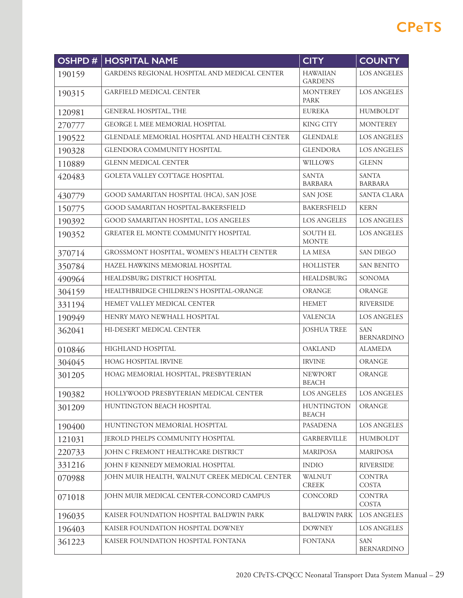| <b>OSHPD#</b> | <b>HOSPITAL NAME</b>                          | <b>CITY</b>                       | <b>COUNTY</b>                   |
|---------------|-----------------------------------------------|-----------------------------------|---------------------------------|
| 190159        | GARDENS REGIONAL HOSPITAL AND MEDICAL CENTER  | <b>HAWAIIAN</b><br><b>GARDENS</b> | <b>LOS ANGELES</b>              |
| 190315        | <b>GARFIELD MEDICAL CENTER</b>                | <b>MONTEREY</b><br><b>PARK</b>    | <b>LOS ANGELES</b>              |
| 120981        | <b>GENERAL HOSPITAL, THE</b>                  | <b>EUREKA</b>                     | <b>HUMBOLDT</b>                 |
| 270777        | <b>GEORGE L MEE MEMORIAL HOSPITAL</b>         | <b>KING CITY</b>                  | <b>MONTEREY</b>                 |
| 190522        | GLENDALE MEMORIAL HOSPITAL AND HEALTH CENTER  | <b>GLENDALE</b>                   | <b>LOS ANGELES</b>              |
| 190328        | GLENDORA COMMUNITY HOSPITAL                   | <b>GLENDORA</b>                   | <b>LOS ANGELES</b>              |
| 110889        | <b>GLENN MEDICAL CENTER</b>                   | <b>WILLOWS</b>                    | <b>GLENN</b>                    |
| 420483        | GOLETA VALLEY COTTAGE HOSPITAL                | <b>SANTA</b><br><b>BARBARA</b>    | <b>SANTA</b><br><b>BARBARA</b>  |
| 430779        | GOOD SAMARITAN HOSPITAL (HCA), SAN JOSE       | <b>SAN JOSE</b>                   | <b>SANTA CLARA</b>              |
| 150775        | GOOD SAMARITAN HOSPITAL-BAKERSFIELD           | <b>BAKERSFIELD</b>                | <b>KERN</b>                     |
| 190392        | GOOD SAMARITAN HOSPITAL, LOS ANGELES          | <b>LOS ANGELES</b>                | <b>LOS ANGELES</b>              |
| 190352        | <b>GREATER EL MONTE COMMUNITY HOSPITAL</b>    | <b>SOUTH EL</b><br><b>MONTE</b>   | <b>LOS ANGELES</b>              |
| 370714        | GROSSMONT HOSPITAL, WOMEN'S HEALTH CENTER     | <b>LA MESA</b>                    | <b>SAN DIEGO</b>                |
| 350784        | HAZEL HAWKINS MEMORIAL HOSPITAL               | <b>HOLLISTER</b>                  | <b>SAN BENITO</b>               |
| 490964        | HEALDSBURG DISTRICT HOSPITAL                  | <b>HEALDSBURG</b>                 | <b>SONOMA</b>                   |
| 304159        | HEALTHBRIDGE CHILDREN'S HOSPITAL-ORANGE       | <b>ORANGE</b>                     | <b>ORANGE</b>                   |
| 331194        | HEMET VALLEY MEDICAL CENTER                   | <b>HEMET</b>                      | <b>RIVERSIDE</b>                |
| 190949        | HENRY MAYO NEWHALL HOSPITAL                   | <b>VALENCIA</b>                   | <b>LOS ANGELES</b>              |
| 362041        | HI-DESERT MEDICAL CENTER                      | <b>JOSHUA TREE</b>                | <b>SAN</b><br><b>BERNARDINO</b> |
| 010846        | HIGHLAND HOSPITAL                             | <b>OAKLAND</b>                    | <b>ALAMEDA</b>                  |
| 304045        | HOAG HOSPITAL IRVINE                          | <b>IRVINE</b>                     | ORANGE                          |
| 301205        | HOAG MEMORIAL HOSPITAL, PRESBYTERIAN          | <b>NEWPORT</b><br><b>BEACH</b>    | <b>ORANGE</b>                   |
| 190382        | HOLLYWOOD PRESBYTERIAN MEDICAL CENTER         | LOS ANGELES                       | LOS ANGELES                     |
| 301209        | HUNTINGTON BEACH HOSPITAL                     | <b>HUNTINGTON</b><br><b>BEACH</b> | <b>ORANGE</b>                   |
| 190400        | HUNTINGTON MEMORIAL HOSPITAL                  | <b>PASADENA</b>                   | <b>LOS ANGELES</b>              |
| 121031        | JEROLD PHELPS COMMUNITY HOSPITAL              | <b>GARBERVILLE</b>                | HUMBOLDT                        |
| 220733        | JOHN C FREMONT HEALTHCARE DISTRICT            | <b>MARIPOSA</b>                   | <b>MARIPOSA</b>                 |
| 331216        | JOHN F KENNEDY MEMORIAL HOSPITAL              | <b>INDIO</b>                      | <b>RIVERSIDE</b>                |
| 070988        | JOHN MUIR HEALTH, WALNUT CREEK MEDICAL CENTER | <b>WALNUT</b><br><b>CREEK</b>     | <b>CONTRA</b><br>COSTA          |
| 071018        | JOHN MUIR MEDICAL CENTER-CONCORD CAMPUS       | <b>CONCORD</b>                    | <b>CONTRA</b><br>COSTA          |
| 196035        | KAISER FOUNDATION HOSPITAL BALDWIN PARK       | <b>BALDWIN PARK</b>               | LOS ANGELES                     |
| 196403        | KAISER FOUNDATION HOSPITAL DOWNEY             | <b>DOWNEY</b>                     | LOS ANGELES                     |
| 361223        | KAISER FOUNDATION HOSPITAL FONTANA            | <b>FONTANA</b>                    | <b>SAN</b><br><b>BERNARDINO</b> |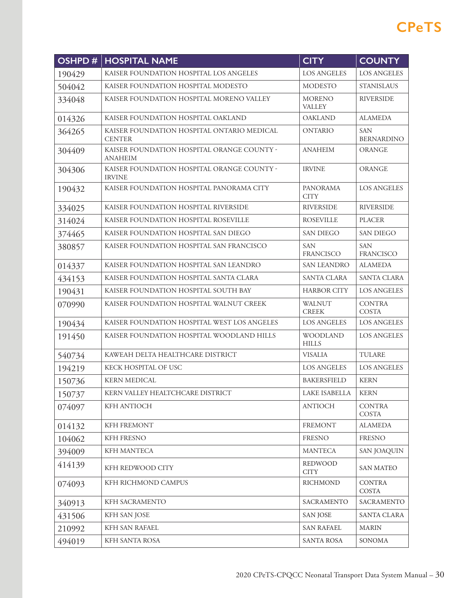| <b>OSHPD#</b> | <b>HOSPITAL NAME</b>                                         | <b>CITY</b>                    | <b>COUNTY</b>                   |
|---------------|--------------------------------------------------------------|--------------------------------|---------------------------------|
| 190429        | KAISER FOUNDATION HOSPITAL LOS ANGELES                       | <b>LOS ANGELES</b>             | <b>LOS ANGELES</b>              |
| 504042        | KAISER FOUNDATION HOSPITAL MODESTO                           | <b>MODESTO</b>                 | <b>STANISLAUS</b>               |
| 334048        | KAISER FOUNDATION HOSPITAL MORENO VALLEY                     | <b>MORENO</b><br><b>VALLEY</b> | <b>RIVERSIDE</b>                |
| 014326        | KAISER FOUNDATION HOSPITAL OAKLAND                           | <b>OAKLAND</b>                 | <b>ALAMEDA</b>                  |
| 364265        | KAISER FOUNDATION HOSPITAL ONTARIO MEDICAL<br><b>CENTER</b>  | <b>ONTARIO</b>                 | <b>SAN</b><br><b>BERNARDINO</b> |
| 304409        | KAISER FOUNDATION HOSPITAL ORANGE COUNTY -<br><b>ANAHEIM</b> | <b>ANAHEIM</b>                 | ORANGE                          |
| 304306        | KAISER FOUNDATION HOSPITAL ORANGE COUNTY -<br><b>IRVINE</b>  | <b>IRVINE</b>                  | <b>ORANGE</b>                   |
| 190432        | KAISER FOUNDATION HOSPITAL PANORAMA CITY                     | <b>PANORAMA</b><br><b>CITY</b> | <b>LOS ANGELES</b>              |
| 334025        | KAISER FOUNDATION HOSPITAL RIVERSIDE                         | <b>RIVERSIDE</b>               | <b>RIVERSIDE</b>                |
| 314024        | KAISER FOUNDATION HOSPITAL ROSEVILLE                         | <b>ROSEVILLE</b>               | <b>PLACER</b>                   |
| 374465        | KAISER FOUNDATION HOSPITAL SAN DIEGO                         | <b>SAN DIEGO</b>               | <b>SAN DIEGO</b>                |
| 380857        | KAISER FOUNDATION HOSPITAL SAN FRANCISCO                     | <b>SAN</b><br><b>FRANCISCO</b> | <b>SAN</b><br><b>FRANCISCO</b>  |
| 014337        | KAISER FOUNDATION HOSPITAL SAN LEANDRO                       | <b>SAN LEANDRO</b>             | <b>ALAMEDA</b>                  |
| 434153        | KAISER FOUNDATION HOSPITAL SANTA CLARA                       | <b>SANTA CLARA</b>             | <b>SANTA CLARA</b>              |
| 190431        | KAISER FOUNDATION HOSPITAL SOUTH BAY                         | <b>HARBOR CITY</b>             | <b>LOS ANGELES</b>              |
| 070990        | KAISER FOUNDATION HOSPITAL WALNUT CREEK                      | WALNUT<br><b>CREEK</b>         | <b>CONTRA</b><br>COSTA          |
| 190434        | KAISER FOUNDATION HOSPITAL WEST LOS ANGELES                  | <b>LOS ANGELES</b>             | <b>LOS ANGELES</b>              |
| 191450        | KAISER FOUNDATION HOSPITAL WOODLAND HILLS                    | WOODLAND<br><b>HILLS</b>       | <b>LOS ANGELES</b>              |
| 540734        | KAWEAH DELTA HEALTHCARE DISTRICT                             | <b>VISALIA</b>                 | <b>TULARE</b>                   |
| 194219        | KECK HOSPITAL OF USC                                         | <b>LOS ANGELES</b>             | <b>LOS ANGELES</b>              |
| 150736        | <b>KERN MEDICAL</b>                                          | <b>BAKERSFIELD</b>             | <b>KERN</b>                     |
| 150737        | KERN VALLEY HEALTCHCARE DISTRICT                             | LAKE ISABELLA                  | <b>KERN</b>                     |
| 074097        | KFH ANTIOCH                                                  | <b>ANTIOCH</b>                 | <b>CONTRA</b><br><b>COSTA</b>   |
| 014132        | KFH FREMONT                                                  | <b>FREMONT</b>                 | <b>ALAMEDA</b>                  |
| 104062        | KFH FRESNO                                                   | <b>FRESNO</b>                  | FRESNO                          |
| 394009        | KFH MANTECA                                                  | <b>MANTECA</b>                 | <b>SAN JOAQUIN</b>              |
| 414139        | KFH REDWOOD CITY                                             | REDWOOD<br><b>CITY</b>         | <b>SAN MATEO</b>                |
| 074093        | KFH RICHMOND CAMPUS                                          | <b>RICHMOND</b>                | <b>CONTRA</b><br>COSTA          |
| 340913        | KFH SACRAMENTO                                               | SACRAMENTO                     | SACRAMENTO                      |
| 431506        | KFH SAN JOSE                                                 | <b>SAN JOSE</b>                | SANTA CLARA                     |
| 210992        | KFH SAN RAFAEL                                               | <b>SAN RAFAEL</b>              | <b>MARIN</b>                    |
| 494019        | KFH SANTA ROSA                                               | <b>SANTA ROSA</b>              | SONOMA                          |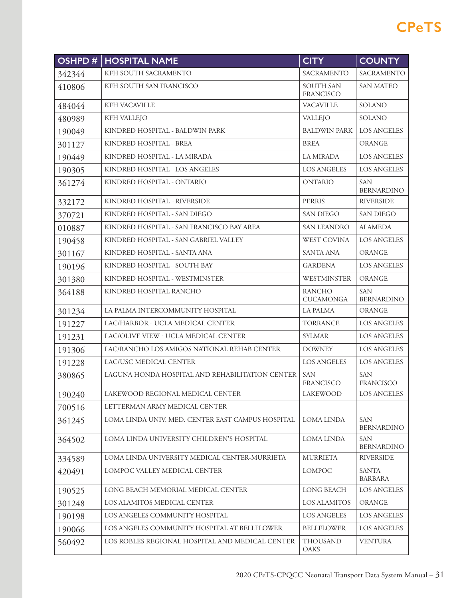| OSHPD# | <b>HOSPITAL NAME</b>                              | <b>CITY</b>                          | <b>COUNTY</b>                   |
|--------|---------------------------------------------------|--------------------------------------|---------------------------------|
| 342344 | KFH SOUTH SACRAMENTO                              | SACRAMENTO                           | <b>SACRAMENTO</b>               |
| 410806 | KFH SOUTH SAN FRANCISCO                           | <b>SOUTH SAN</b><br><b>FRANCISCO</b> | <b>SAN MATEO</b>                |
| 484044 | KFH VACAVILLE                                     | <b>VACAVILLE</b>                     | SOLANO                          |
| 480989 | <b>KFH VALLEJO</b>                                | VALLEJO                              | SOLANO                          |
| 190049 | KINDRED HOSPITAL - BALDWIN PARK                   | <b>BALDWIN PARK</b>                  | <b>LOS ANGELES</b>              |
| 301127 | KINDRED HOSPITAL - BREA                           | <b>BREA</b>                          | <b>ORANGE</b>                   |
| 190449 | KINDRED HOSPITAL - LA MIRADA                      | <b>LA MIRADA</b>                     | <b>LOS ANGELES</b>              |
| 190305 | KINDRED HOSPITAL - LOS ANGELES                    | <b>LOS ANGELES</b>                   | <b>LOS ANGELES</b>              |
| 361274 | KINDRED HOSPITAL - ONTARIO                        | <b>ONTARIO</b>                       | <b>SAN</b><br><b>BERNARDINO</b> |
| 332172 | KINDRED HOSPITAL - RIVERSIDE                      | <b>PERRIS</b>                        | <b>RIVERSIDE</b>                |
| 370721 | KINDRED HOSPITAL - SAN DIEGO                      | <b>SAN DIEGO</b>                     | <b>SAN DIEGO</b>                |
| 010887 | KINDRED HOSPITAL - SAN FRANCISCO BAY AREA         | <b>SAN LEANDRO</b>                   | <b>ALAMEDA</b>                  |
| 190458 | KINDRED HOSPITAL - SAN GABRIEL VALLEY             | <b>WEST COVINA</b>                   | <b>LOS ANGELES</b>              |
| 301167 | KINDRED HOSPITAL - SANTA ANA                      | <b>SANTA ANA</b>                     | <b>ORANGE</b>                   |
| 190196 | KINDRED HOSPITAL - SOUTH BAY                      | <b>GARDENA</b>                       | <b>LOS ANGELES</b>              |
| 301380 | KINDRED HOSPITAL - WESTMINSTER                    | WESTMINSTER                          | <b>ORANGE</b>                   |
| 364188 | KINDRED HOSPITAL RANCHO                           | <b>RANCHO</b><br><b>CUCAMONGA</b>    | <b>SAN</b><br><b>BERNARDINO</b> |
| 301234 | LA PALMA INTERCOMMUNITY HOSPITAL                  | <b>LA PALMA</b>                      | ORANGE                          |
| 191227 | LAC/HARBOR - UCLA MEDICAL CENTER                  | <b>TORRANCE</b>                      | <b>LOS ANGELES</b>              |
| 191231 | LAC/OLIVE VIEW - UCLA MEDICAL CENTER              | <b>SYLMAR</b>                        | <b>LOS ANGELES</b>              |
| 191306 | LAC/RANCHO LOS AMIGOS NATIONAL REHAB CENTER       | <b>DOWNEY</b>                        | <b>LOS ANGELES</b>              |
| 191228 | LAC/USC MEDICAL CENTER                            | <b>LOS ANGELES</b>                   | <b>LOS ANGELES</b>              |
| 380865 | LAGUNA HONDA HOSPITAL AND REHABILITATION CENTER   | <b>SAN</b><br><b>FRANCISCO</b>       | <b>SAN</b><br>FRANCISCO         |
| 190240 | LAKEWOOD REGIONAL MEDICAL CENTER                  | LAKEWOOD                             | LOS ANGELES                     |
| 700516 | LETTERMAN ARMY MEDICAL CENTER                     |                                      |                                 |
| 361245 | LOMA LINDA UNIV. MED. CENTER EAST CAMPUS HOSPITAL | <b>LOMA LINDA</b>                    | <b>SAN</b><br><b>BERNARDINO</b> |
| 364502 | LOMA LINDA UNIVERSITY CHILDREN'S HOSPITAL         | <b>LOMA LINDA</b>                    | <b>SAN</b><br><b>BERNARDINO</b> |
| 334589 | LOMA LINDA UNIVERSITY MEDICAL CENTER-MURRIETA     | <b>MURRIETA</b>                      | <b>RIVERSIDE</b>                |
| 420491 | LOMPOC VALLEY MEDICAL CENTER                      | <b>LOMPOC</b>                        | <b>SANTA</b><br><b>BARBARA</b>  |
| 190525 | LONG BEACH MEMORIAL MEDICAL CENTER                | <b>LONG BEACH</b>                    | LOS ANGELES                     |
| 301248 | LOS ALAMITOS MEDICAL CENTER                       | <b>LOS ALAMITOS</b>                  | <b>ORANGE</b>                   |
| 190198 | LOS ANGELES COMMUNITY HOSPITAL                    | <b>LOS ANGELES</b>                   | LOS ANGELES                     |
| 190066 | LOS ANGELES COMMUNITY HOSPITAL AT BELLFLOWER      | <b>BELLFLOWER</b>                    | <b>LOS ANGELES</b>              |
| 560492 | LOS ROBLES REGIONAL HOSPITAL AND MEDICAL CENTER   | <b>THOUSAND</b><br>OAKS              | <b>VENTURA</b>                  |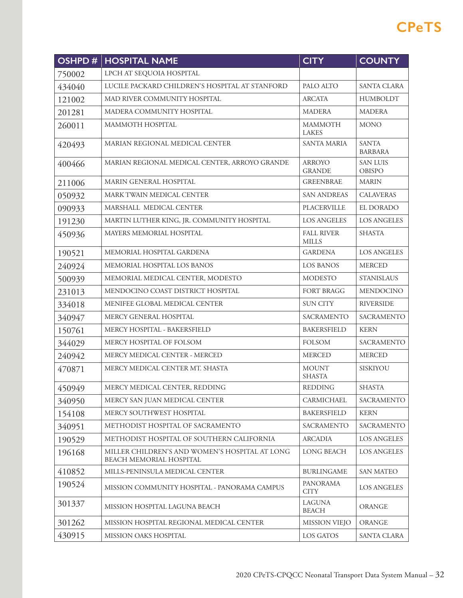| <b>OSHPD#</b> | <b>HOSPITAL NAME</b>                                                      | <b>CITY</b>                       | <b>COUNTY</b>                    |
|---------------|---------------------------------------------------------------------------|-----------------------------------|----------------------------------|
| 750002        | LPCH AT SEQUOIA HOSPITAL                                                  |                                   |                                  |
| 434040        | LUCILE PACKARD CHILDREN'S HOSPITAL AT STANFORD                            | PALO ALTO                         | <b>SANTA CLARA</b>               |
| 121002        | MAD RIVER COMMUNITY HOSPITAL                                              | <b>ARCATA</b>                     | <b>HUMBOLDT</b>                  |
| 201281        | MADERA COMMUNITY HOSPITAL                                                 | <b>MADERA</b>                     | <b>MADERA</b>                    |
| 260011        | <b>MAMMOTH HOSPITAL</b>                                                   | <b>MAMMOTH</b><br><b>LAKES</b>    | <b>MONO</b>                      |
| 420493        | MARIAN REGIONAL MEDICAL CENTER                                            | <b>SANTA MARIA</b>                | <b>SANTA</b><br><b>BARBARA</b>   |
| 400466        | MARIAN REGIONAL MEDICAL CENTER, ARROYO GRANDE                             | <b>ARROYO</b><br><b>GRANDE</b>    | <b>SAN LUIS</b><br><b>OBISPO</b> |
| 211006        | MARIN GENERAL HOSPITAL                                                    | <b>GREENBRAE</b>                  | <b>MARIN</b>                     |
| 050932        | MARK TWAIN MEDICAL CENTER                                                 | <b>SAN ANDREAS</b>                | <b>CALAVERAS</b>                 |
| 090933        | MARSHALL MEDICAL CENTER                                                   | PLACERVILLE                       | EL DORADO                        |
| 191230        | MARTIN LUTHER KING, JR. COMMUNITY HOSPITAL                                | <b>LOS ANGELES</b>                | <b>LOS ANGELES</b>               |
| 450936        | <b>MAYERS MEMORIAL HOSPITAL</b>                                           | <b>FALL RIVER</b><br><b>MILLS</b> | <b>SHASTA</b>                    |
| 190521        | MEMORIAL HOSPITAL GARDENA                                                 | <b>GARDENA</b>                    | <b>LOS ANGELES</b>               |
| 240924        | MEMORIAL HOSPITAL LOS BANOS                                               | <b>LOS BANOS</b>                  | <b>MERCED</b>                    |
| 500939        | MEMORIAL MEDICAL CENTER, MODESTO                                          | <b>MODESTO</b>                    | <b>STANISLAUS</b>                |
| 231013        | MENDOCINO COAST DISTRICT HOSPITAL                                         | FORT BRAGG                        | <b>MENDOCINO</b>                 |
| 334018        | MENIFEE GLOBAL MEDICAL CENTER                                             | <b>SUN CITY</b>                   | <b>RIVERSIDE</b>                 |
| 340947        | MERCY GENERAL HOSPITAL                                                    | SACRAMENTO                        | SACRAMENTO                       |
| 150761        | MERCY HOSPITAL - BAKERSFIELD                                              | <b>BAKERSFIELD</b>                | <b>KERN</b>                      |
| 344029        | MERCY HOSPITAL OF FOLSOM                                                  | <b>FOLSOM</b>                     | <b>SACRAMENTO</b>                |
| 240942        | MERCY MEDICAL CENTER - MERCED                                             | <b>MERCED</b>                     | <b>MERCED</b>                    |
| 470871        | MERCY MEDICAL CENTER MT. SHASTA                                           | <b>MOUNT</b><br><b>SHASTA</b>     | SISKIYOU                         |
| 450949        | MERCY MEDICAL CENTER, REDDING                                             | <b>REDDING</b>                    | <b>SHASTA</b>                    |
| 340950        | MERCY SAN JUAN MEDICAL CENTER                                             | CARMICHAEL                        | SACRAMENTO                       |
| 154108        | MERCY SOUTHWEST HOSPITAL                                                  | <b>BAKERSFIELD</b>                | <b>KERN</b>                      |
| 340951        | METHODIST HOSPITAL OF SACRAMENTO                                          | SACRAMENTO                        | SACRAMENTO                       |
| 190529        | METHODIST HOSPITAL OF SOUTHERN CALIFORNIA                                 | <b>ARCADIA</b>                    | LOS ANGELES                      |
| 196168        | MILLER CHILDREN'S AND WOMEN'S HOSPITAL AT LONG<br>BEACH MEMORIAL HOSPITAL | <b>LONG BEACH</b>                 | LOS ANGELES                      |
| 410852        | MILLS-PENINSULA MEDICAL CENTER                                            | <b>BURLINGAME</b>                 | <b>SAN MATEO</b>                 |
| 190524        | MISSION COMMUNITY HOSPITAL - PANORAMA CAMPUS                              | <b>PANORAMA</b><br><b>CITY</b>    | <b>LOS ANGELES</b>               |
| 301337        | MISSION HOSPITAL LAGUNA BEACH                                             | <b>LAGUNA</b><br><b>BEACH</b>     | ORANGE                           |
| 301262        | MISSION HOSPITAL REGIONAL MEDICAL CENTER                                  | MISSION VIEJO                     | ORANGE                           |
| 430915        | MISSION OAKS HOSPITAL                                                     | LOS GATOS                         | SANTA CLARA                      |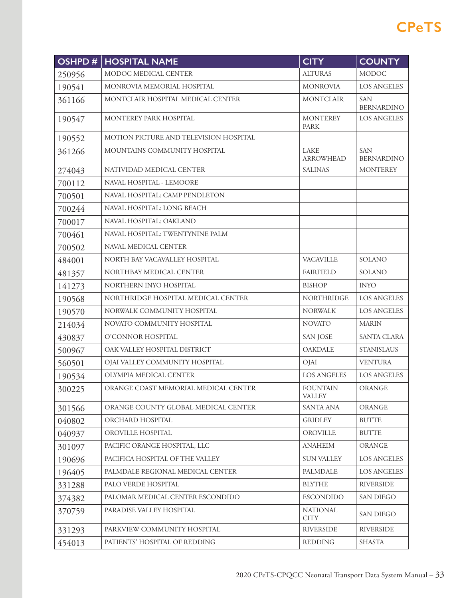| OSHPD# | <b>HOSPITAL NAME</b>                   | <b>CITY</b>                      | <b>COUNTY</b>                   |
|--------|----------------------------------------|----------------------------------|---------------------------------|
| 250956 | MODOC MEDICAL CENTER                   | <b>ALTURAS</b>                   | <b>MODOC</b>                    |
| 190541 | MONROVIA MEMORIAL HOSPITAL             | <b>MONROVIA</b>                  | <b>LOS ANGELES</b>              |
| 361166 | MONTCLAIR HOSPITAL MEDICAL CENTER      | <b>MONTCLAIR</b>                 | <b>SAN</b><br><b>BERNARDINO</b> |
| 190547 | MONTEREY PARK HOSPITAL                 | <b>MONTEREY</b><br><b>PARK</b>   | <b>LOS ANGELES</b>              |
| 190552 | MOTION PICTURE AND TELEVISION HOSPITAL |                                  |                                 |
| 361266 | MOUNTAINS COMMUNITY HOSPITAL           | <b>LAKE</b><br><b>ARROWHEAD</b>  | <b>SAN</b><br><b>BERNARDINO</b> |
| 274043 | NATIVIDAD MEDICAL CENTER               | <b>SALINAS</b>                   | <b>MONTEREY</b>                 |
| 700112 | NAVAL HOSPITAL - LEMOORE               |                                  |                                 |
| 700501 | NAVAL HOSPITAL: CAMP PENDLETON         |                                  |                                 |
| 700244 | NAVAL HOSPITAL: LONG BEACH             |                                  |                                 |
| 700017 | NAVAL HOSPITAL: OAKLAND                |                                  |                                 |
| 700461 | NAVAL HOSPITAL: TWENTYNINE PALM        |                                  |                                 |
| 700502 | NAVAL MEDICAL CENTER                   |                                  |                                 |
| 484001 | NORTH BAY VACAVALLEY HOSPITAL          | <b>VACAVILLE</b>                 | SOLANO                          |
| 481357 | NORTHBAY MEDICAL CENTER                | <b>FAIRFIELD</b>                 | SOLANO                          |
| 141273 | NORTHERN INYO HOSPITAL                 | <b>BISHOP</b>                    | <b>INYO</b>                     |
| 190568 | NORTHRIDGE HOSPITAL MEDICAL CENTER     | <b>NORTHRIDGE</b>                | <b>LOS ANGELES</b>              |
| 190570 | NORWALK COMMUNITY HOSPITAL             | <b>NORWALK</b>                   | <b>LOS ANGELES</b>              |
| 214034 | NOVATO COMMUNITY HOSPITAL              | <b>NOVATO</b>                    | <b>MARIN</b>                    |
| 430837 | O'CONNOR HOSPITAL                      | <b>SAN JOSE</b>                  | <b>SANTA CLARA</b>              |
| 500967 | OAK VALLEY HOSPITAL DISTRICT           | <b>OAKDALE</b>                   | <b>STANISLAUS</b>               |
| 560501 | OJAI VALLEY COMMUNITY HOSPITAL         | OJAI                             | <b>VENTURA</b>                  |
| 190534 | OLYMPIA MEDICAL CENTER                 | <b>LOS ANGELES</b>               | <b>LOS ANGELES</b>              |
| 300225 | ORANGE COAST MEMORIAL MEDICAL CENTER   | <b>FOUNTAIN</b><br><b>VALLEY</b> | <b>ORANGE</b>                   |
| 301566 | ORANGE COUNTY GLOBAL MEDICAL CENTER    | <b>SANTA ANA</b>                 | <b>ORANGE</b>                   |
| 040802 | ORCHARD HOSPITAL                       | <b>GRIDLEY</b>                   | <b>BUTTE</b>                    |
| 040937 | OROVILLE HOSPITAL                      | <b>OROVILLE</b>                  | <b>BUTTE</b>                    |
| 301097 | PACIFIC ORANGE HOSPITAL, LLC           | <b>ANAHEIM</b>                   | <b>ORANGE</b>                   |
| 190696 | PACIFICA HOSPITAL OF THE VALLEY        | <b>SUN VALLEY</b>                | <b>LOS ANGELES</b>              |
| 196405 | PALMDALE REGIONAL MEDICAL CENTER       | <b>PALMDALE</b>                  | <b>LOS ANGELES</b>              |
| 331288 | PALO VERDE HOSPITAL                    | <b>BLYTHE</b>                    | <b>RIVERSIDE</b>                |
| 374382 | PALOMAR MEDICAL CENTER ESCONDIDO       | <b>ESCONDIDO</b>                 | <b>SAN DIEGO</b>                |
| 370759 | PARADISE VALLEY HOSPITAL               | <b>NATIONAL</b><br><b>CITY</b>   | <b>SAN DIEGO</b>                |
| 331293 | PARKVIEW COMMUNITY HOSPITAL            | <b>RIVERSIDE</b>                 | <b>RIVERSIDE</b>                |
| 454013 | PATIENTS' HOSPITAL OF REDDING          | <b>REDDING</b>                   | <b>SHASTA</b>                   |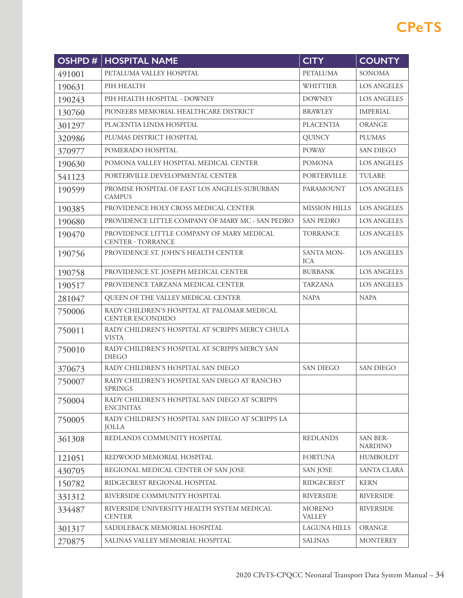| OSHPD# | <b>HOSPITAL NAME</b>                                                  | <b>CITY</b>                    | <b>COUNTY</b>              |
|--------|-----------------------------------------------------------------------|--------------------------------|----------------------------|
| 491001 | PETALUMA VALLEY HOSPITAL                                              | <b>PETALUMA</b>                | <b>SONOMA</b>              |
| 190631 | PIH HEALTH                                                            | <b>WHITTIER</b>                | <b>LOS ANGELES</b>         |
| 190243 | PIH HEALTH HOSPITAL - DOWNEY                                          | <b>DOWNEY</b>                  | <b>LOS ANGELES</b>         |
| 130760 | PIONEERS MEMORIAL HEALTHCARE DISTRICT                                 | <b>BRAWLEY</b>                 | <b>IMPERIAL</b>            |
| 301297 | PLACENTIA LINDA HOSPITAL                                              | <b>PLACENTIA</b>               | <b>ORANGE</b>              |
| 320986 | PLUMAS DISTRICT HOSPITAL                                              | <b>QUINCY</b>                  | <b>PLUMAS</b>              |
| 370977 | POMERADO HOSPITAL                                                     | <b>POWAY</b>                   | SAN DIEGO                  |
| 190630 | POMONA VALLEY HOSPITAL MEDICAL CENTER                                 | <b>POMONA</b>                  | LOS ANGELES                |
| 541123 | PORTERVILLE DEVELOPMENTAL CENTER                                      | PORTERVILLE                    | <b>TULARE</b>              |
| 190599 | PROMISE HOSPITAL OF EAST LOS ANGELES-SUBURBAN<br><b>CAMPUS</b>        | PARAMOUNT                      | <b>LOS ANGELES</b>         |
| 190385 | PROVIDENCE HOLY CROSS MEDICAL CENTER                                  | <b>MISSION HILLS</b>           | <b>LOS ANGELES</b>         |
| 190680 | PROVIDENCE LITTLE COMPANY OF MARY MC - SAN PEDRO                      | <b>SAN PEDRO</b>               | <b>LOS ANGELES</b>         |
| 190470 | PROVIDENCE LITTLE COMPANY OF MARY MEDICAL<br><b>CENTER - TORRANCE</b> | <b>TORRANCE</b>                | <b>LOS ANGELES</b>         |
| 190756 | PROVIDENCE ST. JOHN'S HEALTH CENTER                                   | SANTA MON-<br><b>ICA</b>       | <b>LOS ANGELES</b>         |
| 190758 | PROVIDENCE ST. JOSEPH MEDICAL CENTER                                  | <b>BURBANK</b>                 | <b>LOS ANGELES</b>         |
| 190517 | PROVIDENCE TARZANA MEDICAL CENTER                                     | <b>TARZANA</b>                 | <b>LOS ANGELES</b>         |
| 281047 | QUEEN OF THE VALLEY MEDICAL CENTER                                    | <b>NAPA</b>                    | <b>NAPA</b>                |
| 750006 | RADY CHILDREN'S HOSPITAL AT PALOMAR MEDICAL<br>CENTER ESCONDIDO       |                                |                            |
| 750011 | RADY CHILDREN'S HOSPITAL AT SCRIPPS MERCY CHULA<br><b>VISTA</b>       |                                |                            |
| 750010 | RADY CHILDREN'S HOSPITAL AT SCRIPPS MERCY SAN<br><b>DIEGO</b>         |                                |                            |
| 370673 | RADY CHILDREN'S HOSPITAL SAN DIEGO                                    | <b>SAN DIEGO</b>               | <b>SAN DIEGO</b>           |
| 750007 | RADY CHILDREN'S HOSPITAL SAN DIEGO AT RANCHO<br><b>SPRINGS</b>        |                                |                            |
| 750004 | RADY CHILDREN'S HOSPITAL SAN DIEGO AT SCRIPPS<br><b>ENCINITAS</b>     |                                |                            |
| 750005 | RADY CHILDREN'S HOSPITAL SAN DIEGO AT SCRIPPS LA<br><b>JOLLA</b>      |                                |                            |
| 361308 | REDLANDS COMMUNITY HOSPITAL                                           | <b>REDLANDS</b>                | SAN BER-<br><b>NARDINO</b> |
| 121051 | REDWOOD MEMORIAL HOSPITAL                                             | <b>FORTUNA</b>                 | <b>HUMBOLDT</b>            |
| 430705 | REGIONAL MEDICAL CENTER OF SAN JOSE                                   | <b>SAN JOSE</b>                | SANTA CLARA                |
| 150782 | RIDGECREST REGIONAL HOSPITAL                                          | <b>RIDGECREST</b>              | <b>KERN</b>                |
| 331312 | RIVERSIDE COMMUNITY HOSPITAL                                          | <b>RIVERSIDE</b>               | <b>RIVERSIDE</b>           |
| 334487 | RIVERSIDE UNIVERSITY HEALTH SYSTEM MEDICAL<br><b>CENTER</b>           | <b>MORENO</b><br><b>VALLEY</b> | <b>RIVERSIDE</b>           |
| 301317 | SADDLEBACK MEMORIAL HOSPITAL                                          | LAGUNA HILLS                   | ORANGE                     |
| 270875 | SALINAS VALLEY MEMORIAL HOSPITAL                                      | <b>SALINAS</b>                 | <b>MONTEREY</b>            |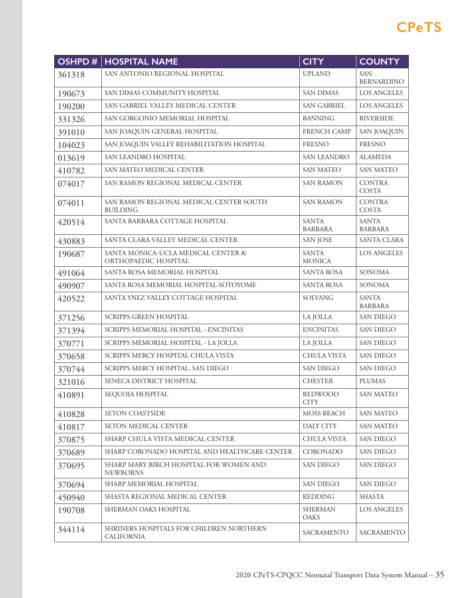| OSHPD# | <b>HOSPITAL NAME</b>                                          | <b>CITY</b>                    | <b>COUNTY</b>                   |
|--------|---------------------------------------------------------------|--------------------------------|---------------------------------|
| 361318 | SAN ANTONIO REGIONAL HOSPITAL<br><b>UPLAND</b>                |                                | <b>SAN</b><br><b>BERNARDINO</b> |
| 190673 | SAN DIMAS COMMUNITY HOSPITAL                                  | <b>SAN DIMAS</b>               | <b>LOS ANGELES</b>              |
| 190200 | SAN GABRIEL VALLEY MEDICAL CENTER                             | <b>SAN GABRIEL</b>             | <b>LOS ANGELES</b>              |
| 331326 | SAN GORGONIO MEMORIAL HOSPITAL                                | <b>BANNING</b>                 | <b>RIVERSIDE</b>                |
| 391010 | SAN JOAQUIN GENERAL HOSPITAL                                  | <b>FRENCH CAMP</b>             | <b>SAN JOAQUIN</b>              |
| 104023 | SAN JOAQUIN VALLEY REHABILITATION HOSPITAL                    | <b>FRESNO</b>                  | <b>FRESNO</b>                   |
| 013619 | SAN LEANDRO HOSPITAL                                          | <b>SAN LEANDRO</b>             | <b>ALAMEDA</b>                  |
| 410782 | SAN MATEO MEDICAL CENTER                                      | <b>SAN MATEO</b>               | <b>SAN MATEO</b>                |
| 074017 | SAN RAMON REGIONAL MEDICAL CENTER                             | <b>SAN RAMON</b>               | <b>CONTRA</b><br><b>COSTA</b>   |
| 074011 | SAN RAMON REGIONAL MEDICAL CENTER SOUTH<br><b>BUILDING</b>    | <b>SAN RAMON</b>               | <b>CONTRA</b><br>COSTA          |
| 420514 | SANTA BARBARA COTTAGE HOSPITAL                                | <b>SANTA</b><br><b>BARBARA</b> | <b>SANTA</b><br><b>BARBARA</b>  |
| 430883 | SANTA CLARA VALLEY MEDICAL CENTER                             | <b>SAN JOSE</b>                | <b>SANTA CLARA</b>              |
| 190687 | SANTA MONICA-UCLA MEDICAL CENTER &<br>ORTHOPAEDIC HOSPITAL    | <b>SANTA</b><br><b>MONICA</b>  | <b>LOS ANGELES</b>              |
| 491064 | SANTA ROSA MEMORIAL HOSPITAL                                  | <b>SANTA ROSA</b>              | SONOMA                          |
| 490907 | SANTA ROSA MEMORIAL HOSPITAL-SOTOYOME                         | <b>SANTA ROSA</b>              | <b>SONOMA</b>                   |
| 420522 | SANTA YNEZ VALLEY COTTAGE HOSPITAL                            | SOLVANG                        | <b>SANTA</b><br><b>BARBARA</b>  |
| 371256 | <b>SCRIPPS GREEN HOSPITAL</b>                                 | LA JOLLA                       | <b>SAN DIEGO</b>                |
| 371394 | SCRIPPS MEMORIAL HOSPITAL - ENCINITAS                         | <b>ENCINITAS</b>               | <b>SAN DIEGO</b>                |
| 370771 | SCRIPPS MEMORIAL HOSPITAL - LA JOLLA                          | LA JOLLA                       | <b>SAN DIEGO</b>                |
| 370658 | SCRIPPS MERCY HOSPITAL CHULA VISTA                            | CHULA VISTA                    | <b>SAN DIEGO</b>                |
| 370744 | SCRIPPS MERCY HOSPITAL, SAN DIEGO                             | <b>SAN DIEGO</b>               | <b>SAN DIEGO</b>                |
| 321016 | SENECA DISTRICT HOSPITAL                                      | <b>CHESTER</b>                 | <b>PLUMAS</b>                   |
| 410891 | SEQUOIA HOSPITAL                                              | <b>REDWOOD</b><br><b>CITY</b>  | SAN MATEO                       |
| 410828 | <b>SETON COASTSIDE</b>                                        | <b>MOSS BEACH</b>              | <b>SAN MATEO</b>                |
| 410817 | <b>SETON MEDICAL CENTER</b>                                   | DALY CITY                      | <b>SAN MATEO</b>                |
| 370875 | SHARP CHULA VISTA MEDICAL CENTER                              | <b>CHULA VISTA</b>             | <b>SAN DIEGO</b>                |
| 370689 | SHARP CORONADO HOSPITAL AND HEALTHCARE CENTER                 | CORONADO                       | <b>SAN DIEGO</b>                |
| 370695 | SHARP MARY BIRCH HOSPITAL FOR WOMEN AND<br><b>NEWBORNS</b>    | <b>SAN DIEGO</b>               | <b>SAN DIEGO</b>                |
| 370694 | SHARP MEMORIAL HOSPITAL                                       | <b>SAN DIEGO</b>               | <b>SAN DIEGO</b>                |
| 450940 | SHASTA REGIONAL MEDICAL CENTER                                | <b>REDDING</b>                 | <b>SHASTA</b>                   |
| 190708 | SHERMAN OAKS HOSPITAL                                         | <b>SHERMAN</b><br>OAKS         | <b>LOS ANGELES</b>              |
| 344114 | SHRINERS HOSPITALS FOR CHILDREN NORTHERN<br><b>CALIFORNIA</b> | SACRAMENTO                     | SACRAMENTO                      |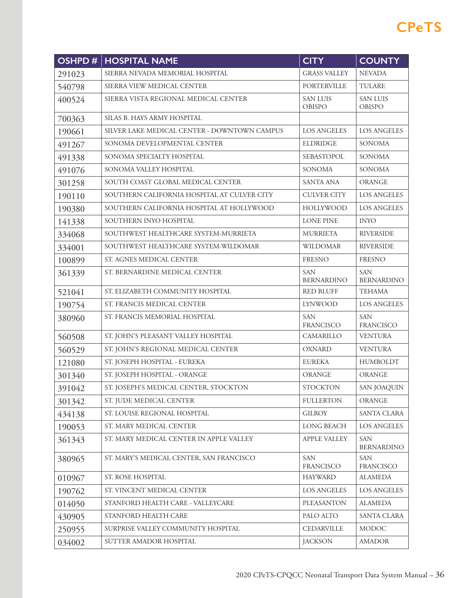| <b>OSHPD#</b> | <b>HOSPITAL NAME</b>                         | <b>CITY</b>                      | <b>COUNTY</b>                    |
|---------------|----------------------------------------------|----------------------------------|----------------------------------|
| 291023        | SIERRA NEVADA MEMORIAL HOSPITAL              | <b>GRASS VALLEY</b>              | <b>NEVADA</b>                    |
| 540798        | SIERRA VIEW MEDICAL CENTER                   | <b>PORTERVILLE</b>               | TULARE                           |
| 400524        | SIERRA VISTA REGIONAL MEDICAL CENTER         | <b>SAN LUIS</b><br><b>OBISPO</b> | <b>SAN LUIS</b><br><b>OBISPO</b> |
| 700363        | SILAS B. HAYS ARMY HOSPITAL                  |                                  |                                  |
| 190661        | SILVER LAKE MEDICAL CENTER - DOWNTOWN CAMPUS | <b>LOS ANGELES</b>               | <b>LOS ANGELES</b>               |
| 491267        | SONOMA DEVELOPMENTAL CENTER                  | <b>ELDRIDGE</b>                  | <b>SONOMA</b>                    |
| 491338        | SONOMA SPECIALTY HOSPITAL                    | SEBASTOPOL                       | <b>SONOMA</b>                    |
| 491076        | SONOMA VALLEY HOSPITAL                       | <b>SONOMA</b>                    | <b>SONOMA</b>                    |
| 301258        | SOUTH COAST GLOBAL MEDICAL CENTER            | <b>SANTA ANA</b>                 | <b>ORANGE</b>                    |
| 190110        | SOUTHERN CALIFORNIA HOSPITAL AT CULVER CITY  | <b>CULVER CITY</b>               | <b>LOS ANGELES</b>               |
| 190380        | SOUTHERN CALIFORNIA HOSPITAL AT HOLLYWOOD    | <b>HOLLYWOOD</b>                 | <b>LOS ANGELES</b>               |
| 141338        | SOUTHERN INYO HOSPITAL                       | <b>LONE PINE</b>                 | <b>INYO</b>                      |
| 334068        | SOUTHWEST HEALTHCARE SYSTEM-MURRIETA         | <b>MURRIETA</b>                  | <b>RIVERSIDE</b>                 |
| 334001        | SOUTHWEST HEALTHCARE SYSTEM-WILDOMAR         | <b>WILDOMAR</b>                  | <b>RIVERSIDE</b>                 |
| 100899        | ST. AGNES MEDICAL CENTER                     | <b>FRESNO</b>                    | <b>FRESNO</b>                    |
| 361339        | ST. BERNARDINE MEDICAL CENTER                | <b>SAN</b><br><b>BERNARDINO</b>  | <b>SAN</b><br><b>BERNARDINO</b>  |
| 521041        | ST. ELIZABETH COMMUNITY HOSPITAL             | <b>RED BLUFF</b>                 | <b>TEHAMA</b>                    |
| 190754        | ST. FRANCIS MEDICAL CENTER                   | <b>LYNWOOD</b>                   | <b>LOS ANGELES</b>               |
| 380960        | ST. FRANCIS MEMORIAL HOSPITAL                | <b>SAN</b><br><b>FRANCISCO</b>   | <b>SAN</b><br>FRANCISCO          |
| 560508        | ST. JOHN'S PLEASANT VALLEY HOSPITAL          | <b>CAMARILLO</b>                 | <b>VENTURA</b>                   |
| 560529        | ST. JOHN'S REGIONAL MEDICAL CENTER           | <b>OXNARD</b>                    | <b>VENTURA</b>                   |
| 121080        | ST. JOSEPH HOSPITAL - EUREKA                 | <b>EUREKA</b>                    | <b>HUMBOLDT</b>                  |
| 301340        | ST. JOSEPH HOSPITAL - ORANGE                 | <b>ORANGE</b>                    | <b>ORANGE</b>                    |
| 391042        | ST. JOSEPH'S MEDICAL CENTER, STOCKTON        | <b>STOCKTON</b>                  | <b>SAN JOAQUIN</b>               |
| 301342        | ST. JUDE MEDICAL CENTER                      | <b>FULLERTON</b>                 | <b>ORANGE</b>                    |
| 434138        | ST. LOUISE REGIONAL HOSPITAL                 | <b>GILROY</b>                    | SANTA CLARA                      |
| 190053        | ST. MARY MEDICAL CENTER                      | LONG BEACH                       | LOS ANGELES                      |
| 361343        | ST. MARY MEDICAL CENTER IN APPLE VALLEY      | APPLE VALLEY                     | <b>SAN</b><br><b>BERNARDINO</b>  |
| 380965        | ST. MARY'S MEDICAL CENTER, SAN FRANCISCO     | <b>SAN</b><br>FRANCISCO          | <b>SAN</b><br>FRANCISCO          |
| 010967        | ST. ROSE HOSPITAL                            | <b>HAYWARD</b>                   | <b>ALAMEDA</b>                   |
| 190762        | ST. VINCENT MEDICAL CENTER                   | <b>LOS ANGELES</b>               | <b>LOS ANGELES</b>               |
| 014050        | STANFORD HEALTH CARE - VALLEYCARE            | PLEASANTON                       | <b>ALAMEDA</b>                   |
| 430905        | STANFORD HEALTH CARE                         | PALO ALTO                        | <b>SANTA CLARA</b>               |
| 250955        | SURPRISE VALLEY COMMUNITY HOSPITAL           | <b>CEDARVILLE</b>                | <b>MODOC</b>                     |
| 034002        | SUTTER AMADOR HOSPITAL                       | <b>JACKSON</b>                   | <b>AMADOR</b>                    |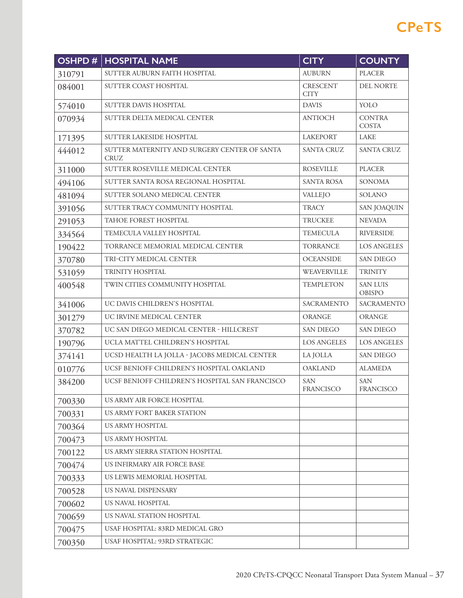| OSHPD# | <b>HOSPITAL NAME</b>                                        | <b>CITY</b>             | <b>COUNTY</b>                    |
|--------|-------------------------------------------------------------|-------------------------|----------------------------------|
| 310791 | SUTTER AUBURN FAITH HOSPITAL                                | <b>AUBURN</b>           | <b>PLACER</b>                    |
| 084001 | SUTTER COAST HOSPITAL<br><b>CRESCENT</b><br><b>CITY</b>     |                         | <b>DEL NORTE</b>                 |
| 574010 | <b>SUTTER DAVIS HOSPITAL</b>                                | <b>DAVIS</b>            | YOLO                             |
| 070934 | SUTTER DELTA MEDICAL CENTER                                 | <b>ANTIOCH</b>          | <b>CONTRA</b><br><b>COSTA</b>    |
| 171395 | SUTTER LAKESIDE HOSPITAL                                    | <b>LAKEPORT</b>         | LAKE                             |
| 444012 | SUTTER MATERNITY AND SURGERY CENTER OF SANTA<br><b>CRUZ</b> | SANTA CRUZ              | <b>SANTA CRUZ</b>                |
| 311000 | SUTTER ROSEVILLE MEDICAL CENTER                             | <b>ROSEVILLE</b>        | <b>PLACER</b>                    |
| 494106 | SUTTER SANTA ROSA REGIONAL HOSPITAL                         | <b>SANTA ROSA</b>       | <b>SONOMA</b>                    |
| 481094 | SUTTER SOLANO MEDICAL CENTER                                | VALLEJO                 | SOLANO                           |
| 391056 | SUTTER TRACY COMMUNITY HOSPITAL                             | <b>TRACY</b>            | <b>SAN JOAQUIN</b>               |
| 291053 | TAHOE FOREST HOSPITAL                                       | <b>TRUCKEE</b>          | <b>NEVADA</b>                    |
| 334564 | TEMECULA VALLEY HOSPITAL                                    | <b>TEMECULA</b>         | <b>RIVERSIDE</b>                 |
| 190422 | TORRANCE MEMORIAL MEDICAL CENTER                            | <b>TORRANCE</b>         | <b>LOS ANGELES</b>               |
| 370780 | <b>OCEANSIDE</b><br>TRI-CITY MEDICAL CENTER                 |                         | <b>SAN DIEGO</b>                 |
| 531059 | TRINITY HOSPITAL<br>WEAVERVILLE                             |                         | <b>TRINITY</b>                   |
| 400548 | TWIN CITIES COMMUNITY HOSPITAL                              | <b>TEMPLETON</b>        | <b>SAN LUIS</b><br><b>OBISPO</b> |
| 341006 | UC DAVIS CHILDREN'S HOSPITAL                                | SACRAMENTO              | <b>SACRAMENTO</b>                |
| 301279 | UC IRVINE MEDICAL CENTER                                    | ORANGE                  | ORANGE                           |
| 370782 | UC SAN DIEGO MEDICAL CENTER - HILLCREST                     | <b>SAN DIEGO</b>        | <b>SAN DIEGO</b>                 |
| 190796 | UCLA MATTEL CHILDREN'S HOSPITAL                             | <b>LOS ANGELES</b>      | <b>LOS ANGELES</b>               |
| 374141 | UCSD HEALTH LA JOLLA - JACOBS MEDICAL CENTER                | LA JOLLA                | <b>SAN DIEGO</b>                 |
| 010776 | UCSF BENIOFF CHILDREN'S HOSPITAL OAKLAND                    | <b>OAKLAND</b>          | <b>ALAMEDA</b>                   |
| 384200 | UCSF BENIOFF CHILDREN'S HOSPITAL SAN FRANCISCO              | <b>SAN</b><br>FRANCISCO | <b>SAN</b><br><b>FRANCISCO</b>   |
| 700330 | US ARMY AIR FORCE HOSPITAL                                  |                         |                                  |
| 700331 | US ARMY FORT BAKER STATION                                  |                         |                                  |
| 700364 | US ARMY HOSPITAL                                            |                         |                                  |
| 700473 | US ARMY HOSPITAL                                            |                         |                                  |
| 700122 | US ARMY SIERRA STATION HOSPITAL                             |                         |                                  |
| 700474 | US INFIRMARY AIR FORCE BASE                                 |                         |                                  |
| 700333 | US LEWIS MEMORIAL HOSPITAL                                  |                         |                                  |
| 700528 | US NAVAL DISPENSARY                                         |                         |                                  |
| 700602 | US NAVAL HOSPITAL                                           |                         |                                  |
| 700659 | US NAVAL STATION HOSPITAL                                   |                         |                                  |
| 700475 | USAF HOSPITAL: 83RD MEDICAL GRO                             |                         |                                  |
| 700350 | USAF HOSPITAL: 93RD STRATEGIC                               |                         |                                  |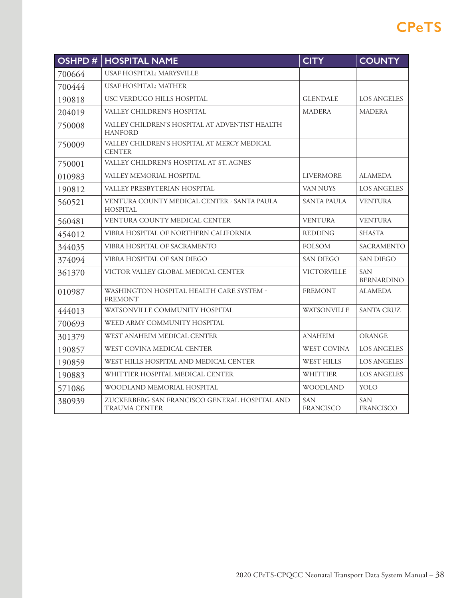| <b>OSHPD#</b>                                                            | <b>HOSPITAL NAME</b>                                                  | <b>CITY</b>             | <b>COUNTY</b>                   |
|--------------------------------------------------------------------------|-----------------------------------------------------------------------|-------------------------|---------------------------------|
| 700664                                                                   | USAF HOSPITAL: MARYSVILLE                                             |                         |                                 |
| 700444                                                                   | <b>USAF HOSPITAL: MATHER</b>                                          |                         |                                 |
| 190818                                                                   | USC VERDUGO HILLS HOSPITAL                                            | <b>GLENDALE</b>         | <b>LOS ANGELES</b>              |
| 204019                                                                   | VALLEY CHILDREN'S HOSPITAL                                            | <b>MADERA</b>           | <b>MADERA</b>                   |
| 750008                                                                   | VALLEY CHILDREN'S HOSPITAL AT ADVENTIST HEALTH<br><b>HANFORD</b>      |                         |                                 |
| 750009                                                                   | VALLEY CHILDREN'S HOSPITAL AT MERCY MEDICAL<br><b>CENTER</b>          |                         |                                 |
| 750001                                                                   | VALLEY CHILDREN'S HOSPITAL AT ST. AGNES                               |                         |                                 |
| 010983                                                                   | VALLEY MEMORIAL HOSPITAL                                              | <b>LIVERMORE</b>        | <b>ALAMEDA</b>                  |
| 190812                                                                   | VALLEY PRESBYTERIAN HOSPITAL                                          | <b>VAN NUYS</b>         | <b>LOS ANGELES</b>              |
| VENTURA COUNTY MEDICAL CENTER - SANTA PAULA<br>560521<br><b>HOSPITAL</b> |                                                                       | <b>SANTA PAULA</b>      | <b>VENTURA</b>                  |
| 560481                                                                   | VENTURA COUNTY MEDICAL CENTER                                         | <b>VENTURA</b>          | <b>VENTURA</b>                  |
| 454012                                                                   | VIBRA HOSPITAL OF NORTHERN CALIFORNIA                                 | <b>REDDING</b>          | <b>SHASTA</b>                   |
| 344035                                                                   | VIBRA HOSPITAL OF SACRAMENTO                                          | <b>FOLSOM</b>           | <b>SACRAMENTO</b>               |
| 374094                                                                   | VIBRA HOSPITAL OF SAN DIEGO                                           | <b>SAN DIEGO</b>        | <b>SAN DIEGO</b>                |
| VICTOR VALLEY GLOBAL MEDICAL CENTER<br>361370                            |                                                                       | VICTORVILLE             | <b>SAN</b><br><b>BERNARDINO</b> |
| WASHINGTON HOSPITAL HEALTH CARE SYSTEM -<br>010987<br><b>FREMONT</b>     |                                                                       | <b>FREMONT</b>          | <b>ALAMEDA</b>                  |
| 444013                                                                   | WATSONVILLE COMMUNITY HOSPITAL<br>WATSONVILLE                         |                         | <b>SANTA CRUZ</b>               |
| 700693                                                                   | WEED ARMY COMMUNITY HOSPITAL                                          |                         |                                 |
| 301379                                                                   | WEST ANAHEIM MEDICAL CENTER                                           | <b>ANAHEIM</b>          | <b>ORANGE</b>                   |
| 190857                                                                   | WEST COVINA MEDICAL CENTER                                            | <b>WEST COVINA</b>      | <b>LOS ANGELES</b>              |
| 190859                                                                   | WEST HILLS HOSPITAL AND MEDICAL CENTER                                | <b>WEST HILLS</b>       | <b>LOS ANGELES</b>              |
| 190883                                                                   | WHITTIER HOSPITAL MEDICAL CENTER                                      | <b>WHITTIER</b>         | <b>LOS ANGELES</b>              |
| 571086                                                                   | WOODLAND MEMORIAL HOSPITAL                                            | <b>WOODLAND</b>         | YOLO                            |
| 380939                                                                   | ZUCKERBERG SAN FRANCISCO GENERAL HOSPITAL AND<br><b>TRAUMA CENTER</b> | <b>SAN</b><br>FRANCISCO | <b>SAN</b><br><b>FRANCISCO</b>  |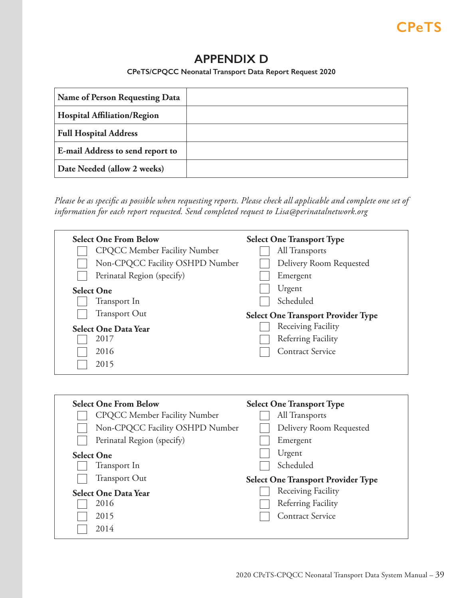## **APPENDIX D**

**CPeTS/CPQCC Neonatal Transport Data Report Request 2020**

<span id="page-38-0"></span>

| Name of Person Requesting Data     |  |
|------------------------------------|--|
| <b>Hospital Affiliation/Region</b> |  |
| <b>Full Hospital Address</b>       |  |
| E-mail Address to send report to   |  |
| Date Needed (allow 2 weeks)        |  |

*Please be as specific as possible when requesting reports. Please check all applicable and complete one set of information for each report requested. Send completed request to Lisa@perinatalnetwork.org*

| <b>Select One From Below</b>        | <b>Select One Transport Type</b>          |
|-------------------------------------|-------------------------------------------|
| <b>CPQCC Member Facility Number</b> | All Transports                            |
| Non-CPQCC Facility OSHPD Number     | Delivery Room Requested                   |
| Perinatal Region (specify)          | Emergent                                  |
| <b>Select One</b>                   | Urgent                                    |
| Transport In                        | Scheduled                                 |
| <b>Transport Out</b>                | <b>Select One Transport Provider Type</b> |
| <b>Select One Data Year</b>         | Receiving Facility                        |
| 2017                                | Referring Facility                        |
| 2016                                | <b>Contract Service</b>                   |
| 2015                                |                                           |

| <b>Select One From Below</b>        | <b>Select One Transport Type</b>          |
|-------------------------------------|-------------------------------------------|
| <b>CPQCC Member Facility Number</b> | All Transports                            |
| Non-CPQCC Facility OSHPD Number     | Delivery Room Requested                   |
| Perinatal Region (specify)          | Emergent                                  |
| <b>Select One</b>                   | Urgent                                    |
| Transport In                        | Scheduled                                 |
| <b>Transport Out</b>                | <b>Select One Transport Provider Type</b> |
| <b>Select One Data Year</b>         | Receiving Facility                        |
| 2016                                | Referring Facility                        |
| 2015                                | <b>Contract Service</b>                   |
| 2014                                |                                           |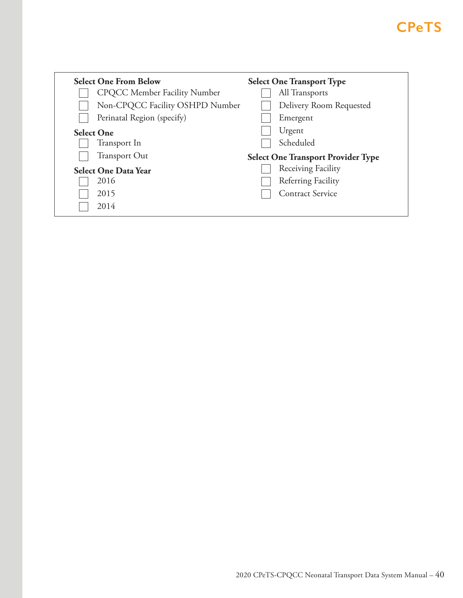| <b>Select One From Below</b>        | <b>Select One Transport Type</b>          |
|-------------------------------------|-------------------------------------------|
| <b>CPQCC Member Facility Number</b> | All Transports                            |
| Non-CPQCC Facility OSHPD Number     | Delivery Room Requested                   |
| Perinatal Region (specify)          | Emergent                                  |
| <b>Select One</b>                   | Urgent                                    |
| Transport In                        | Scheduled                                 |
| <b>Transport Out</b>                | <b>Select One Transport Provider Type</b> |
| <b>Select One Data Year</b>         | Receiving Facility                        |
| 2016                                | Referring Facility                        |
| 2015                                | <b>Contract Service</b>                   |
| 2014                                |                                           |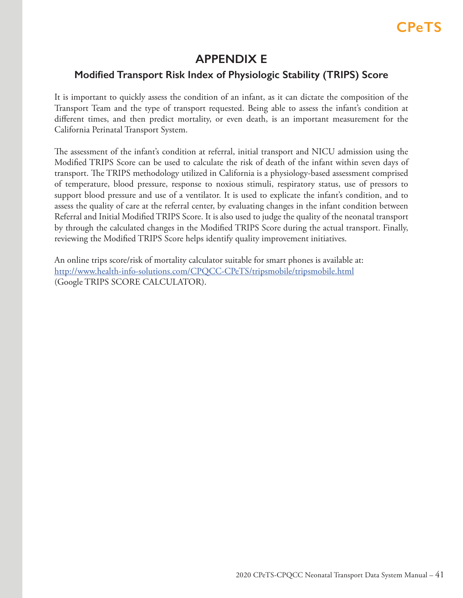## **APPENDIX E**

## <span id="page-40-0"></span>**Modified Transport Risk Index of Physiologic Stability (TRIPS) Score**

It is important to quickly assess the condition of an infant, as it can dictate the composition of the Transport Team and the type of transport requested. Being able to assess the infant's condition at different times, and then predict mortality, or even death, is an important measurement for the California Perinatal Transport System.

The assessment of the infant's condition at referral, initial transport and NICU admission using the Modified TRIPS Score can be used to calculate the risk of death of the infant within seven days of transport. The TRIPS methodology utilized in California is a physiology-based assessment comprised of temperature, blood pressure, response to noxious stimuli, respiratory status, use of pressors to support blood pressure and use of a ventilator. It is used to explicate the infant's condition, and to assess the quality of care at the referral center, by evaluating changes in the infant condition between Referral and Initial Modified TRIPS Score. It is also used to judge the quality of the neonatal transport by through the calculated changes in the Modified TRIPS Score during the actual transport. Finally, reviewing the Modified TRIPS Score helps identify quality improvement initiatives.

An online trips score/risk of mortality calculator suitable for smart phones is available at: http://www.health-info-solutions.com/CPQCC-CPeTS/tripsmobile/tripsmobile.html (Google TRIPS SCORE CALCULATOR).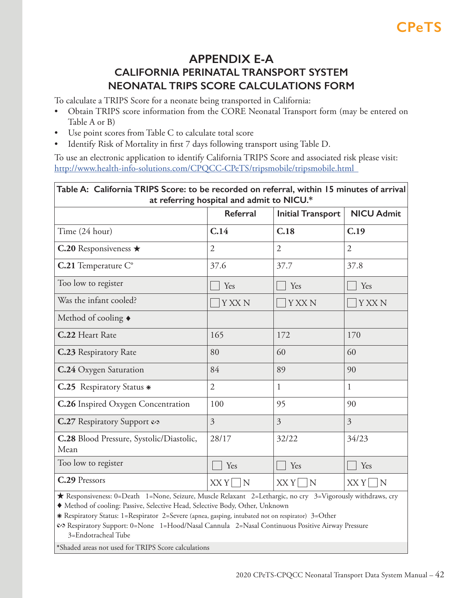## **APPENDIX E-A CALIFORNIA PERINATAL TRANSPORT SYSTEM NEONATAL TRIPS SCORE CALCULATIONS FORM**

<span id="page-41-0"></span>To calculate a TRIPS Score for a neonate being transported in California:

- Obtain TRIPS score information from the CORE Neonatal Transport form (may be entered on Table A or B)
- Use point scores from Table C to calculate total score
- Identify Risk of Mortality in first 7 days following transport using Table D.

To use an electronic application to identify California TRIPS Score and associated risk please visit: http://www.health-info-solutions.com/CPQCC-CPeTS/tripsmobile/tripsmobile.html

| Table A: California TRIPS Score: to be recorded on referral, within 15 minutes of arrival<br>at referring hospital and admit to NICU.*                                                                                                                                                        |                |                          |                   |  |
|-----------------------------------------------------------------------------------------------------------------------------------------------------------------------------------------------------------------------------------------------------------------------------------------------|----------------|--------------------------|-------------------|--|
|                                                                                                                                                                                                                                                                                               | Referral       | <b>Initial Transport</b> | <b>NICU Admit</b> |  |
| Time (24 hour)                                                                                                                                                                                                                                                                                | C.14           | C.18                     | C.19              |  |
| C.20 Responsiveness $\star$                                                                                                                                                                                                                                                                   | $\overline{2}$ | $\overline{2}$           | $\overline{2}$    |  |
| C.21 Temperature C°                                                                                                                                                                                                                                                                           | 37.6           | 37.7                     | 37.8              |  |
| Too low to register                                                                                                                                                                                                                                                                           | Yes            | Yes                      | Yes               |  |
| Was the infant cooled?                                                                                                                                                                                                                                                                        | Y XX N         | <b>Y XX N</b>            | <b>Y XX N</b>     |  |
| Method of cooling $\bullet$                                                                                                                                                                                                                                                                   |                |                          |                   |  |
| C.22 Heart Rate                                                                                                                                                                                                                                                                               | 165            | 172                      | 170               |  |
| <b>C.23 Respiratory Rate</b>                                                                                                                                                                                                                                                                  | 80             | 60                       | 60                |  |
| C.24 Oxygen Saturation                                                                                                                                                                                                                                                                        | 84             | 89                       | 90                |  |
| <b>C.25</b> Respiratory Status *                                                                                                                                                                                                                                                              | $\overline{2}$ | $\mathbf{1}$             | 1                 |  |
| C.26 Inspired Oxygen Concentration                                                                                                                                                                                                                                                            | 100            | 95                       | 90                |  |
| C.27 Respiratory Support &                                                                                                                                                                                                                                                                    | $\overline{3}$ | $\overline{3}$           | $\overline{3}$    |  |
| C.28 Blood Pressure, Systolic/Diastolic,<br>Mean                                                                                                                                                                                                                                              | 28/17          | 32/22                    | 34/23             |  |
| Too low to register                                                                                                                                                                                                                                                                           | Yes            | Yes                      | Yes               |  |
| C.29 Pressors                                                                                                                                                                                                                                                                                 | XXY<br> N      | $XXY$ N                  | XXY<br>N          |  |
| ★ Responsiveness: 0=Death 1=None, Seizure, Muscle Relaxant 2=Lethargic, no cry 3=Vigorously withdraws, cry<br>Method of cooling: Passive, Selective Head, Selective Body, Other, Unknown<br>* Respiratory Status: 1=Respirator 2=Severe (apnea, gasping, intubated not on respirator) 3=Other |                |                          |                   |  |

 � Respiratory Support: 0=None 1=Hood/Nasal Cannula 2=Nasal Continuous Positive Airway Pressure 3=Endotracheal Tube

 **\***Shaded areas not used for TRIPS Score calculations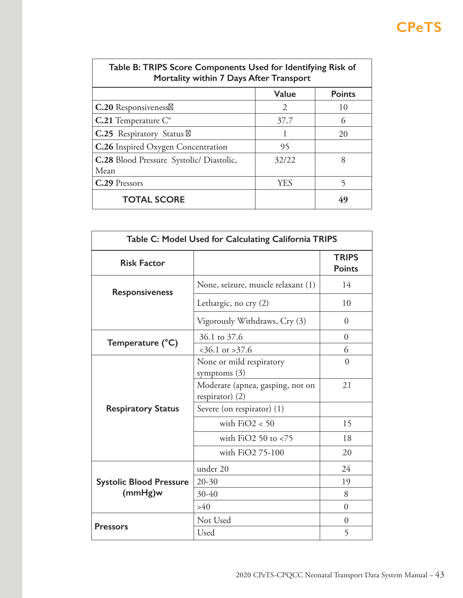| Table B: TRIPS Score Components Used for Identifying Risk of<br>Mortality within 7 Days After Transport |                             |               |  |
|---------------------------------------------------------------------------------------------------------|-----------------------------|---------------|--|
|                                                                                                         | <b>Value</b>                | <b>Points</b> |  |
| <b>C.20</b> Responsiveness                                                                              | $\mathcal{D}_{\mathcal{L}}$ | 10            |  |
| $C.21$ Temperature $C^{\circ}$                                                                          | 37.7                        | (             |  |
| <b>C.25</b> Respiratory Status                                                                          |                             | 20            |  |
| <b>C.26</b> Inspired Oxygen Concentration                                                               | 95                          |               |  |
| C.28 Blood Pressure Systolic/ Diastolic,                                                                | 32/22                       | 8             |  |
| Mean                                                                                                    |                             |               |  |
| C.29 Pressors                                                                                           | <b>YES</b>                  | 5             |  |
| <b>TOTAL SCORE</b>                                                                                      |                             | 49            |  |

| Table C: Model Used for Calculating California TRIPS |                                                                         |                               |  |
|------------------------------------------------------|-------------------------------------------------------------------------|-------------------------------|--|
| <b>Risk Factor</b>                                   |                                                                         | <b>TRIPS</b><br><b>Points</b> |  |
| <b>Responsiveness</b>                                | None, seizure, muscle relaxant (1)                                      | 14                            |  |
|                                                      | Lethargic, no cry $(2)$                                                 | 10                            |  |
|                                                      | Vigorously Withdraws, Cry (3)                                           | $\Omega$                      |  |
|                                                      | 36.1 to 37.6                                                            | $\overline{0}$                |  |
| Temperature (°C)                                     | $<$ 36.1 or > 37.6                                                      | 6                             |  |
|                                                      | None or mild respiratory                                                | $\theta$                      |  |
|                                                      | symptoms $(3)$<br>Moderate (apnea, gasping, not on<br>respirator) $(2)$ | 21                            |  |
| <b>Respiratory Status</b>                            | Severe (on respirator) (1)                                              |                               |  |
|                                                      | with $FiO2 < 50$                                                        | 15                            |  |
|                                                      | with $FiO2$ 50 to $<$ 75                                                | 18                            |  |
|                                                      | with FiO2 75-100                                                        | 20                            |  |
|                                                      | under 20                                                                | 24                            |  |
| <b>Systolic Blood Pressure</b>                       | $20 - 30$                                                               | 19                            |  |
| (mmHg)w                                              | $30-40$                                                                 | 8                             |  |
|                                                      | >40                                                                     | $\Omega$                      |  |
|                                                      | Not Used                                                                | $\theta$                      |  |
| <b>Pressors</b>                                      | Used                                                                    | 5                             |  |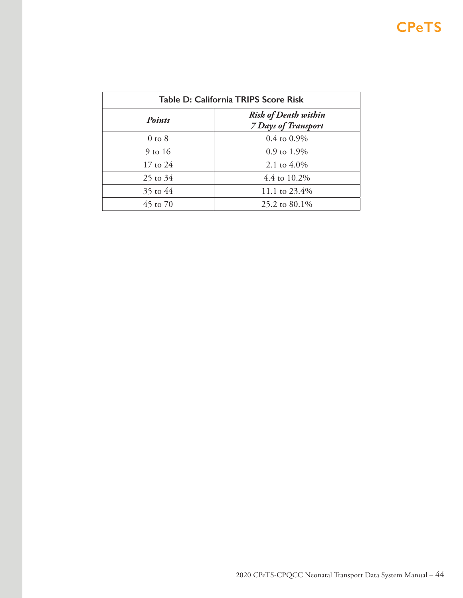| Table D: California TRIPS Score Risk |                                                           |  |  |  |  |  |  |
|--------------------------------------|-----------------------------------------------------------|--|--|--|--|--|--|
| <b>Points</b>                        | <b>Risk of Death within</b><br><b>7 Days of Transport</b> |  |  |  |  |  |  |
| $0$ to $8$                           | $0.4$ to $0.9\%$                                          |  |  |  |  |  |  |
| $9$ to 16                            | $0.9$ to $1.9\%$                                          |  |  |  |  |  |  |
| 17 to 24                             | 2.1 to $4.0\%$                                            |  |  |  |  |  |  |
| $25$ to $34$                         | 4.4 to 10.2%                                              |  |  |  |  |  |  |
| 35 to 44                             | 11.1 to 23.4%                                             |  |  |  |  |  |  |
| 45 to 70                             | 25.2 to 80.1\%                                            |  |  |  |  |  |  |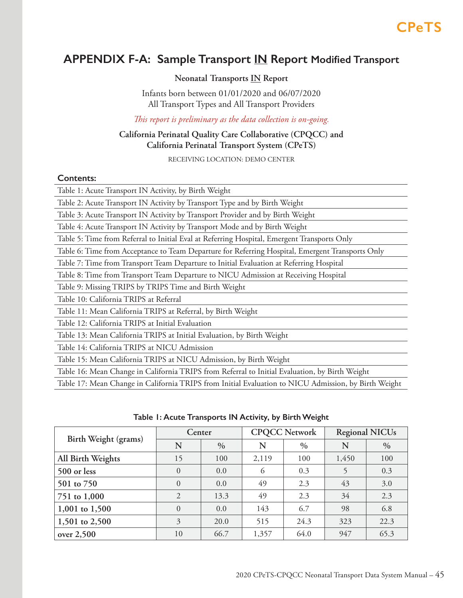## <span id="page-44-0"></span>**APPENDIX F-A: Sample Transport IN Report Modified Transport**

## **Neonatal Transports IN Report**

Infants born between 01/01/2020 and 06/07/2020 All Transport Types and All Transport Providers

*This report is preliminary as the data collection is on-going.*

## **California Perinatal Quality Care Collaborative (CPQCC) and California Perinatal Transport System (CPeTS)**

RECEIVING LOCATION: DEMO CENTER

### **Contents:**

| Table 1: Acute Transport IN Activity, by Birth Weight                                            |
|--------------------------------------------------------------------------------------------------|
| Table 2: Acute Transport IN Activity by Transport Type and by Birth Weight                       |
| Table 3: Acute Transport IN Activity by Transport Provider and by Birth Weight                   |
| Table 4: Acute Transport IN Activity by Transport Mode and by Birth Weight                       |
| Table 5: Time from Referral to Initial Eval at Referring Hospital, Emergent Transports Only      |
| Table 6: Time from Acceptance to Team Departure for Referring Hospital, Emergent Transports Only |
| Table 7: Time from Transport Team Departure to Initial Evaluation at Referring Hospital          |
| Table 8: Time from Transport Team Departure to NICU Admission at Receiving Hospital              |
| Table 9: Missing TRIPS by TRIPS Time and Birth Weight                                            |
| Table 10: California TRIPS at Referral                                                           |
| Table 11: Mean California TRIPS at Referral, by Birth Weight                                     |
| Table 12: California TRIPS at Initial Evaluation                                                 |
| Table 13: Mean California TRIPS at Initial Evaluation, by Birth Weight                           |
| Table 14: California TRIPS at NICU Admission                                                     |
| Table 15: Mean California TRIPS at NICU Admission, by Birth Weight                               |
| Table 16: Mean Change in California TRIPS from Referral to Initial Evaluation, by Birth Weight   |

Table 17: Mean Change in California TRIPS from Initial Evaluation to NICU Admission, by Birth Weight

| Birth Weight (grams) | Center         |               |       | <b>CPQCC Network</b> | <b>Regional NICUs</b> |               |  |
|----------------------|----------------|---------------|-------|----------------------|-----------------------|---------------|--|
|                      | N              | $\frac{0}{0}$ | N     | $\%$                 | N                     | $\frac{0}{0}$ |  |
| All Birth Weights    | 15             | 100           | 2,119 | 100                  | 1,450                 | 100           |  |
| 500 or less          | $\theta$       | 0.0           | 6     | 0.3                  |                       | 0.3           |  |
| 501 to 750           | $\theta$       | 0.0           | 49    | 2.3                  | 43                    | 3.0           |  |
| 751 to 1,000         | $\overline{2}$ | 13.3          | 49    | 2.3                  | 34                    | 2.3           |  |
| 1,001 to 1,500       | $\theta$       | 0.0           | 143   | 6.7                  | 98                    | 6.8           |  |
| 1,501 to 2,500       | 3              | 20.0          | 515   | 24.3                 | 323                   | 22.3          |  |
| over 2,500           | 10             | 66.7          | 1,357 | 64.0                 | 947                   | 65.3          |  |

### **Table 1: Acute Transports IN Activity, by Birth Weight**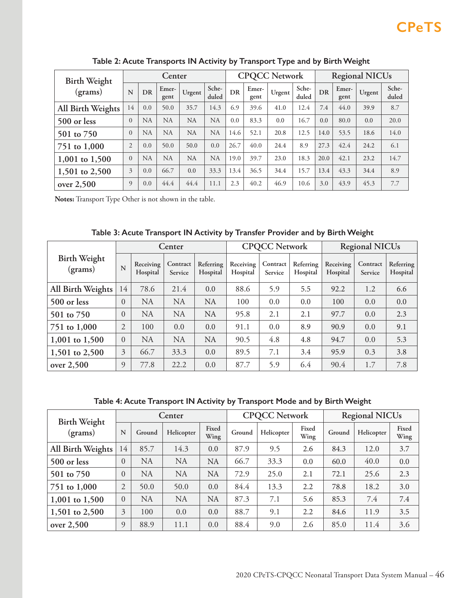| <b>Birth Weight</b> | Center         |           |               |           | <b>CPQCC Network</b> |           |               |        | <b>Regional NICUs</b> |      |               |        |                |
|---------------------|----------------|-----------|---------------|-----------|----------------------|-----------|---------------|--------|-----------------------|------|---------------|--------|----------------|
| (grams)             | N              | DR        | Emer-<br>gent | Urgent    | Sche-<br>duled       | <b>DR</b> | Emer-<br>gent | Urgent | Sche-<br>duled        | DR   | Emer-<br>gent | Urgent | Sche-<br>duled |
| All Birth Weights   | 14             | 0.0       | 50.0          | 35.7      | 14.3                 | 6.9       | 39.6          | 41.0   | 12.4                  | 7.4  | 44.0          | 39.9   | 8.7            |
| 500 or less         | $\overline{0}$ | NA        | NA            | <b>NA</b> | <b>NA</b>            | 0.0       | 83.3          | 0.0    | 16.7                  | 0.0  | 80.0          | 0.0    | 20.0           |
| 501 to 750          | $\overline{0}$ | <b>NA</b> | <b>NA</b>     | <b>NA</b> | <b>NA</b>            | 14.6      | 52.1          | 20.8   | 12.5                  | 14.0 | 53.5          | 18.6   | 14.0           |
| 751 to 1,000        | $\overline{2}$ | 0.0       | 50.0          | 50.0      | 0.0                  | 26.7      | 40.0          | 24.4   | 8.9                   | 27.3 | 42.4          | 24.2   | 6.1            |
| 1,001 to 1,500      | $\overline{0}$ | <b>NA</b> | NA            | <b>NA</b> | <b>NA</b>            | 19.0      | 39.7          | 23.0   | 18.3                  | 20.0 | 42.1          | 23.2   | 14.7           |
| 1,501 to 2,500      | 3              | 0.0       | 66.7          | 0.0       | 33.3                 | 13.4      | 36.5          | 34.4   | 15.7                  | 13.4 | 43.3          | 34.4   | 8.9            |
| over 2,500          | 9              | 0.0       | 44.4          | 44.4      | 11.1                 | 2.3       | 40.2          | 46.9   | 10.6                  | 3.0  | 43.9          | 45.3   | 7.7            |

**Table 2: Acute Transports IN Activity by Transport Type and by Birth Weight**

**Notes:** Transport Type Other is not shown in the table.

|                                |                |                       | Center              |                       |                       | <b>CPQCC Network</b> |                       | <b>Regional NICUs</b> |                     |                       |
|--------------------------------|----------------|-----------------------|---------------------|-----------------------|-----------------------|----------------------|-----------------------|-----------------------|---------------------|-----------------------|
| <b>Birth Weight</b><br>(grams) | N              | Receiving<br>Hospital | Contract<br>Service | Referring<br>Hospital | Receiving<br>Hospital | Contract<br>Service  | Referring<br>Hospital | Receiving<br>Hospital | Contract<br>Service | Referring<br>Hospital |
| All Birth Weights              | 14             | 78.6                  | 21.4                | 0.0                   | 88.6                  | 5.9                  | 5.5                   | 92.2                  | 1.2                 | 6.6                   |
| 500 or less                    | $\theta$       | <b>NA</b>             | <b>NA</b>           | <b>NA</b>             | 100                   | 0.0                  | 0.0                   | 100                   | 0.0                 | 0.0                   |
| 501 to 750                     | $\theta$       | <b>NA</b>             | <b>NA</b>           | <b>NA</b>             | 95.8                  | 2.1                  | 2.1                   | 97.7                  | 0.0                 | 2.3                   |
| 751 to 1,000                   | $\overline{2}$ | 100                   | 0.0                 | 0.0                   | 91.1                  | 0.0                  | 8.9                   | 90.9                  | 0.0                 | 9.1                   |
| 1,001 to $1,500$               | $\theta$       | <b>NA</b>             | <b>NA</b>           | <b>NA</b>             | 90.5                  | 4.8                  | 4.8                   | 94.7                  | 0.0                 | 5.3                   |
| 1,501 to 2,500                 | 3              | 66.7                  | 33.3                | 0.0                   | 89.5                  | 7.1                  | 3.4                   | 95.9                  | 0.3                 | 3.8                   |
| over $2,500$                   | 9              | 77.8                  | 22.2                | 0.0                   | 87.7                  | 5.9                  | 6.4                   | 90.4                  | 1.7                 | 7.8                   |

**Table 3: Acute Transport IN Activity by Transfer Provider and by Birth Weight**

**Table 4: Acute Transport IN Activity by Transport Mode and by Birth Weight**

| <b>Birth Weight</b> |                |           | Center     |               |        | <b>CPQCC Network</b> |               | <b>Regional NICUs</b> |            |               |
|---------------------|----------------|-----------|------------|---------------|--------|----------------------|---------------|-----------------------|------------|---------------|
| (grams)             | N              | Ground    | Helicopter | Fixed<br>Wing | Ground | Helicopter           | Fixed<br>Wing | Ground                | Helicopter | Fixed<br>Wing |
| All Birth Weights   | 14             | 85.7      | 14.3       | 0.0           | 87.9   | 9.5                  | 2.6           | 84.3                  | 12.0       | 3.7           |
| 500 or less         | $\theta$       | <b>NA</b> | <b>NA</b>  | <b>NA</b>     | 66.7   | 33.3                 | 0.0           | 60.0                  | 40.0       | 0.0           |
| 501 to 750          | $\theta$       | <b>NA</b> | <b>NA</b>  | <b>NA</b>     | 72.9   | 25.0                 | 2.1           | 72.1                  | 25.6       | 2.3           |
| 751 to 1,000        | $\overline{2}$ | 50.0      | 50.0       | 0.0           | 84.4   | 13.3                 | 2.2           | 78.8                  | 18.2       | 3.0           |
| 1,001 to 1,500      | $\Omega$       | <b>NA</b> | <b>NA</b>  | <b>NA</b>     | 87.3   | 7.1                  | 5.6           | 85.3                  | 7.4        | 7.4           |
| 1,501 to 2,500      | 3              | 100       | 0.0        | 0.0           | 88.7   | 9.1                  | 2.2           | 84.6                  | 11.9       | 3.5           |
| over 2,500          | $\Omega$       | 88.9      | 11.1       | 0.0           | 88.4   | 9.0                  | 2.6           | 85.0                  | 11.4       | 3.6           |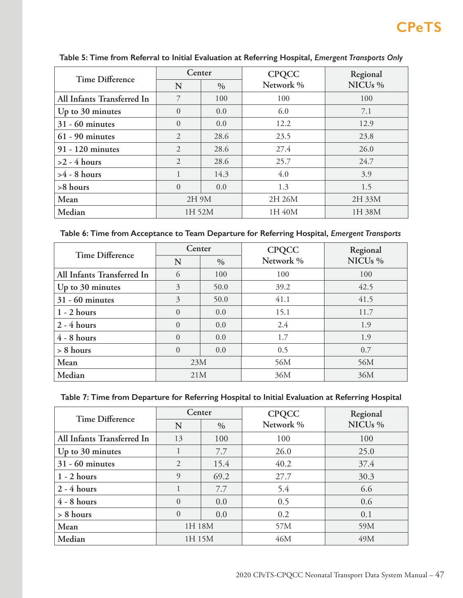| <b>Time Difference</b>     | Center         |              | <b>CPQCC</b> | Regional            |  |
|----------------------------|----------------|--------------|--------------|---------------------|--|
|                            | $\%$<br>N      |              | Network %    | NICU <sub>s</sub> % |  |
| All Infants Transferred In | 7              | 100          | 100          | 100                 |  |
| Up to 30 minutes           | $\Omega$       | 0.0          | 6.0          | 7.1                 |  |
| $31 - 60$ minutes          | $\Omega$       | 0.0          | 12.2         | 12.9                |  |
| $61 - 90$ minutes          | 2              | 28.6<br>23.5 |              | 23.8                |  |
| 91 - 120 minutes           | $\overline{2}$ | 28.6         | 27.4         | 26.0                |  |
| $>2$ - 4 hours             | $\overline{2}$ | 28.6         | 25.7         | 24.7                |  |
| $>4$ - 8 hours             | 1              | 14.3         | 4.0          | 3.9                 |  |
| >8 hours                   | $\Omega$       | 0.0          | 1.3          | 1.5                 |  |
| Mean                       | 2H 9M          |              | 2H 26M       | 2H 33M              |  |
| Median                     | 1H 52M         |              | 1H 40M       | 1H 38M              |  |

## **Table 5: Time from Referral to Initial Evaluation at Referring Hospital,** *Emergent Transports Only*

| Table 6: Time from Acceptance to Team Departure for Referring Hospital, Emergent Transports |  |  |  |  |  |  |
|---------------------------------------------------------------------------------------------|--|--|--|--|--|--|
|---------------------------------------------------------------------------------------------|--|--|--|--|--|--|

| <b>Time Difference</b>     | Center    |      | <b>CPQCC</b> | Regional            |
|----------------------------|-----------|------|--------------|---------------------|
|                            | N         | $\%$ | Network %    | NICU <sub>s</sub> % |
| All Infants Transferred In | 6         | 100  | 100          | 100                 |
| Up to 30 minutes           | 3<br>50.0 |      | 39.2         | 42.5                |
| $31 - 60$ minutes          | 3         | 50.0 | 41.1         | 41.5                |
| $1 - 2$ hours              | $\Omega$  | 0.0  | 15.1         | 11.7                |
| $2 - 4$ hours              | $\Omega$  | 0.0  | 2.4          | 1.9                 |
| $4 - 8$ hours              | $\Omega$  | 0.0  | 1.7          | 1.9                 |
| $> 8$ hours                | $\Omega$  | 0.0  | 0.5          | 0.7                 |
| Mean                       | 23M       |      | 56M          | 56M                 |
| Median                     | 21M       |      | 36M          | 36M                 |

## **Table 7: Time from Departure for Referring Hospital to Initial Evaluation at Referring Hospital**

| <b>Time Difference</b>     | Center         |               | <b>CPQCC</b> | Regional            |
|----------------------------|----------------|---------------|--------------|---------------------|
|                            | N              | $\frac{0}{0}$ | Network %    | NICU <sub>s</sub> % |
| All Infants Transferred In | 13             | 100           | 100          | 100                 |
| Up to 30 minutes           | 1              | 7.7           | 26.0         | 25.0                |
| $31 - 60$ minutes          | $\overline{2}$ | 15.4          | 40.2         | 37.4                |
| $1 - 2$ hours              | 9              | 69.2          | 27.7         | 30.3                |
| $2 - 4$ hours              |                | 7.7           | 5.4          | 6.6                 |
| $4 - 8$ hours              | $\Omega$       | 0.0           | 0.5          | 0.6                 |
| $> 8$ hours                | $\Omega$       | 0.0           | 0.2          | 0.1                 |
| Mean                       | 1H 18M         |               | 57M          | 59M                 |
| Median                     | 1H 15M         |               | 46M          | 49M                 |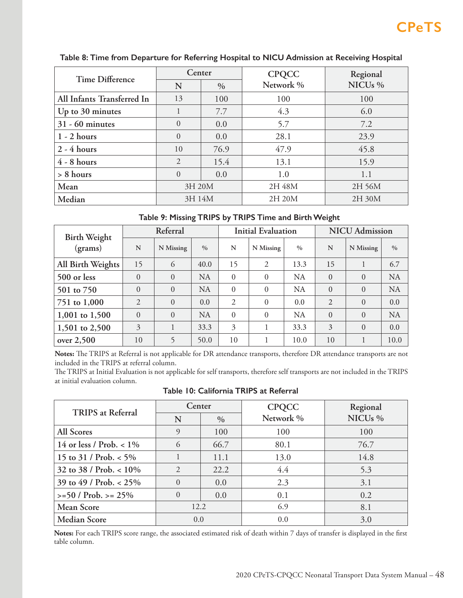| <b>Time Difference</b>     | Center        |      | <b>CPQCC</b> | Regional            |  |
|----------------------------|---------------|------|--------------|---------------------|--|
|                            | N<br>$\%$     |      | Network %    | NICU <sub>s</sub> % |  |
| All Infants Transferred In | 13            | 100  | 100          | 100                 |  |
| Up to 30 minutes           |               | 7.7  | 4.3          | 6.0                 |  |
| $31 - 60$ minutes          | $\Omega$      | 0.0  | 5.7          | 7.2                 |  |
| $1 - 2$ hours              | $\Omega$      | 0.0  | 28.1         | 23.9                |  |
| $2 - 4$ hours              | 10            | 76.9 | 47.9         | 45.8                |  |
| $4 - 8$ hours              | $\mathcal{L}$ | 15.4 | 13.1         | 15.9                |  |
| $> 8$ hours                | $\Omega$      | 0.0  | 1.0          | 1.1                 |  |
| Mean                       | 3H 20M        |      | 2H 48M       | 2H 56M              |  |
| Median                     | 3H 14M        |      | 2H 20M       | 2H 30M              |  |

### **Table 8: Time from Departure for Referring Hospital to NICU Admission at Receiving Hospital**

## **Table 9: Missing TRIPS by TRIPS Time and Birth Weight**

| <b>Birth Weight</b> |          | Referral  |               |                | <b>Initial Evaluation</b> |               | <b>NICU</b> Admission |           |           |
|---------------------|----------|-----------|---------------|----------------|---------------------------|---------------|-----------------------|-----------|-----------|
| (grams)             | N        | N Missing | $\frac{0}{0}$ | N              | N Missing                 | $\frac{0}{0}$ | N                     | N Missing | $\%$      |
| All Birth Weights   | 15       | 6         | 40.0          | 15             | $\overline{2}$            | 13.3          | 15                    |           | 6.7       |
| 500 or less         | $\Omega$ | $\Omega$  | <b>NA</b>     | $\Omega$       | $\theta$                  | <b>NA</b>     | $\theta$              | $\Omega$  | <b>NA</b> |
| 501 to 750          | $\Omega$ | $\theta$  | <b>NA</b>     | $\Omega$       | $\theta$                  | NA            | $\theta$              | $\theta$  | <b>NA</b> |
| 751 to 1,000        | 2        | $\theta$  | 0.0           | $\overline{2}$ | $\Omega$                  | 0.0           | $\overline{2}$        | $\theta$  | 0.0       |
| $1,001$ to $1,500$  | $\Omega$ | $\theta$  | <b>NA</b>     | $\Omega$       | $\Omega$                  | NA            | $\theta$              | $\theta$  | <b>NA</b> |
| 1,501 to 2,500      | 3        |           | 33.3          | 3              |                           | 33.3          | 3                     | $\theta$  | 0.0       |
| over 2,500          | 10       |           | 50.0          | 10             |                           | 10.0          | 10                    |           | 10.0      |

**Notes:** The TRIPS at Referral is not applicable for DR attendance transports, therefore DR attendance transports are not included in the TRIPS at referral column.

The TRIPS at Initial Evaluation is not applicable for self transports, therefore self transports are not included in the TRIPS at initial evaluation column.

|  | Table 10: California TRIPS at Referral |  |  |
|--|----------------------------------------|--|--|
|  |                                        |  |  |

| <b>TRIPS</b> at Referral   | Center         |      | <b>CPQCC</b> | Regional            |  |
|----------------------------|----------------|------|--------------|---------------------|--|
|                            | $\%$<br>N      |      | Network %    | NICU <sub>s</sub> % |  |
| <b>All Scores</b>          | 9              | 100  | 100          | 100                 |  |
| 14 or less / Prob. $< 1\%$ | 6              | 66.7 | 80.1         | 76.7                |  |
| 15 to 31 / Prob. $<$ 5%    |                | 11.1 | 13.0         | 14.8                |  |
| 32 to 38 / Prob. $< 10\%$  | $\overline{2}$ | 22.2 | 4.4          | 5.3                 |  |
| 39 to 49 / Prob. $< 25\%$  | $\Omega$       | 0.0  | 2.3          | 3.1                 |  |
| $>= 50 / Prob. > = 25\%$   | $\theta$       | 0.0  | 0.1          | 0.2                 |  |
| <b>Mean Score</b>          | 12.2           |      | 6.9          | 8.1                 |  |
| <b>Median Score</b>        | 0.0            |      | 0.0          | 3.0                 |  |

**Notes:** For each TRIPS score range, the associated estimated risk of death within 7 days of transfer is displayed in the first table column.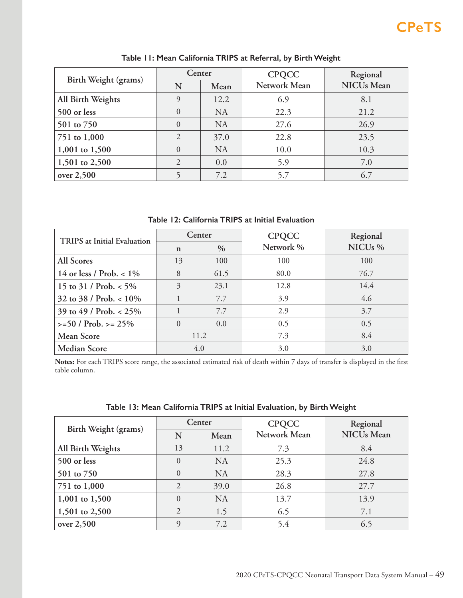|                      | Center         |           | <b>CPQCC</b> | Regional          |  |
|----------------------|----------------|-----------|--------------|-------------------|--|
| Birth Weight (grams) | N              | Mean      | Network Mean | <b>NICUs</b> Mean |  |
| All Birth Weights    | 9              | 12.2      | 6.9          | 8.1               |  |
| 500 or less          | 0              | <b>NA</b> | 22.3         | 21.2              |  |
| 501 to 750           | $\Omega$       | <b>NA</b> | 27.6         | 26.9              |  |
| 751 to 1,000         | 2              | 37.0      | 22.8         | 23.5              |  |
| 1,001 to 1,500       | 0              | <b>NA</b> | 10.0         | 10.3              |  |
| 1,501 to 2,500       | $\mathfrak{D}$ | 0.0       | 5.9          | 7.0               |  |
| over 2,500           |                | 7.2       | 5.7          | 6.7               |  |

**Table 11: Mean California TRIPS at Referral, by Birth Weight**

**Table 12: California TRIPS at Initial Evaluation**

| <b>TRIPS</b> at Initial Evaluation | Center              |      | <b>CPQCC</b> | Regional            |  |
|------------------------------------|---------------------|------|--------------|---------------------|--|
|                                    | $\%$<br>$\mathbf n$ |      | Network %    | NICU <sub>s</sub> % |  |
| All Scores                         | 13                  | 100  | 100          | 100                 |  |
| 14 or less / Prob. $< 1\%$         | 8                   | 61.5 | 80.0         | 76.7                |  |
| 15 to 31 / Prob. $<$ 5%            | 3                   | 23.1 | 12.8         | 14.4                |  |
| 32 to 38 / Prob. $< 10\%$          |                     | 7.7  | 3.9          | 4.6                 |  |
| 39 to 49 / Prob. $< 25\%$          |                     | 7.7  | 2.9          | 3.7                 |  |
| $>= 50 / Prob. > = 25\%$           | $\Omega$            | 0.0  | 0.5          | 0.5                 |  |
| Mean Score                         | 11.2                |      | 7.3          | 8.4                 |  |
| <b>Median Score</b>                | 4.0                 |      | 3.0          | 3.0                 |  |

**Notes:** For each TRIPS score range, the associated estimated risk of death within 7 days of transfer is displayed in the first table column.

| Birth Weight (grams) | Center         |           | <b>CPQCC</b> | Regional          |  |
|----------------------|----------------|-----------|--------------|-------------------|--|
|                      | N              | Mean      | Network Mean | <b>NICUs</b> Mean |  |
| All Birth Weights    | 13             | 11.2      | 7.3          | 8.4               |  |
| 500 or less          | $\Omega$       | <b>NA</b> | 25.3         | 24.8              |  |
| 501 to 750           | $\Omega$       | <b>NA</b> | 28.3         | 27.8              |  |
| 751 to 1,000         | $\mathcal{L}$  | 39.0      | 26.8         | 27.7              |  |
| 1,001 to 1,500       | $\Omega$       | <b>NA</b> | 13.7         | 13.9              |  |
| 1,501 to 2,500       | $\mathfrak{D}$ | 1.5       | 6.5          | 7.1               |  |
| over 2,500           | $\Omega$       | 7.2       | 5.4          | 6.5               |  |

## **Table 13: Mean California TRIPS at Initial Evaluation, by Birth Weight**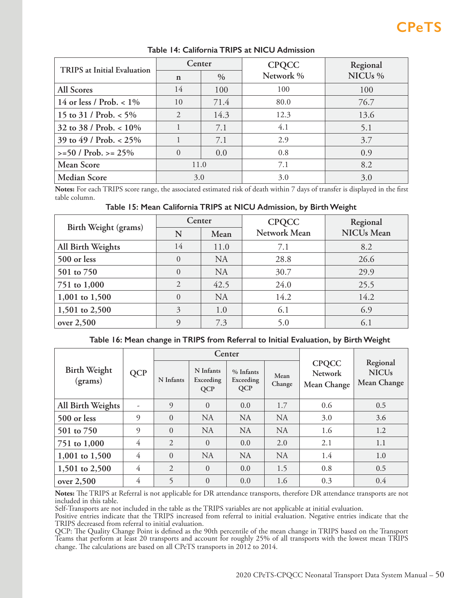| TRIPS at Initial Evaluation | Center      |            | <b>CPQCC</b> | Regional            |  |
|-----------------------------|-------------|------------|--------------|---------------------|--|
|                             | $\mathbf n$ | $\%$       | Network %    | NICU <sub>s</sub> % |  |
| All Scores                  | 14          | 100        | 100          | 100                 |  |
| 14 or less / Prob. $< 1\%$  | 10          | 71.4       | 80.0         | 76.7                |  |
| 15 to 31 / Prob. $<$ 5%     | 2           | 14.3       | 12.3         | 13.6                |  |
| 32 to 38 / Prob. $< 10\%$   |             | 7.1        | 4.1          | 5.1                 |  |
| 39 to 49 / Prob. $< 25\%$   |             | 7.1        | 2.9          | 3.7                 |  |
| $>= 50 / Prob. > = 25%$     | $\Omega$    | 0.8<br>0.0 |              | 0.9                 |  |
| <b>Mean Score</b>           | 11.0        |            | 7.1          | 8.2                 |  |
| <b>Median Score</b>         | 3.0         |            | 3.0          | 3.0                 |  |

### **Table 14: California TRIPS at NICU Admission**

**Notes:** For each TRIPS score range, the associated estimated risk of death within 7 days of transfer is displayed in the first table column.

### **Table 15: Mean California TRIPS at NICU Admission, by Birth Weight**

| Birth Weight (grams) | Center         |           | <b>CPQCC</b> | Regional          |  |
|----------------------|----------------|-----------|--------------|-------------------|--|
|                      | N              | Mean      | Network Mean | <b>NICUs</b> Mean |  |
| All Birth Weights    | 14             | 11.0      | 7.1          | 8.2               |  |
| 500 or less          | $\Omega$       | <b>NA</b> | 28.8         | 26.6              |  |
| 501 to 750           | $\Omega$       | <b>NA</b> | 30.7         | 29.9              |  |
| 751 to 1,000         | $\overline{2}$ | 42.5      | 24.0         | 25.5              |  |
| 1,001 to 1,500       | $\Omega$       | <b>NA</b> | 14.2         | 14.2              |  |
| 1,501 to 2,500       | 3              | 1.0       | 6.1          | 6.9               |  |
| over 2,500           | 9              | 7.3       | 5.0          | 6.1               |  |

### **Table 16: Mean change in TRIPS from Referral to Initial Evaluation, by Birth Weight**

|                                |            |                |                                      | Center                               |                |                                               |                                         |  |
|--------------------------------|------------|----------------|--------------------------------------|--------------------------------------|----------------|-----------------------------------------------|-----------------------------------------|--|
| <b>Birth Weight</b><br>(grams) | <b>QCP</b> | N Infants      | N Infants<br>Exceeding<br><b>QCP</b> | % Infants<br>Exceeding<br><b>QCP</b> | Mean<br>Change | <b>CPQCC</b><br><b>Network</b><br>Mean Change | Regional<br><b>NICUs</b><br>Mean Change |  |
| All Birth Weights              |            | 9              | $\overline{0}$                       | 0.0                                  | 1.7            | 0.6                                           | 0.5                                     |  |
| 500 or less                    | $\Omega$   | $\Omega$       | <b>NA</b>                            | <b>NA</b>                            | <b>NA</b>      | 3.0                                           | 3.6                                     |  |
| 501 to 750                     | $\Omega$   | $\Omega$       | <b>NA</b>                            | <b>NA</b>                            | <b>NA</b>      | 1.6                                           | 1.2                                     |  |
| 751 to 1,000                   | 4          | 2              | $\theta$                             | 0.0                                  | 2.0            | 2.1                                           | 1.1                                     |  |
| 1,001 to 1,500                 | 4          | $\Omega$       | <b>NA</b>                            | <b>NA</b>                            | <b>NA</b>      | 1.4                                           | 1.0                                     |  |
| 1,501 to 2,500                 | 4          | $\overline{2}$ | $\Omega$                             | 0.0                                  | 1.5            | 0.8                                           | 0.5                                     |  |
| over 2,500                     | 4          | 5              | $\theta$                             | 0.0                                  | 1.6            | 0.3                                           | 0.4                                     |  |

**Notes:** The TRIPS at Referral is not applicable for DR attendance transports, therefore DR attendance transports are not included in this table.

Self-Transports are not included in the table as the TRIPS variables are not applicable at initial evaluation.

Positive entries indicate that the TRIPS increased from referral to initial evaluation. Negative entries indicate that the TRIPS decreased from referral to initial evaluation.

QCP: The Quality Change Point is defined as the 90th percentile of the mean change in TRIPS based on the Transport Teams that perform at least 20 transports and account for roughly 25% of all transports with the lowest mean TRIPS change. The calculations are based on all CPeTS transports in 2012 to 2014.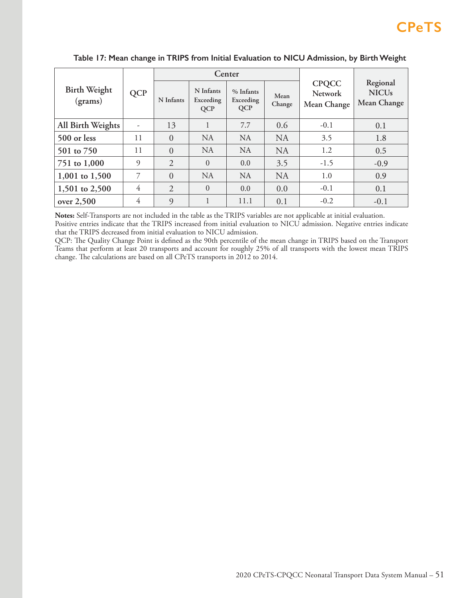|                                |                |                |                                      | Center                               |                |                                               |                                         |  |
|--------------------------------|----------------|----------------|--------------------------------------|--------------------------------------|----------------|-----------------------------------------------|-----------------------------------------|--|
| <b>Birth Weight</b><br>(grams) | <b>QCP</b>     | N Infants      | N Infants<br>Exceeding<br><b>QCP</b> | % Infants<br>Exceeding<br><b>QCP</b> | Mean<br>Change | <b>CPQCC</b><br><b>Network</b><br>Mean Change | Regional<br><b>NICUs</b><br>Mean Change |  |
| All Birth Weights              |                | 13             | 1                                    | 7.7                                  | 0.6            | $-0.1$                                        | 0.1                                     |  |
| 500 or less                    | 11             | $\overline{0}$ | <b>NA</b>                            | <b>NA</b>                            | <b>NA</b>      | 3.5                                           | 1.8                                     |  |
| 501 to 750                     | 11             | $\overline{0}$ | <b>NA</b>                            | <b>NA</b>                            | <b>NA</b>      | 1.2                                           | 0.5                                     |  |
| 751 to 1,000                   | 9              | $\overline{2}$ | $\overline{0}$                       | 0.0                                  | 3.5            | $-1.5$                                        | $-0.9$                                  |  |
| 1,001 to 1,500                 | 7              | $\overline{0}$ | <b>NA</b>                            | <b>NA</b>                            | <b>NA</b>      | 1.0                                           | 0.9                                     |  |
| 1,501 to 2,500                 | $\overline{4}$ | $\overline{2}$ | $\theta$                             | 0.0                                  | 0.0            | $-0.1$                                        | 0.1                                     |  |
| over 2,500                     | $\overline{4}$ | 9              |                                      | 11.1                                 | 0.1            | $-0.2$                                        | $-0.1$                                  |  |

## **Table 17: Mean change in TRIPS from Initial Evaluation to NICU Admission, by Birth Weight**

**Notes:** Self-Transports are not included in the table as the TRIPS variables are not applicable at initial evaluation.

Positive entries indicate that the TRIPS increased from initial evaluation to NICU admission. Negative entries indicate that the TRIPS decreased from initial evaluation to NICU admission.

QCP: The Quality Change Point is defined as the 90th percentile of the mean change in TRIPS based on the Transport Teams that perform at least 20 transports and account for roughly 25% of all transports with the lowest mean TRIPS change. The calculations are based on all CPeTS transports in 2012 to 2014.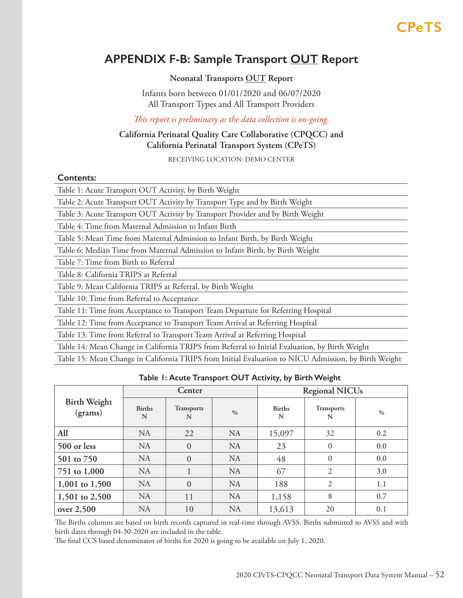## <span id="page-51-0"></span>**APPENDIX F-B: Sample Transport OUT Report**

## **Neonatal Transports OUT Report**

Infants born between 01/01/2020 and 06/07/2020 All Transport Types and All Transport Providers

*This report is preliminary as the data collection is on-going.*

## **California Perinatal Quality Care Collaborative (CPQCC) and California Perinatal Transport System (CPeTS)**

RECEIVING LOCATION: DEMO CENTER

### **Contents:**

| Table 1: Acute Transport OUT Activity, by Birth Weight                            |
|-----------------------------------------------------------------------------------|
| Table 2: Acute Transport OUT Activity by Transport Type and by Birth Weight       |
| Table 3: Acute Transport OUT Activity by Transport Provider and by Birth Weight   |
| Table 4: Time from Maternal Admission to Infant Birth                             |
| Table 5: Mean Time from Maternal Admission to Infant Birth, by Birth Weight       |
| Table 6: Median Time from Maternal Admission to Infant Birth, by Birth Weight     |
| Table 7: Time from Birth to Referral                                              |
| Table 8: California TRIPS at Referral                                             |
| Table 9: Mean California TRIPS at Referral, by Birth Weight                       |
| Table 10: Time from Referral to Acceptance                                        |
| Table 11: Time from Acceptance to Transport Team Departure for Referring Hospital |
| Table 12: Time from Acceptance to Transport Team Arrival at Referring Hospital    |
| Table 13: Time from Referral to Transport Team Arrival at Referring Hospital      |

Table 14: Mean Change in California TRIPS from Referral to Initial Evaluation, by Birth Weight

Table 15: Mean Change in California TRIPS from Initial Evaluation to NICU Admission, by Birth Weight

### **Table 1: Acute Transport OUT Activity, by Birth Weight**

|                                |                    | Center                 |               | <b>Regional NICUs</b> |                        |               |  |
|--------------------------------|--------------------|------------------------|---------------|-----------------------|------------------------|---------------|--|
| <b>Birth Weight</b><br>(grams) | <b>Births</b><br>N | <b>Transports</b><br>N | $\frac{0}{0}$ | <b>Births</b><br>N    | <b>Transports</b><br>N | $\frac{0}{0}$ |  |
| All                            | <b>NA</b>          | 22                     | <b>NA</b>     | 15,097                | 32                     | 0.2           |  |
| 500 or less                    | <b>NA</b>          | $\overline{0}$         | <b>NA</b>     | 23                    | $\Omega$               | 0.0           |  |
| 501 to 750                     | <b>NA</b>          | $\overline{0}$         | <b>NA</b>     | 48                    | $\Omega$               | 0.0           |  |
| 751 to 1,000                   | <b>NA</b>          |                        | <b>NA</b>     | 67                    | $\overline{2}$         | 3.0           |  |
| 1,001 to 1,500                 | <b>NA</b>          | $\overline{0}$         | <b>NA</b>     | 188                   | $\overline{2}$         | 1.1           |  |
| 1,501 to 2,500                 | <b>NA</b>          | 11                     | <b>NA</b>     | 1,158                 | 8                      | 0.7           |  |
| over 2,500                     | <b>NA</b>          | 10                     | <b>NA</b>     | 13,613                | 20                     | 0.1           |  |

The Births columns are based on birth records captured in real-time through AVSS. Births submitted to AVSS and with birth dates through 04-30-2020 are included in the table.

The final CCS based denominator of births for 2020 is going to be available on July 1, 2020.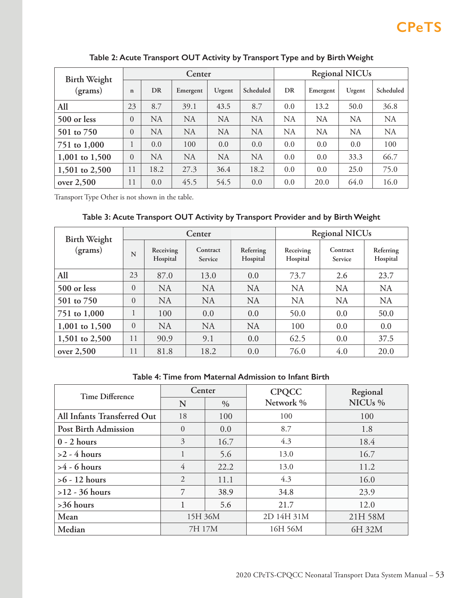| <b>Birth Weight</b> |             |           | Center    |           |           | <b>Regional NICUs</b> |           |           |           |
|---------------------|-------------|-----------|-----------|-----------|-----------|-----------------------|-----------|-----------|-----------|
| (grams)             | $\mathbf n$ | DR        | Emergent  | Urgent    | Scheduled | DR                    | Emergent  | Urgent    | Scheduled |
| All                 | 23          | 8.7       | 39.1      | 43.5      | 8.7       | 0.0                   | 13.2      | 50.0      | 36.8      |
| 500 or less         | $\theta$    | <b>NA</b> | <b>NA</b> | NA        | <b>NA</b> | <b>NA</b>             | NA        | NA        | <b>NA</b> |
| 501 to 750          | $\theta$    | <b>NA</b> | <b>NA</b> | <b>NA</b> | <b>NA</b> | <b>NA</b>             | <b>NA</b> | <b>NA</b> | <b>NA</b> |
| 751 to 1,000        | 1           | 0.0       | 100       | 0.0       | 0.0       | 0.0                   | 0.0       | 0.0       | 100       |
| 1,001 to 1,500      | $\theta$    | NA        | <b>NA</b> | <b>NA</b> | <b>NA</b> | 0.0                   | 0.0       | 33.3      | 66.7      |
| 1,501 to 2,500      | 11          | 18.2      | 27.3      | 36.4      | 18.2      | 0.0                   | 0.0       | 25.0      | 75.0      |
| over $2,500$        | 11          | 0.0       | 45.5      | 54.5      | 0.0       | 0.0                   | 20.0      | 64.0      | 16.0      |

**Table 2: Acute Transport OUT Activity by Transport Type and by Birth Weight**

Transport Type Other is not shown in the table.

## **Table 3: Acute Transport OUT Activity by Transport Provider and by Birth Weight**

| <b>Birth Weight</b> | Center   |                       |                     |                       | <b>Regional NICUs</b> |                     |                       |  |
|---------------------|----------|-----------------------|---------------------|-----------------------|-----------------------|---------------------|-----------------------|--|
| (grams)             | N        | Receiving<br>Hospital | Contract<br>Service | Referring<br>Hospital | Receiving<br>Hospital | Contract<br>Service | Referring<br>Hospital |  |
| All                 | 23       | 87.0                  | 13.0                | 0.0                   | 73.7                  | 2.6                 | 23.7                  |  |
| 500 or less         | $\Omega$ | <b>NA</b>             | <b>NA</b>           | <b>NA</b>             | <b>NA</b>             | <b>NA</b>           | <b>NA</b>             |  |
| 501 to 750          | $\Omega$ | <b>NA</b>             | <b>NA</b>           | <b>NA</b>             | <b>NA</b>             | <b>NA</b>           | <b>NA</b>             |  |
| 751 to 1,000        |          | 100                   | 0.0                 | 0.0                   | 50.0                  | 0.0                 | 50.0                  |  |
| 1,001 to 1,500      | $\Omega$ | <b>NA</b>             | <b>NA</b>           | <b>NA</b>             | 100                   | 0.0                 | 0.0                   |  |
| 1,501 to 2,500      | 11       | 90.9                  | 9.1                 | 0.0                   | 62.5                  | 0.0                 | 37.5                  |  |
| over $2,500$        | 11       | 81.8                  | 18.2                | 0.0                   | 76.0                  | 4.0                 | 20.0                  |  |

### **Table 4: Time from Maternal Admission to Infant Birth**

| <b>Time Difference</b>      | Center         |      | <b>CPQCC</b> | Regional            |  |
|-----------------------------|----------------|------|--------------|---------------------|--|
|                             | N              | $\%$ | Network %    | NICU <sub>s</sub> % |  |
| All Infants Transferred Out | 18             | 100  | 100          | 100                 |  |
| <b>Post Birth Admission</b> | $\Omega$       | 0.0  | 8.7          | 1.8                 |  |
| $0 - 2$ hours               | 3              | 16.7 | 4.3          | 18.4                |  |
| $>2$ - 4 hours              |                | 5.6  | 13.0         | 16.7                |  |
| $>4 - 6$ hours              | 4              | 22.2 | 13.0         | 11.2                |  |
| $>6 - 12$ hours             | $\overline{2}$ | 11.1 | 4.3          | 16.0                |  |
| $>12 - 36$ hours            | 7              | 38.9 | 34.8         | 23.9                |  |
| $>36$ hours                 |                | 5.6  | 21.7         | 12.0                |  |
| Mean                        | 15H 36M        |      | 2D 14H 31M   | 21H 58M             |  |
| Median                      | 7H 17M         |      | 16H 56M      | 6H 32M              |  |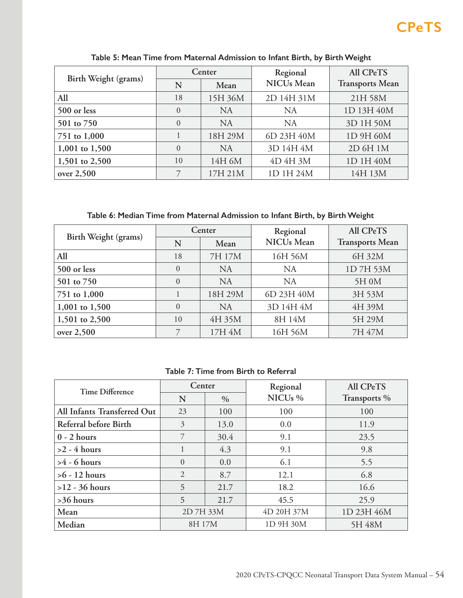| Birth Weight (grams) |          | Center    | Regional          | All CPeTS              |  |
|----------------------|----------|-----------|-------------------|------------------------|--|
|                      | N        | Mean      | <b>NICUs</b> Mean | <b>Transports Mean</b> |  |
| All                  | 18       | 15H 36M   | 2D 14H 31M        | 21H 58M                |  |
| 500 or less          | $\Omega$ | <b>NA</b> | NA                | 1D 13H 40M             |  |
| 501 to 750           | $\theta$ | <b>NA</b> | <b>NA</b>         | 3D 1H 50M              |  |
| 751 to 1,000         |          | 18H 29M   | 6D 23H 40M        | 1D 9H 60M              |  |
| 1,001 to 1,500       | $\Omega$ | <b>NA</b> | 3D 14H 4M         | 2D 6H 1M               |  |
| 1,501 to 2,500       | 10       | 14H 6M    | 4D 4H 3M          | 1D 1H 40M              |  |
| over 2,500           | 7        | 17H 21M   | 1D 1H 24M         | 14H 13M                |  |

**Table 5: Mean Time from Maternal Admission to Infant Birth, by Birth Weight**

**Table 6: Median Time from Maternal Admission to Infant Birth, by Birth Weight**

|                      |          | Center    | Regional          | All CPeTS              |  |
|----------------------|----------|-----------|-------------------|------------------------|--|
| Birth Weight (grams) | N        | Mean      | <b>NICUs</b> Mean | <b>Transports Mean</b> |  |
| All                  | 18       | 7H 17M    | 16H 56M           | 6H 32M                 |  |
| 500 or less          | $\Omega$ | <b>NA</b> | NA                | 1D7H53M                |  |
| 501 to 750           | $\Omega$ | <b>NA</b> | <b>NA</b>         | 5H 0M                  |  |
| 751 to 1,000         |          | 18H 29M   | 6D 23H 40M        | 3H 53M                 |  |
| 1,001 to 1,500       | $\Omega$ | <b>NA</b> | 3D 14H 4M         | 4H 39M                 |  |
| 1,501 to 2,500       | 10       | 4H 35M    | 8H 14M            | 5H 29M                 |  |
| over 2,500           |          | 17H 4M    | 16H 56M           | 7H 47M                 |  |

**Table 7: Time from Birth to Referral**

| <b>Time Difference</b>      | Center         |      | Regional            | <b>All CPeTS</b> |  |
|-----------------------------|----------------|------|---------------------|------------------|--|
|                             | N              | $\%$ | NICU <sub>s</sub> % | Transports %     |  |
| All Infants Transferred Out | 23             | 100  | 100                 | 100              |  |
| Referral before Birth       | 3              | 13.0 | 0.0                 | 11.9             |  |
| $0 - 2$ hours               | 7              | 30.4 | 9.1                 | 23.5             |  |
| $>2$ - 4 hours              |                | 4.3  | 9.1                 | 9.8              |  |
| $>4 - 6$ hours              | $\Omega$       | 0.0  | 6.1                 | 5.5              |  |
| $>6 - 12$ hours             | $\overline{2}$ | 8.7  | 12.1                | 6.8              |  |
| $>12 - 36$ hours            | 5              | 21.7 | 18.2                | 16.6             |  |
| >36 hours                   | 5              | 21.7 | 45.5                | 25.9             |  |
| Mean                        | 2D 7H 33M      |      | 4D 20H 37M          | 1D 23H 46M       |  |
| Median                      | 8H 17M         |      | 1D 9H 30M           | 5H 48M           |  |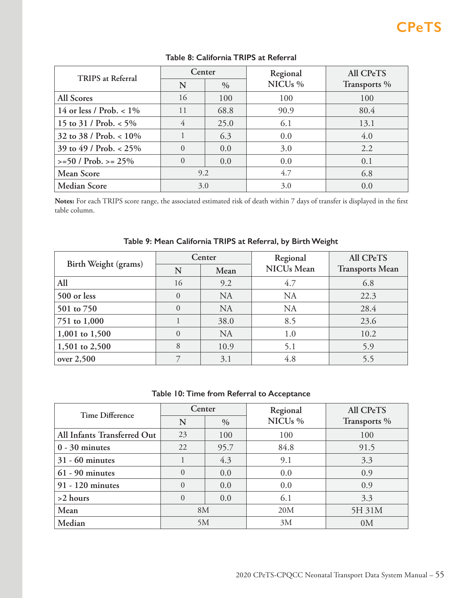| <b>TRIPS</b> at Referral   | Center    |      | Regional            | All CPeTS    |  |
|----------------------------|-----------|------|---------------------|--------------|--|
|                            | N<br>$\%$ |      | NICU <sub>s</sub> % | Transports % |  |
| All Scores                 | 16        | 100  | 100                 | 100          |  |
| 14 or less / Prob. $< 1\%$ | 11        | 68.8 | 90.9                | 80.4         |  |
| 15 to 31 / Prob. $<$ 5%    | 4         | 25.0 | 6.1                 | 13.1         |  |
| 32 to 38 / Prob. $< 10\%$  |           | 6.3  | 0.0                 | 4.0          |  |
| 39 to 49 / Prob. $< 25\%$  | $\Omega$  | 0.0  | 3.0                 | 2.2          |  |
| $>= 50 / Prob. > = 25\%$   |           | 0.0  | 0.0                 | 0.1          |  |
| <b>Mean Score</b>          | 9.2       |      | 4.7                 | 6.8          |  |
| <b>Median Score</b>        | 3.0       |      | 3.0                 | 0.0          |  |

## **Table 8: California TRIPS at Referral**

**Notes:** For each TRIPS score range, the associated estimated risk of death within 7 days of transfer is displayed in the first table column.

| Birth Weight (grams) |          | Center    | Regional          | All CPeTS              |
|----------------------|----------|-----------|-------------------|------------------------|
|                      | N        | Mean      | <b>NICUs</b> Mean | <b>Transports Mean</b> |
| All                  | 16       | 9.2       | 4.7               | 6.8                    |
| 500 or less          | $\theta$ | <b>NA</b> | <b>NA</b>         | 22.3                   |
| 501 to 750           | $\theta$ | <b>NA</b> | <b>NA</b>         | 28.4                   |
| 751 to 1,000         |          | 38.0      | 8.5               | 23.6                   |
| 1,001 to 1,500       | $\theta$ | <b>NA</b> | 1.0               | 10.2                   |
| 1,501 to 2,500       | 8        | 10.9      | 5.1               | 5.9                    |
| over $2,500$         |          | 3.1       | 4.8               | 5.5                    |

## **Table 9: Mean California TRIPS at Referral, by Birth Weight**

## **Table 10: Time from Referral to Acceptance**

| <b>Time Difference</b>      | Center   |               | Regional            | All CPeTS      |  |
|-----------------------------|----------|---------------|---------------------|----------------|--|
|                             | N        | $\frac{0}{0}$ | NICU <sub>s</sub> % | Transports %   |  |
| All Infants Transferred Out | 23       | 100           | 100                 | 100            |  |
| $0 - 30$ minutes            | 22       | 95.7          | 84.8                | 91.5           |  |
| $31 - 60$ minutes           |          | 4.3           | 9.1                 | 3.3            |  |
| $61 - 90$ minutes           | $\Omega$ | 0.0           | 0.0                 | 0.9            |  |
| 91 - 120 minutes            | $\theta$ | 0.0           | 0.0                 | 0.9            |  |
| $>2$ hours                  | $\theta$ | 0.0           | 6.1                 | 3.3            |  |
| Mean                        | 8M       |               | 20M                 | 5H 31M         |  |
| Median                      | 5M       |               | 3M                  | 0 <sub>M</sub> |  |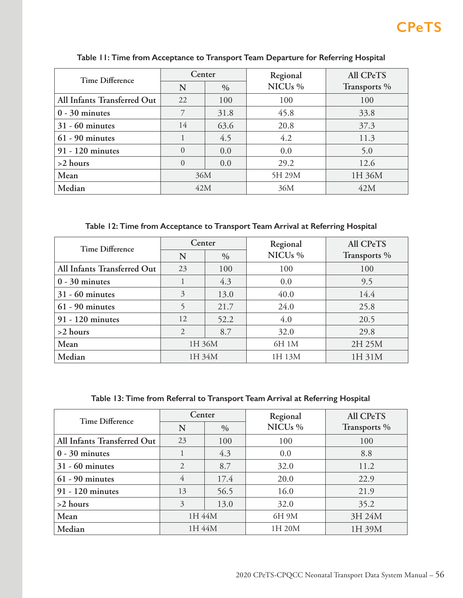| <b>Time Difference</b>      | Center             |      | Regional            | All CPeTS    |  |
|-----------------------------|--------------------|------|---------------------|--------------|--|
|                             | N<br>$\frac{0}{0}$ |      | NICU <sub>s</sub> % | Transports % |  |
| All Infants Transferred Out | 22                 | 100  | 100                 | 100          |  |
| $0 - 30$ minutes            | 7                  | 31.8 | 45.8                | 33.8         |  |
| $31 - 60$ minutes           | 14                 | 63.6 | 20.8                | 37.3         |  |
| $61 - 90$ minutes           |                    | 4.5  | 4.2                 | 11.3         |  |
| 91 - 120 minutes            | $\Omega$           | 0.0  | 0.0                 | 5.0          |  |
| $>2$ hours                  | $\Omega$           | 0.0  | 29.2                | 12.6         |  |
| Mean                        | 36M                |      | 5H 29M              | 1H 36M       |  |
| Median                      | 42M                |      | 36M                 | 42M          |  |

**Table 11: Time from Acceptance to Transport Team Departure for Referring Hospital**

**Table 12: Time from Acceptance to Transport Team Arrival at Referring Hospital**

| <b>Time Difference</b>      | Center    |      | Regional            | All CPeTS    |  |
|-----------------------------|-----------|------|---------------------|--------------|--|
|                             | N<br>$\%$ |      | NICU <sub>s</sub> % | Transports % |  |
| All Infants Transferred Out | 23        | 100  | 100                 | 100          |  |
| $0 - 30$ minutes            |           | 4.3  | 0.0                 | 9.5          |  |
| $31 - 60$ minutes           | 3         | 13.0 | 40.0                | 14.4         |  |
| $61 - 90$ minutes           |           | 21.7 | 24.0                | 25.8         |  |
| 91 - 120 minutes            | 12        | 52.2 | 4.0                 | 20.5         |  |
| $>2$ hours                  | 2         | 8.7  | 32.0                | 29.8         |  |
| Mean                        | 1H 36M    |      | 6H 1M               | 2H 25M       |  |
| Median                      | 1H 34M    |      | 1H 13M              | 1H 31M       |  |

**Table 13: Time from Referral to Transport Team Arrival at Referring Hospital**

| <b>Time Difference</b>      | Center         |               | Regional            | All CPeTS    |  |
|-----------------------------|----------------|---------------|---------------------|--------------|--|
|                             | N              | $\frac{0}{0}$ | NICU <sub>s</sub> % | Transports % |  |
| All Infants Transferred Out | 23             | 100           | 100                 | 100          |  |
| $0 - 30$ minutes            |                | 4.3           | 0.0                 | 8.8          |  |
| $31 - 60$ minutes           | $\overline{2}$ | 8.7           | 32.0                | 11.2         |  |
| $61 - 90$ minutes           | 4              | 17.4          | 20.0                | 22.9         |  |
| 91 - 120 minutes            | 13<br>56.5     |               | 16.0                | 21.9         |  |
| $>2$ hours                  | 3<br>13.0      |               | 32.0                | 35.2         |  |
| Mean                        | 1H 44M         |               | 6H 9M               | 3H 24M       |  |
| Median                      | 1H 44M         |               | 1H 20M              | 1H 39M       |  |